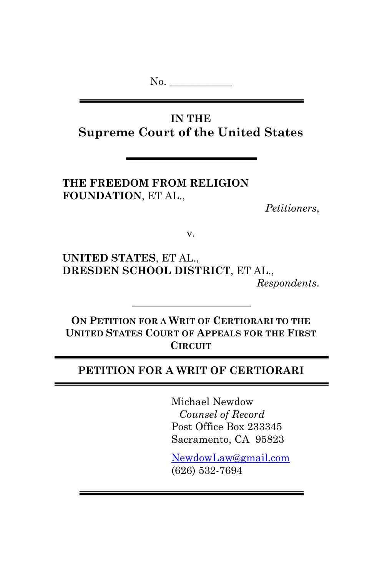No. \_\_\_\_\_\_\_\_\_\_\_\_

**IN THE Supreme Court of the United States**

**THE FREEDOM FROM RELIGION FOUNDATION**, ET AL.,

*Petitioners*,

v.

**UNITED STATES**, ET AL., **DRESDEN SCHOOL DISTRICT**, ET AL., *Respondents*.

**ON PETITION FOR A WRIT OF CERTIORARI TO THE UNITED STATES COURT OF APPEALS FOR THE FIRST CIRCUIT**

### **PETITION FOR A WRIT OF CERTIORARI**

Michael Newdow *Counsel of Record* Post Office Box 233345 Sacramento, CA 95823

NewdowLaw@gmail.com (626) 532-7694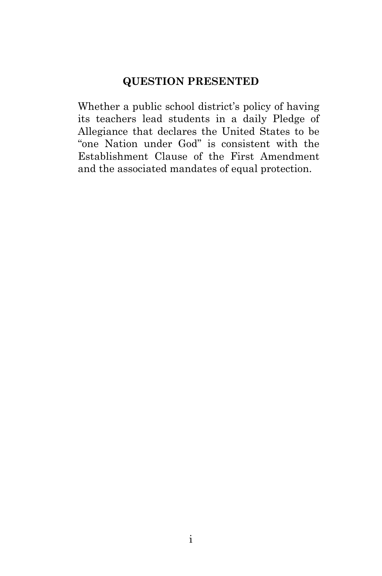## **QUESTION PRESENTED**

Whether a public school district's policy of having its teachers lead students in a daily Pledge of Allegiance that declares the United States to be "one Nation under God" is consistent with the Establishment Clause of the First Amendment and the associated mandates of equal protection.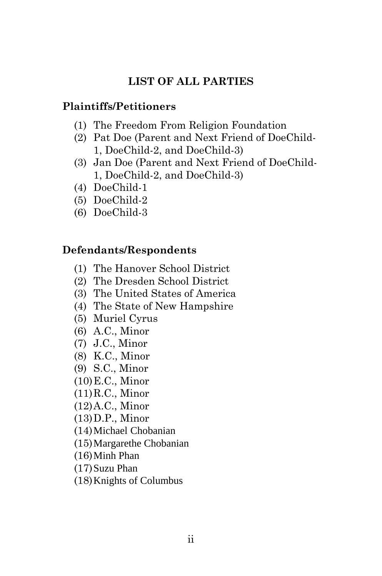## **LIST OF ALL PARTIES**

## **Plaintiffs/Petitioners**

- (1) The Freedom From Religion Foundation
- (2) Pat Doe (Parent and Next Friend of DoeChild-1, DoeChild-2, and DoeChild-3)
- (3) Jan Doe (Parent and Next Friend of DoeChild-1, DoeChild-2, and DoeChild-3)
- (4) DoeChild-1
- (5) DoeChild-2
- (6) DoeChild-3

## **Defendants/Respondents**

- (1) The Hanover School District
- (2) The Dresden School District
- (3) The United States of America
- (4) The State of New Hampshire
- (5) Muriel Cyrus
- (6) A.C., Minor
- (7) J.C., Minor
- (8) K.C., Minor
- (9) S.C., Minor
- (10)E.C., Minor
- (11)R.C., Minor
- (12)A.C., Minor
- (13)D.P., Minor
- (14)Michael Chobanian
- (15)Margarethe Chobanian
- (16)Minh Phan
- (17)Suzu Phan
- (18)Knights of Columbus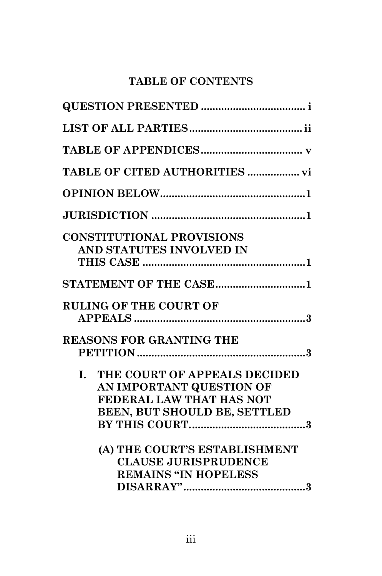# **TABLE OF CONTENTS**

| <b>CONSTITUTIONAL PROVISIONS</b><br>AND STATUTES INVOLVED IN                                                               |
|----------------------------------------------------------------------------------------------------------------------------|
|                                                                                                                            |
| <b>STATEMENT OF THE CASE1</b>                                                                                              |
| <b>RULING OF THE COURT OF</b>                                                                                              |
| <b>REASONS FOR GRANTING THE</b>                                                                                            |
| THE COURT OF APPEALS DECIDED<br>L.<br>AN IMPORTANT QUESTION OF<br>FEDERAL LAW THAT HAS NOT<br>BEEN, BUT SHOULD BE, SETTLED |
| (A) THE COURT'S ESTABLISHMENT<br><b>CLAUSE JURISPRUDENCE</b><br><b>REMAINS "IN HOPELESS</b>                                |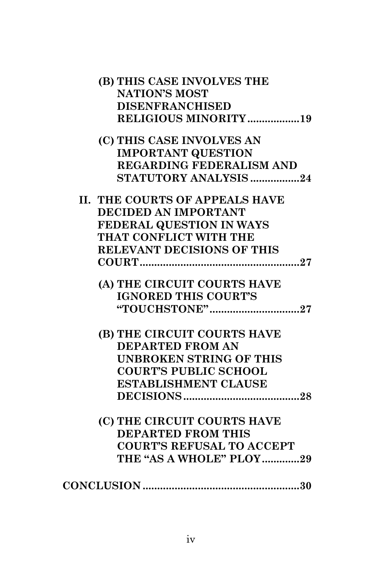| (B) THIS CASE INVOLVES THE            |
|---------------------------------------|
| <b>NATION'S MOST</b>                  |
| <b>DISENFRANCHISED</b>                |
| RELIGIOUS MINORITY19                  |
| (C) THIS CASE INVOLVES AN             |
| <b>IMPORTANT QUESTION</b>             |
| <b>REGARDING FEDERALISM AND</b>       |
| STATUTORY ANALYSIS 24                 |
| <b>II. THE COURTS OF APPEALS HAVE</b> |
| DECIDED AN IMPORTANT                  |
| FEDERAL QUESTION IN WAYS              |
| THAT CONFLICT WITH THE                |
| <b>RELEVANT DECISIONS OF THIS</b>     |
|                                       |
| (A) THE CIRCUIT COURTS HAVE           |
| <b>IGNORED THIS COURT'S</b>           |
| "TOUCHSTONE"27                        |
| (B) THE CIRCUIT COURTS HAVE           |
| <b>DEPARTED FROM AN</b>               |
| <b>UNBROKEN STRING OF THIS</b>        |
| <b>COURT'S PUBLIC SCHOOL</b>          |
| <b>ESTABLISHMENT CLAUSE</b>           |
|                                       |
| (C) THE CIRCUIT COURTS HAVE           |
| <b>DEPARTED FROM THIS</b>             |
| <b>COURT'S REFUSAL TO ACCEPT</b>      |
| THE "AS A WHOLE" PLOY29               |
|                                       |
|                                       |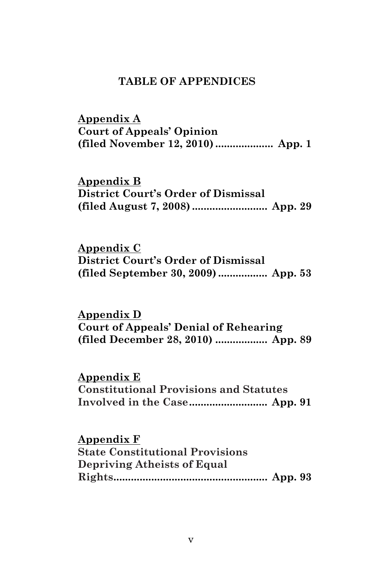#### **TABLE OF APPENDICES**

**Appendix A Court of Appeals' Opinion (filed November 12, 2010) .................... App. 1** 

**Appendix B District Court's Order of Dismissal (filed August 7, 2008) .......................... App. 29** 

**Appendix C District Court's Order of Dismissal (filed September 30, 2009) ................. App. 53** 

**Appendix D Court of Appeals' Denial of Rehearing (filed December 28, 2010) .................. App. 89** 

**Appendix E**

**Constitutional Provisions and Statutes Involved in the Case........................... App. 91** 

**Appendix F**

**State Constitutional Provisions Depriving Atheists of Equal Rights..................................................... App. 93**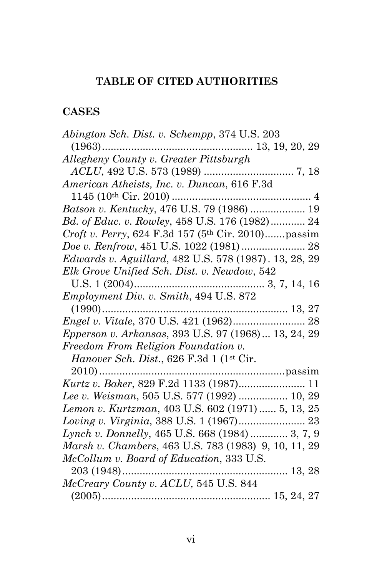# **TABLE OF CITED AUTHORITIES**

## **CASES**

| Abington Sch. Dist. v. Schempp, 374 U.S. 203          |
|-------------------------------------------------------|
| $(1963)$<br>13, 19, 20, 29                            |
| Allegheny County v. Greater Pittsburgh                |
|                                                       |
| American Atheists, Inc. v. Duncan, 616 F.3d           |
|                                                       |
| Batson v. Kentucky, 476 U.S. 79 (1986)  19            |
| Bd. of Educ. v. Rowley, 458 U.S. 176 (1982) 24        |
| Croft v. Perry, 624 F.3d 157 (5th Cir. 2010)passim    |
| Doe v. Renfrow, 451 U.S. 1022 (1981)  28              |
| Edwards v. Aguillard, 482 U.S. 578 (1987). 13, 28, 29 |
| Elk Grove Unified Sch. Dist. v. Newdow, 542           |
|                                                       |
| Employment Div. v. Smith, 494 U.S. 872                |
|                                                       |
|                                                       |
| Epperson v. Arkansas, 393 U.S. 97 (1968)  13, 24, 29  |
| Freedom From Religion Foundation v.                   |
| Hanover Sch. Dist., 626 F.3d 1 (1st Cir.              |
| $2010)$                                               |
|                                                       |
| Lee v. Weisman, 505 U.S. 577 (1992)  10, 29           |
| Lemon v. Kurtzman, 403 U.S. 602 (1971)  5, 13, 25     |
|                                                       |
| Lynch v. Donnelly, 465 U.S. 668 (1984)  3, 7, 9       |
| Marsh v. Chambers, 463 U.S. 783 (1983) 9, 10, 11, 29  |
| McCollum v. Board of Education, 333 U.S.              |
| 203 (1948)                                            |
| McCreary County v. ACLU, 545 U.S. 844                 |
|                                                       |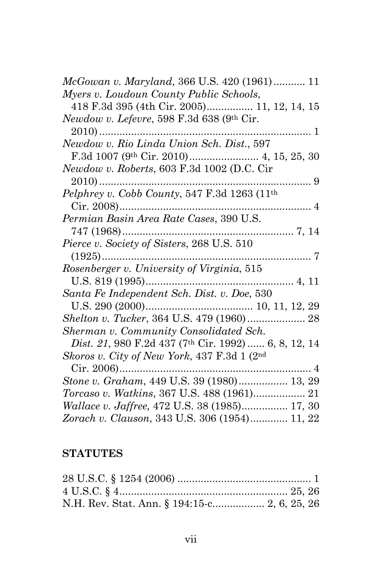| McGowan v. Maryland, 366 U.S. 420 (1961) 11          |
|------------------------------------------------------|
| Myers v. Loudoun County Public Schools,              |
| 418 F.3d 395 (4th Cir. 2005) 11, 12, 14, 15          |
| Newdow v. Lefevre, 598 F.3d 638 (9th Cir.            |
| $2010)$<br>. 1                                       |
| Newdow v. Rio Linda Union Sch. Dist., 597            |
|                                                      |
| Newdow v. Roberts, 603 F.3d 1002 (D.C. Cir           |
| $2010)$                                              |
| Pelphrey v. Cobb County, 547 F.3d 1263 (11th         |
|                                                      |
|                                                      |
| 747 (1968)                                           |
| Pierce v. Society of Sisters, 268 U.S. 510           |
|                                                      |
| Rosenberger v. University of Virginia, 515           |
| U.S. $819(1995)$                                     |
| Santa Fe Independent Sch. Dist. v. Doe, 530          |
|                                                      |
| Shelton v. Tucker, 364 U.S. 479 (1960) 28            |
| Sherman v. Community Consolidated Sch.               |
| Dist. 21, 980 F.2d 437 (7th Cir. 1992)  6, 8, 12, 14 |
| Skoros v. City of New York, 437 F.3d 1 (2nd          |
| $Cir. 2006)$                                         |
| Stone v. Graham, 449 U.S. 39 (1980) 13, 29           |
|                                                      |
| <i>Wallace v. Jaffree, 472 U.S. 38 (1985) 17, 30</i> |
| Zorach v. Clauson, 343 U.S. 306 (1954) 11, 22        |
|                                                      |

# **STATUTES**

| N.H. Rev. Stat. Ann. § 194:15-c 2, 6, 25, 26 |  |
|----------------------------------------------|--|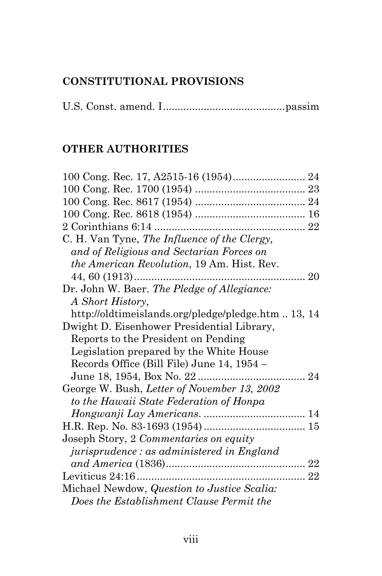# **CONSTITUTIONAL PROVISIONS**

U.S. Const. amend. I..........................................passim

# **OTHER AUTHORITIES**

| C. H. Van Tyne, The Influence of the Clergy,       |  |
|----------------------------------------------------|--|
| and of Religious and Sectarian Forces on           |  |
| <i>the American Revolution</i> , 19 Am. Hist. Rev. |  |
| 44, 60 $(1913)$                                    |  |
| Dr. John W. Baer. The Pledge of Allegiance:        |  |
| A Short History,                                   |  |
| http://oldtimeislands.org/pledge/pledge.htm13, 14  |  |
| Dwight D. Eisenhower Presidential Library,         |  |
| Reports to the President on Pending                |  |
| Legislation prepared by the White House            |  |
| Records Office (Bill File) June 14, 1954 -         |  |
|                                                    |  |
| George W. Bush, Letter of November 13, 2002        |  |
| to the Hawaii State Federation of Honpa            |  |
|                                                    |  |
|                                                    |  |
| Joseph Story, 2 Commentaries on equity             |  |
| jurisprudence : as administered in England         |  |
|                                                    |  |
|                                                    |  |
| Michael Newdow, Question to Justice Scalia:        |  |
| Does the Establishment Clause Permit the           |  |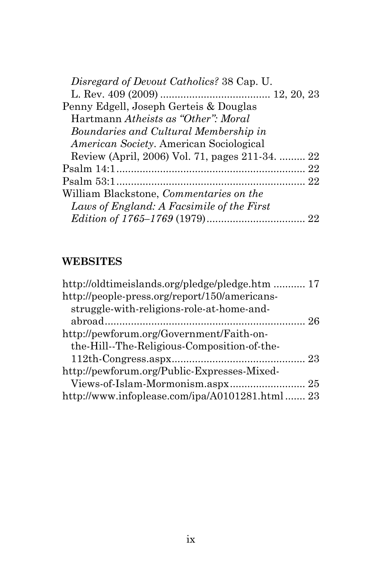| Disregard of Devout Catholics? 38 Cap. U.       |  |
|-------------------------------------------------|--|
|                                                 |  |
| Penny Edgell, Joseph Gerteis & Douglas          |  |
| Hartmann Atheists as "Other": Moral             |  |
| Boundaries and Cultural Membership in           |  |
| <i>American Society.</i> American Sociological  |  |
| Review (April, 2006) Vol. 71, pages 211-34.  22 |  |
|                                                 |  |
|                                                 |  |
| William Blackstone, <i>Commentaries</i> on the  |  |
| Laws of England: A Facsimile of the First       |  |
|                                                 |  |

# **WEBSITES**

| http://oldtimeislands.org/pledge/pledge.htm  17 |  |
|-------------------------------------------------|--|
| http://people-press.org/report/150/americans-   |  |
| struggle-with-religions-role-at-home-and-       |  |
|                                                 |  |
| http://pewforum.org/Government/Faith-on-        |  |
| the-Hill--The-Religious-Composition-of-the-     |  |
|                                                 |  |
| http://pewforum.org/Public-Expresses-Mixed-     |  |
|                                                 |  |
| http://www.infoplease.com/ipa/A0101281.html 23  |  |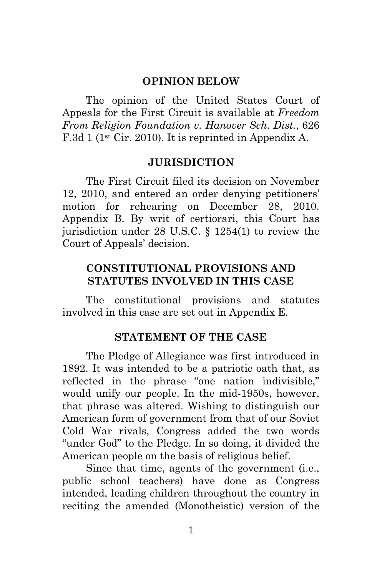#### **OPINION BELOW**

The opinion of the United States Court of Appeals for the First Circuit is available at *Freedom From Religion Foundation v. Hanover Sch. Dist.*, 626 F.3d 1 (1st Cir. 2010). It is reprinted in Appendix A.

#### **JURISDICTION**

The First Circuit filed its decision on November 12, 2010, and entered an order denying petitioners' motion for rehearing on December 28, 2010. Appendix B. By writ of certiorari, this Court has jurisdiction under 28 U.S.C. § 1254(1) to review the Court of Appeals' decision.

### **CONSTITUTIONAL PROVISIONS AND STATUTES INVOLVED IN THIS CASE**

The constitutional provisions and statutes involved in this case are set out in Appendix E.

#### **STATEMENT OF THE CASE**

The Pledge of Allegiance was first introduced in 1892. It was intended to be a patriotic oath that, as reflected in the phrase "one nation indivisible," would unify our people. In the mid-1950s, however, that phrase was altered. Wishing to distinguish our American form of government from that of our Soviet Cold War rivals, Congress added the two words "under God" to the Pledge. In so doing, it divided the American people on the basis of religious belief.

Since that time, agents of the government (i.e., public school teachers) have done as Congress intended, leading children throughout the country in reciting the amended (Monotheistic) version of the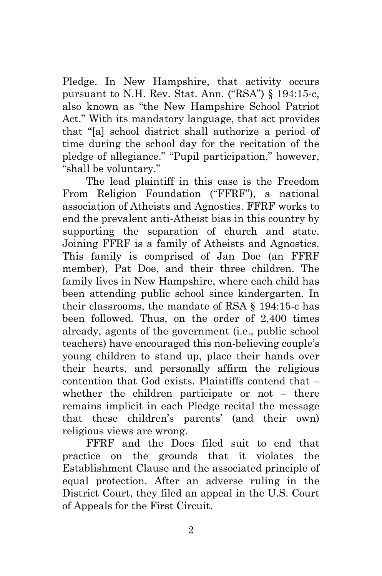Pledge. In New Hampshire, that activity occurs pursuant to N.H. Rev. Stat. Ann. ("RSA") § 194:15-c, also known as "the New Hampshire School Patriot Act." With its mandatory language, that act provides that "[a] school district shall authorize a period of time during the school day for the recitation of the pledge of allegiance." "Pupil participation," however, "shall be voluntary."

The lead plaintiff in this case is the Freedom From Religion Foundation ("FFRF"), a national association of Atheists and Agnostics. FFRF works to end the prevalent anti-Atheist bias in this country by supporting the separation of church and state. Joining FFRF is a family of Atheists and Agnostics. This family is comprised of Jan Doe (an FFRF member), Pat Doe, and their three children. The family lives in New Hampshire, where each child has been attending public school since kindergarten. In their classrooms, the mandate of RSA § 194:15-c has been followed. Thus, on the order of 2,400 times already, agents of the government (i.e., public school teachers) have encouraged this non-believing couple's young children to stand up, place their hands over their hearts, and personally affirm the religious contention that God exists. Plaintiffs contend that – whether the children participate or not – there remains implicit in each Pledge recital the message that these children's parents' (and their own) religious views are wrong.

FFRF and the Does filed suit to end that practice on the grounds that it violates the Establishment Clause and the associated principle of equal protection. After an adverse ruling in the District Court, they filed an appeal in the U.S. Court of Appeals for the First Circuit.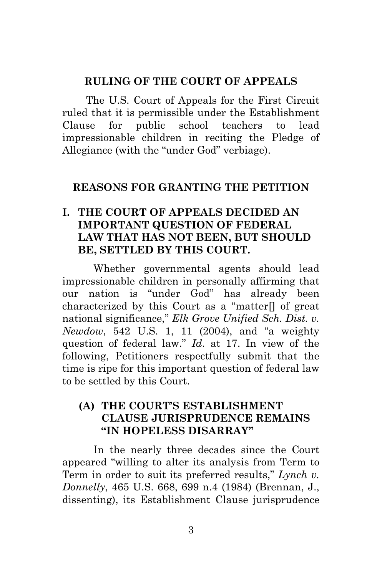#### **RULING OF THE COURT OF APPEALS**

The U.S. Court of Appeals for the First Circuit ruled that it is permissible under the Establishment Clause for public school teachers to lead impressionable children in reciting the Pledge of Allegiance (with the "under God" verbiage).

### **REASONS FOR GRANTING THE PETITION**

### **I. THE COURT OF APPEALS DECIDED AN IMPORTANT QUESTION OF FEDERAL LAW THAT HAS NOT BEEN, BUT SHOULD BE, SETTLED BY THIS COURT.**

Whether governmental agents should lead impressionable children in personally affirming that our nation is "under God" has already been characterized by this Court as a "matter[] of great national significance," *Elk Grove Unified Sch. Dist. v. Newdow*, 542 U.S. 1, 11 (2004), and "a weighty question of federal law." *Id*. at 17. In view of the following, Petitioners respectfully submit that the time is ripe for this important question of federal law to be settled by this Court.

### **(A) THE COURT'S ESTABLISHMENT CLAUSE JURISPRUDENCE REMAINS "IN HOPELESS DISARRAY"**

In the nearly three decades since the Court appeared "willing to alter its analysis from Term to Term in order to suit its preferred results," *Lynch v. Donnelly*, 465 U.S. 668, 699 n.4 (1984) (Brennan, J., dissenting), its Establishment Clause jurisprudence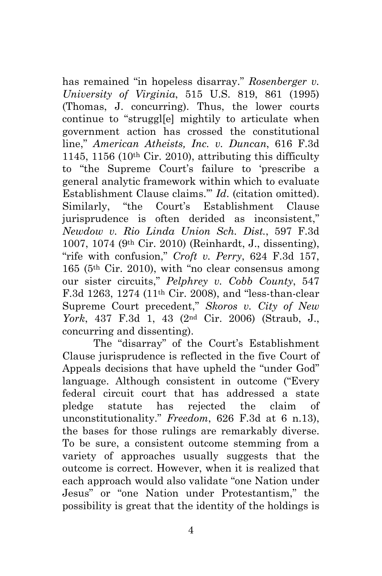has remained "in hopeless disarray." *Rosenberger v. University of Virginia*, 515 U.S. 819, 861 (1995) (Thomas, J. concurring). Thus, the lower courts continue to "struggl[e] mightily to articulate when government action has crossed the constitutional line," *American Atheists, Inc. v. Duncan*, 616 F.3d 1145, 1156 (10<sup>th</sup> Cir. 2010), attributing this difficulty to "the Supreme Court's failure to 'prescribe a general analytic framework within which to evaluate Establishment Clause claims.'" *Id*. (citation omitted). Similarly, "the Court's Establishment Clause jurisprudence is often derided as inconsistent," *Newdow v. Rio Linda Union Sch. Dist.*, 597 F.3d 1007, 1074 (9th Cir. 2010) (Reinhardt, J., dissenting), "rife with confusion," *Croft v. Perry*, 624 F.3d 157, 165 (5th Cir. 2010), with "no clear consensus among our sister circuits," *Pelphrey v. Cobb County*, 547 F.3d 1263, 1274 (11th Cir. 2008), and "less-than-clear Supreme Court precedent," *Skoros v. City of New York*, 437 F.3d 1, 43 (2nd Cir. 2006) (Straub, J., concurring and dissenting).

The "disarray" of the Court's Establishment Clause jurisprudence is reflected in the five Court of Appeals decisions that have upheld the "under God" language. Although consistent in outcome ("Every federal circuit court that has addressed a state pledge statute has rejected the claim of unconstitutionality." *Freedom*, 626 F.3d at 6 n.13), the bases for those rulings are remarkably diverse. To be sure, a consistent outcome stemming from a variety of approaches usually suggests that the outcome is correct. However, when it is realized that each approach would also validate "one Nation under Jesus" or "one Nation under Protestantism," the possibility is great that the identity of the holdings is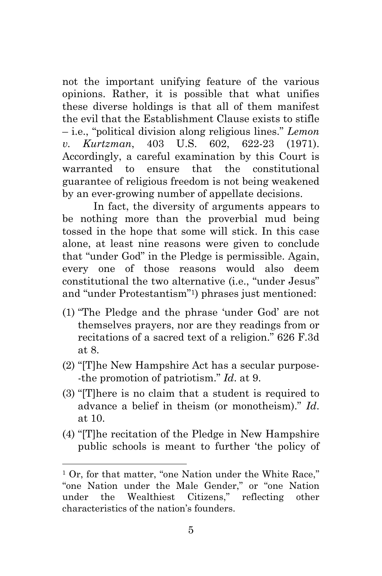not the important unifying feature of the various opinions. Rather, it is possible that what unifies these diverse holdings is that all of them manifest the evil that the Establishment Clause exists to stifle – i.e., "political division along religious lines." *Lemon v. Kurtzman*, 403 U.S. 602, 622-23 (1971). Accordingly, a careful examination by this Court is warranted to ensure that the constitutional guarantee of religious freedom is not being weakened by an ever-growing number of appellate decisions.

In fact, the diversity of arguments appears to be nothing more than the proverbial mud being tossed in the hope that some will stick. In this case alone, at least nine reasons were given to conclude that "under God" in the Pledge is permissible. Again, every one of those reasons would also deem constitutional the two alternative (i.e., "under Jesus" and "under Protestantism"1) phrases just mentioned:

- (1) "The Pledge and the phrase 'under God' are not themselves prayers, nor are they readings from or recitations of a sacred text of a religion." 626 F.3d at 8.
- (2) "[T]he New Hampshire Act has a secular purpose- -the promotion of patriotism." *Id*. at 9.
- (3) "[T]here is no claim that a student is required to advance a belief in theism (or monotheism)." *Id*. at 10.
- (4) "[T]he recitation of the Pledge in New Hampshire public schools is meant to further 'the policy of

<sup>&</sup>lt;sup>1</sup> Or, for that matter, "one Nation under the White Race," "one Nation under the Male Gender," or "one Nation under the Wealthiest Citizens," reflecting other characteristics of the nation's founders.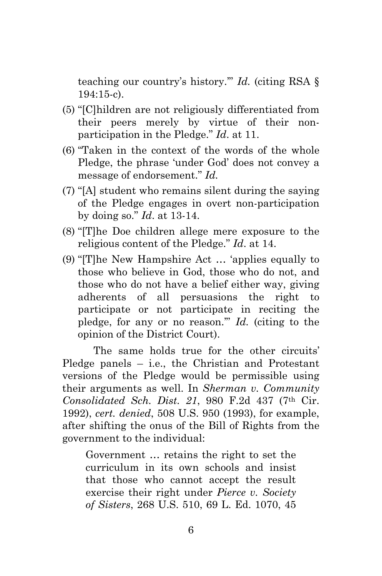teaching our country's history.'" *Id.* (citing RSA § 194:15-c).

- (5) "[C]hildren are not religiously differentiated from their peers merely by virtue of their nonparticipation in the Pledge." *Id*. at 11.
- (6) "Taken in the context of the words of the whole Pledge, the phrase 'under God' does not convey a message of endorsement." *Id.*
- (7) "[A] student who remains silent during the saying of the Pledge engages in overt non-participation by doing so." *Id*. at 13-14.
- (8) "[T]he Doe children allege mere exposure to the religious content of the Pledge." *Id*. at 14.
- (9) "[T]he New Hampshire Act … 'applies equally to those who believe in God, those who do not, and those who do not have a belief either way, giving adherents of all persuasions the right to participate or not participate in reciting the pledge, for any or no reason.'" *Id.* (citing to the opinion of the District Court).

The same holds true for the other circuits' Pledge panels – i.e., the Christian and Protestant versions of the Pledge would be permissible using their arguments as well. In *Sherman v. Community Consolidated Sch. Dist. 21*, 980 F.2d 437 (7th Cir. 1992), *cert. denied*, 508 U.S. 950 (1993), for example, after shifting the onus of the Bill of Rights from the government to the individual:

Government … retains the right to set the curriculum in its own schools and insist that those who cannot accept the result exercise their right under *Pierce v. Society of Sisters*, 268 U.S. 510, 69 L. Ed. 1070, 45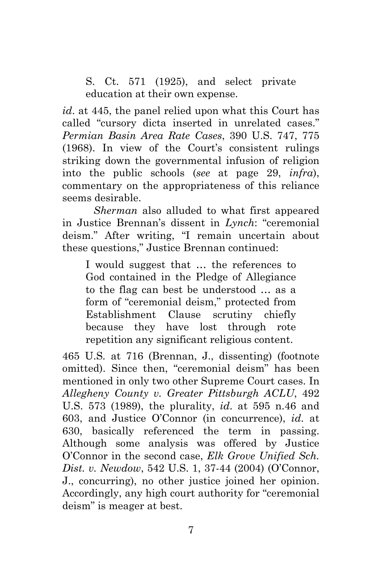S. Ct. 571 (1925), and select private education at their own expense.

*id*. at 445, the panel relied upon what this Court has called "cursory dicta inserted in unrelated cases." *Permian Basin Area Rate Cases*, 390 U.S. 747, 775 (1968). In view of the Court's consistent rulings striking down the governmental infusion of religion into the public schools (*see* at page 29, *infra*), commentary on the appropriateness of this reliance seems desirable.

*Sherman* also alluded to what first appeared in Justice Brennan's dissent in *Lynch*: "ceremonial deism." After writing, "I remain uncertain about these questions," Justice Brennan continued:

I would suggest that … the references to God contained in the Pledge of Allegiance to the flag can best be understood … as a form of "ceremonial deism," protected from Establishment Clause scrutiny chiefly because they have lost through rote repetition any significant religious content.

465 U.S*.* at 716 (Brennan, J., dissenting) (footnote omitted). Since then, "ceremonial deism" has been mentioned in only two other Supreme Court cases. In *Allegheny County v. Greater Pittsburgh ACLU*, 492 U.S. 573 (1989), the plurality, *id*. at 595 n.46 and 603, and Justice O'Connor (in concurrence), *id*. at 630, basically referenced the term in passing. Although some analysis was offered by Justice O'Connor in the second case, *Elk Grove Unified Sch. Dist. v. Newdow*, 542 U.S. 1, 37-44 (2004) (O'Connor, J., concurring), no other justice joined her opinion. Accordingly, any high court authority for "ceremonial deism" is meager at best.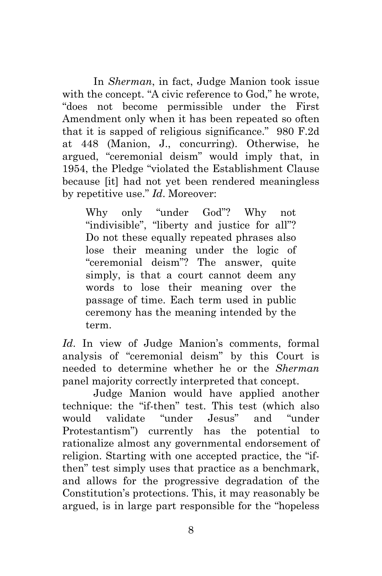In *Sherman*, in fact, Judge Manion took issue with the concept. "A civic reference to God," he wrote, "does not become permissible under the First Amendment only when it has been repeated so often that it is sapped of religious significance." 980 F.2d at 448 (Manion, J., concurring). Otherwise, he argued, "ceremonial deism" would imply that, in 1954, the Pledge "violated the Establishment Clause because [it] had not yet been rendered meaningless by repetitive use." *Id*. Moreover:

Why only "under God"? Why not "indivisible", "liberty and justice for all"? Do not these equally repeated phrases also lose their meaning under the logic of "ceremonial deism"? The answer, quite simply, is that a court cannot deem any words to lose their meaning over the passage of time. Each term used in public ceremony has the meaning intended by the term.

*Id*. In view of Judge Manion's comments, formal analysis of "ceremonial deism" by this Court is needed to determine whether he or the *Sherman* panel majority correctly interpreted that concept.

Judge Manion would have applied another technique: the "if-then" test. This test (which also would validate "under Jesus" and "under Protestantism") currently has the potential to rationalize almost any governmental endorsement of religion. Starting with one accepted practice, the "ifthen" test simply uses that practice as a benchmark, and allows for the progressive degradation of the Constitution's protections. This, it may reasonably be argued, is in large part responsible for the "hopeless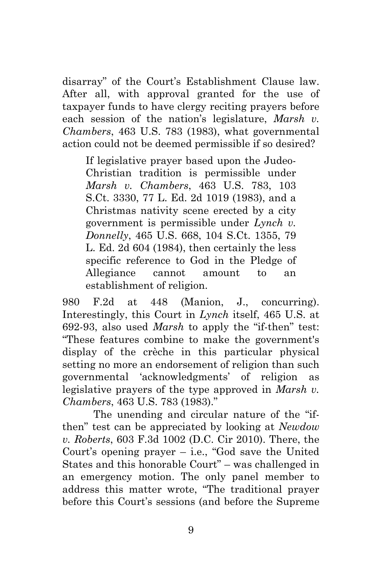disarray" of the Court's Establishment Clause law. After all, with approval granted for the use of taxpayer funds to have clergy reciting prayers before each session of the nation's legislature, *Marsh v. Chambers*, 463 U.S. 783 (1983), what governmental action could not be deemed permissible if so desired?

If legislative prayer based upon the Judeo-Christian tradition is permissible under *Marsh v. Chambers*, 463 U.S. 783, 103 S.Ct. 3330, 77 L. Ed. 2d 1019 (1983), and a Christmas nativity scene erected by a city government is permissible under *Lynch v. Donnelly*, 465 U.S. 668, 104 S.Ct. 1355, 79 L. Ed. 2d 604 (1984), then certainly the less specific reference to God in the Pledge of Allegiance cannot amount to an establishment of religion.

980 F.2d at 448 (Manion, J., concurring). Interestingly, this Court in *Lynch* itself, 465 U.S. at 692-93, also used *Marsh* to apply the "if-then" test: "These features combine to make the government's display of the crèche in this particular physical setting no more an endorsement of religion than such governmental 'acknowledgments' of religion as legislative prayers of the type approved in *Marsh v. Chambers*, 463 U.S. 783 (1983)."

The unending and circular nature of the "ifthen" test can be appreciated by looking at *Newdow v. Roberts*, 603 F.3d 1002 (D.C. Cir 2010). There, the Court's opening prayer  $-$  i.e., "God save the United States and this honorable Court" – was challenged in an emergency motion. The only panel member to address this matter wrote, "The traditional prayer before this Court's sessions (and before the Supreme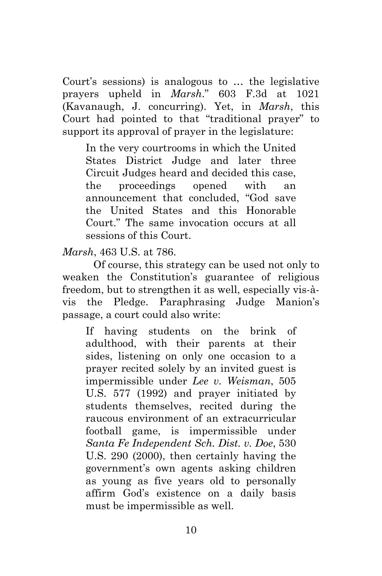Court's sessions) is analogous to … the legislative prayers upheld in *Marsh*." 603 F.3d at 1021 (Kavanaugh, J. concurring). Yet, in *Marsh*, this Court had pointed to that "traditional prayer" to support its approval of prayer in the legislature:

In the very courtrooms in which the United States District Judge and later three Circuit Judges heard and decided this case, the proceedings opened with an announcement that concluded, "God save the United States and this Honorable Court." The same invocation occurs at all sessions of this Court.

*Marsh*, 463 U.S. at 786.

Of course, this strategy can be used not only to weaken the Constitution's guarantee of religious freedom, but to strengthen it as well, especially vis-àvis the Pledge. Paraphrasing Judge Manion's passage, a court could also write:

If having students on the brink of adulthood, with their parents at their sides, listening on only one occasion to a prayer recited solely by an invited guest is impermissible under *Lee v. Weisman*, 505 U.S. 577 (1992) and prayer initiated by students themselves, recited during the raucous environment of an extracurricular football game, is impermissible under *Santa Fe Independent Sch. Dist. v. Doe*, 530 U.S. 290 (2000), then certainly having the government's own agents asking children as young as five years old to personally affirm God's existence on a daily basis must be impermissible as well.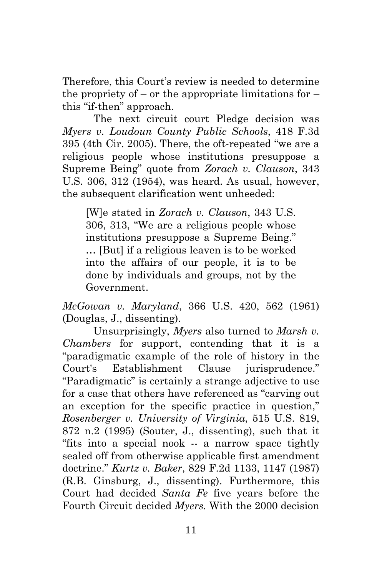Therefore, this Court's review is needed to determine the propriety of – or the appropriate limitations for  $$ this "if-then" approach.

The next circuit court Pledge decision was *Myers v. Loudoun County Public Schools*, 418 F.3d 395 (4th Cir. 2005). There, the oft-repeated "we are a religious people whose institutions presuppose a Supreme Being" quote from *Zorach v. Clauson*, 343 U.S. 306, 312 (1954), was heard. As usual, however, the subsequent clarification went unheeded:

[W]e stated in *Zorach v. Clauson*, 343 U.S. 306, 313, "We are a religious people whose institutions presuppose a Supreme Being." … [But] if a religious leaven is to be worked into the affairs of our people, it is to be done by individuals and groups, not by the Government.

*McGowan v. Maryland*, 366 U.S. 420, 562 (1961) (Douglas, J., dissenting).

Unsurprisingly, *Myers* also turned to *Marsh v. Chambers* for support, contending that it is a "paradigmatic example of the role of history in the Court's Establishment Clause jurisprudence." "Paradigmatic" is certainly a strange adjective to use for a case that others have referenced as "carving out an exception for the specific practice in question," *Rosenberger v. University of Virginia*, 515 U.S. 819, 872 n.2 (1995) (Souter, J., dissenting), such that it "fits into a special nook -- a narrow space tightly sealed off from otherwise applicable first amendment doctrine." *Kurtz v. Baker*, 829 F.2d 1133, 1147 (1987) (R.B. Ginsburg, J., dissenting). Furthermore, this Court had decided *Santa Fe* five years before the Fourth Circuit decided *Myers.* With the 2000 decision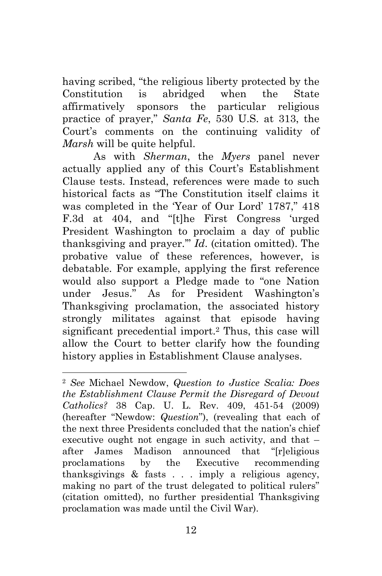having scribed, "the religious liberty protected by the Constitution is abridged when the State affirmatively sponsors the particular religious practice of prayer," *Santa Fe*, 530 U.S. at 313, the Court's comments on the continuing validity of *Marsh* will be quite helpful.

As with *Sherman*, the *Myers* panel never actually applied any of this Court's Establishment Clause tests. Instead, references were made to such historical facts as "The Constitution itself claims it was completed in the 'Year of Our Lord' 1787," 418 F.3d at 404, and "[t]he First Congress 'urged President Washington to proclaim a day of public thanksgiving and prayer.'" *Id*. (citation omitted). The probative value of these references, however, is debatable. For example, applying the first reference would also support a Pledge made to "one Nation under Jesus." As for President Washington's Thanksgiving proclamation, the associated history strongly militates against that episode having significant precedential import.2 Thus, this case will allow the Court to better clarify how the founding history applies in Establishment Clause analyses.

<sup>2</sup> *See* Michael Newdow, *Question to Justice Scalia: Does the Establishment Clause Permit the Disregard of Devout Catholics?* 38 Cap. U. L. Rev. 409, 451-54 (2009) (hereafter "Newdow: *Question*"), (revealing that each of the next three Presidents concluded that the nation's chief executive ought not engage in such activity, and that – after James Madison announced that "[r]eligious proclamations by the Executive recommending thanksgivings & fasts . . . imply a religious agency, making no part of the trust delegated to political rulers" (citation omitted), no further presidential Thanksgiving proclamation was made until the Civil War).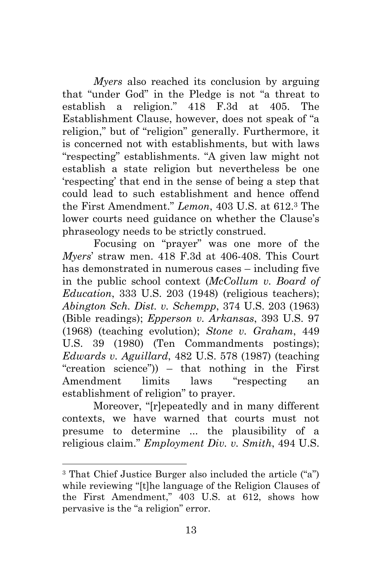*Myers* also reached its conclusion by arguing that "under God" in the Pledge is not "a threat to establish a religion." 418 F.3d at 405. The Establishment Clause, however, does not speak of "a religion," but of "religion" generally. Furthermore, it is concerned not with establishments, but with laws "respecting" establishments. "A given law might not establish a state religion but nevertheless be one 'respecting' that end in the sense of being a step that could lead to such establishment and hence offend the First Amendment." *Lemon*, 403 U.S. at 612.3 The lower courts need guidance on whether the Clause's phraseology needs to be strictly construed.

Focusing on "prayer" was one more of the *Myers*' straw men. 418 F.3d at 406-408. This Court has demonstrated in numerous cases – including five in the public school context (*McCollum v. Board of Education*, 333 U.S. 203 (1948) (religious teachers); *Abington Sch. Dist. v. Schempp*, 374 U.S. 203 (1963) (Bible readings); *Epperson v. Arkansas*, 393 U.S. 97 (1968) (teaching evolution); *Stone v. Graham*, 449 U.S. 39 (1980) (Ten Commandments postings); *Edwards v. Aguillard*, 482 U.S. 578 (1987) (teaching "creation science")) – that nothing in the First Amendment limits laws "respecting an establishment of religion" to prayer.

Moreover, "[r]epeatedly and in many different contexts, we have warned that courts must not presume to determine ... the plausibility of a religious claim." *Employment Div. v. Smith*, 494 U.S.

<sup>3</sup> That Chief Justice Burger also included the article ("a") while reviewing "[t]he language of the Religion Clauses of the First Amendment," 403 U.S. at 612, shows how pervasive is the "a religion" error.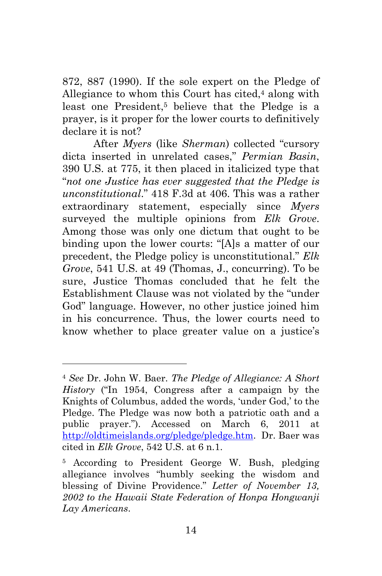872, 887 (1990). If the sole expert on the Pledge of Allegiance to whom this Court has cited, $4$  along with least one President,<sup>5</sup> believe that the Pledge is a prayer, is it proper for the lower courts to definitively declare it is not?

After *Myers* (like *Sherman*) collected "cursory dicta inserted in unrelated cases," *Permian Basin*, 390 U.S. at 775, it then placed in italicized type that "*not one Justice has ever suggested that the Pledge is unconstitutional*." 418 F.3d at 406. This was a rather extraordinary statement, especially since *Myers*  surveyed the multiple opinions from *Elk Grove*. Among those was only one dictum that ought to be binding upon the lower courts: "[A]s a matter of our precedent, the Pledge policy is unconstitutional." *Elk Grove*, 541 U.S. at 49 (Thomas, J., concurring). To be sure, Justice Thomas concluded that he felt the Establishment Clause was not violated by the "under God" language. However, no other justice joined him in his concurrence. Thus, the lower courts need to know whether to place greater value on a justice's

<sup>4</sup> *See* Dr. John W. Baer. *The Pledge of Allegiance: A Short History* ("In 1954, Congress after a campaign by the Knights of Columbus, added the words, 'under God,' to the Pledge. The Pledge was now both a patriotic oath and a public prayer."). Accessed on March 6, 2011 at http://oldtimeislands.org/pledge/pledge.htm. Dr. Baer was cited in *Elk Grove*, 542 U.S. at 6 n.1.

<sup>5</sup> According to President George W. Bush, pledging allegiance involves "humbly seeking the wisdom and blessing of Divine Providence." *Letter of November 13, 2002 to the Hawaii State Federation of Honpa Hongwanji Lay Americans*.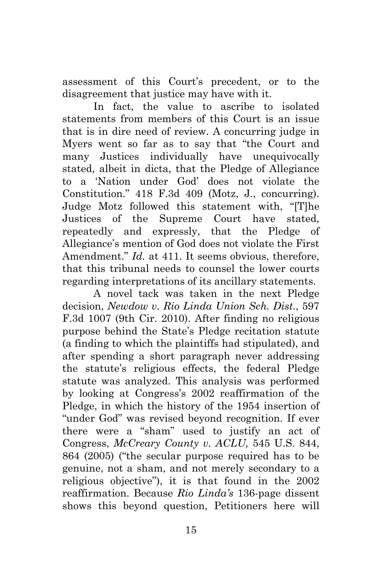assessment of this Court's precedent, or to the disagreement that justice may have with it.

In fact, the value to ascribe to isolated statements from members of this Court is an issue that is in dire need of review. A concurring judge in Myers went so far as to say that "the Court and many Justices individually have unequivocally stated, albeit in dicta, that the Pledge of Allegiance to a 'Nation under God' does not violate the Constitution." 418 F.3d 409 (Motz, J., concurring). Judge Motz followed this statement with, "[T]he Justices of the Supreme Court have stated, repeatedly and expressly, that the Pledge of Allegiance's mention of God does not violate the First Amendment." *Id.* at 411. It seems obvious, therefore, that this tribunal needs to counsel the lower courts regarding interpretations of its ancillary statements.

A novel tack was taken in the next Pledge decision, *Newdow v. Rio Linda Union Sch. Dist.*, 597 F.3d 1007 (9th Cir. 2010). After finding no religious purpose behind the State's Pledge recitation statute (a finding to which the plaintiffs had stipulated), and after spending a short paragraph never addressing the statute's religious effects, the federal Pledge statute was analyzed. This analysis was performed by looking at Congress's 2002 reaffirmation of the Pledge, in which the history of the 1954 insertion of "under God" was revised beyond recognition. If ever there were a "sham" used to justify an act of Congress, *McCreary County v. ACLU,* 545 U.S. 844, 864 (2005) ("the secular purpose required has to be genuine, not a sham, and not merely secondary to a religious objective"), it is that found in the 2002 reaffirmation. Because *Rio Linda's* 136-page dissent shows this beyond question, Petitioners here will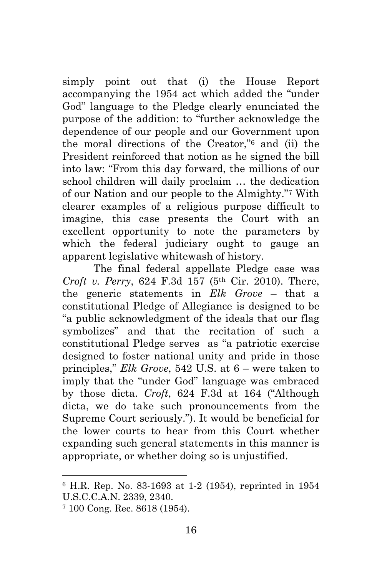simply point out that (i) the House Report accompanying the 1954 act which added the "under God" language to the Pledge clearly enunciated the purpose of the addition: to "further acknowledge the dependence of our people and our Government upon the moral directions of the Creator,"6 and (ii) the President reinforced that notion as he signed the bill into law: "From this day forward, the millions of our school children will daily proclaim … the dedication of our Nation and our people to the Almighty."7 With clearer examples of a religious purpose difficult to imagine, this case presents the Court with an excellent opportunity to note the parameters by which the federal judiciary ought to gauge an apparent legislative whitewash of history.

The final federal appellate Pledge case was *Croft v. Perry*, 624 F.3d 157 (5th Cir. 2010). There, the generic statements in *Elk Grove* – that a constitutional Pledge of Allegiance is designed to be "a public acknowledgment of the ideals that our flag symbolizes" and that the recitation of such a constitutional Pledge serves as "a patriotic exercise designed to foster national unity and pride in those principles," *Elk Grove*, 542 U.S. at 6 – were taken to imply that the "under God" language was embraced by those dicta. *Croft*, 624 F.3d at 164 ("Although dicta, we do take such pronouncements from the Supreme Court seriously."). It would be beneficial for the lower courts to hear from this Court whether expanding such general statements in this manner is appropriate, or whether doing so is unjustified.

<sup>6</sup> H.R. Rep. No. 83-1693 at 1-2 (1954), reprinted in 1954 U.S.C.C.A.N. 2339, 2340.

<sup>7 100</sup> Cong. Rec. 8618 (1954).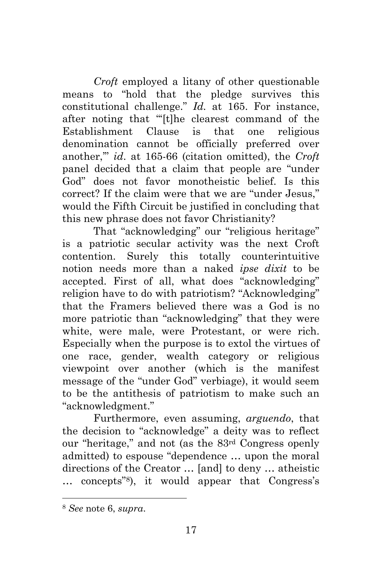*Croft* employed a litany of other questionable means to "hold that the pledge survives this constitutional challenge." *Id.* at 165. For instance, after noting that "'[t]he clearest command of the Establishment Clause is that one religious denomination cannot be officially preferred over another,'" *id*. at 165-66 (citation omitted), the *Croft* panel decided that a claim that people are "under God" does not favor monotheistic belief. Is this correct? If the claim were that we are "under Jesus," would the Fifth Circuit be justified in concluding that this new phrase does not favor Christianity?

That "acknowledging" our "religious heritage" is a patriotic secular activity was the next Croft contention. Surely this totally counterintuitive notion needs more than a naked *ipse dixit* to be accepted. First of all, what does "acknowledging" religion have to do with patriotism? "Acknowledging" that the Framers believed there was a God is no more patriotic than "acknowledging" that they were white, were male, were Protestant, or were rich. Especially when the purpose is to extol the virtues of one race, gender, wealth category or religious viewpoint over another (which is the manifest message of the "under God" verbiage), it would seem to be the antithesis of patriotism to make such an "acknowledgment."

Furthermore, even assuming, *arguendo*, that the decision to "acknowledge" a deity was to reflect our "heritage," and not (as the 83rd Congress openly admitted) to espouse "dependence … upon the moral directions of the Creator … [and] to deny … atheistic … concepts"8), it would appear that Congress's

<sup>8</sup> *See* note 6, *supra*.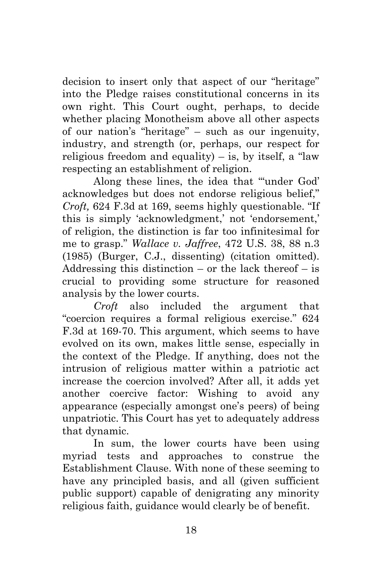decision to insert only that aspect of our "heritage" into the Pledge raises constitutional concerns in its own right. This Court ought, perhaps, to decide whether placing Monotheism above all other aspects of our nation's "heritage" – such as our ingenuity, industry, and strength (or, perhaps, our respect for religious freedom and equality) – is, by itself, a "law respecting an establishment of religion.

Along these lines, the idea that "'under God' acknowledges but does not endorse religious belief," *Croft,* 624 F.3d at 169, seems highly questionable. "If this is simply 'acknowledgment,' not 'endorsement,' of religion, the distinction is far too infinitesimal for me to grasp." *Wallace v. Jaffree*, 472 U.S. 38, 88 n.3 (1985) (Burger, C.J., dissenting) (citation omitted). Addressing this distinction – or the lack thereof  $-$  is crucial to providing some structure for reasoned analysis by the lower courts.

*Croft* also included the argument that "coercion requires a formal religious exercise." 624 F.3d at 169-70. This argument, which seems to have evolved on its own, makes little sense, especially in the context of the Pledge. If anything, does not the intrusion of religious matter within a patriotic act increase the coercion involved? After all, it adds yet another coercive factor: Wishing to avoid any appearance (especially amongst one's peers) of being unpatriotic. This Court has yet to adequately address that dynamic.

In sum, the lower courts have been using myriad tests and approaches to construe the Establishment Clause. With none of these seeming to have any principled basis, and all (given sufficient public support) capable of denigrating any minority religious faith, guidance would clearly be of benefit.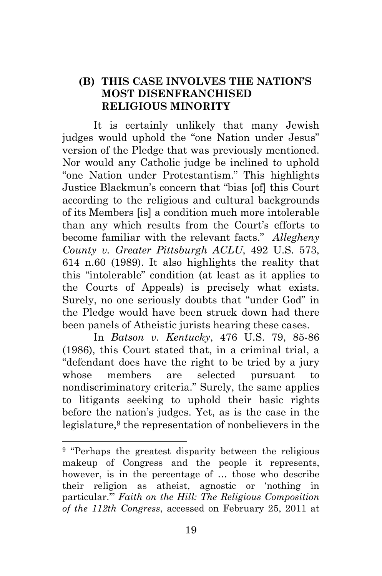### **(B) THIS CASE INVOLVES THE NATION'S MOST DISENFRANCHISED RELIGIOUS MINORITY**

It is certainly unlikely that many Jewish judges would uphold the "one Nation under Jesus" version of the Pledge that was previously mentioned. Nor would any Catholic judge be inclined to uphold "one Nation under Protestantism." This highlights Justice Blackmun's concern that "bias [of] this Court according to the religious and cultural backgrounds of its Members [is] a condition much more intolerable than any which results from the Court's efforts to become familiar with the relevant facts." *Allegheny County v. Greater Pittsburgh ACLU*, 492 U.S. 573, 614 n.60 (1989). It also highlights the reality that this "intolerable" condition (at least as it applies to the Courts of Appeals) is precisely what exists. Surely, no one seriously doubts that "under God" in the Pledge would have been struck down had there been panels of Atheistic jurists hearing these cases.

In *Batson v. Kentucky*, 476 U.S. 79, 85-86 (1986), this Court stated that, in a criminal trial, a "defendant does have the right to be tried by a jury whose members are selected pursuant to nondiscriminatory criteria." Surely, the same applies to litigants seeking to uphold their basic rights before the nation's judges. Yet, as is the case in the legislature,9 the representation of nonbelievers in the

<sup>&</sup>lt;sup>9</sup> "Perhaps the greatest disparity between the religious makeup of Congress and the people it represents, however, is in the percentage of … those who describe their religion as atheist, agnostic or 'nothing in particular.'" *Faith on the Hill: The Religious Composition of the 112th Congress*, accessed on February 25, 2011 at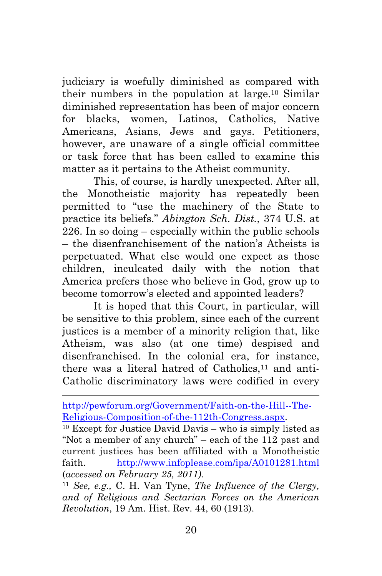judiciary is woefully diminished as compared with their numbers in the population at large.10 Similar diminished representation has been of major concern for blacks, women, Latinos, Catholics, Native Americans, Asians, Jews and gays. Petitioners, however, are unaware of a single official committee or task force that has been called to examine this matter as it pertains to the Atheist community.

This, of course, is hardly unexpected. After all, the Monotheistic majority has repeatedly been permitted to "use the machinery of the State to practice its beliefs." *Abington Sch. Dist.*, 374 U.S. at 226. In so doing – especially within the public schools – the disenfranchisement of the nation's Atheists is perpetuated. What else would one expect as those children, inculcated daily with the notion that America prefers those who believe in God, grow up to become tomorrow's elected and appointed leaders?

It is hoped that this Court, in particular, will be sensitive to this problem, since each of the current justices is a member of a minority religion that, like Atheism, was also (at one time) despised and disenfranchised. In the colonial era, for instance, there was a literal hatred of Catholics,<sup>11</sup> and anti-Catholic discriminatory laws were codified in every

http://pewforum.org/Government/Faith-on-the-Hill--The-Religious-Composition-of-the-112th-Congress.aspx.<br><sup>10</sup> Except for Justice David Davis – who is simply listed as

<sup>&</sup>quot;Not a member of any church" – each of the 112 past and current justices has been affiliated with a Monotheistic faith. http://www.infoplease.com/ipa/A0101281.html (*accessed on February 25, 2011).* 

<sup>11</sup> *See, e.g.,* C. H. Van Tyne, *The Influence of the Clergy, and of Religious and Sectarian Forces on the American Revolution*, 19 Am. Hist. Rev. 44, 60 (1913).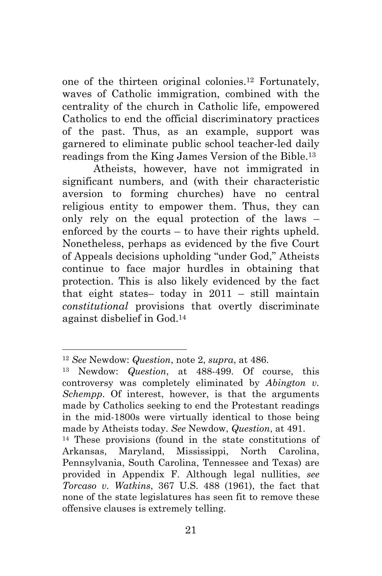one of the thirteen original colonies.12 Fortunately, waves of Catholic immigration, combined with the centrality of the church in Catholic life, empowered Catholics to end the official discriminatory practices of the past. Thus, as an example, support was garnered to eliminate public school teacher-led daily readings from the King James Version of the Bible.13

Atheists, however, have not immigrated in significant numbers, and (with their characteristic aversion to forming churches) have no central religious entity to empower them. Thus, they can only rely on the equal protection of the laws – enforced by the courts – to have their rights upheld. Nonetheless, perhaps as evidenced by the five Court of Appeals decisions upholding "under God," Atheists continue to face major hurdles in obtaining that protection. This is also likely evidenced by the fact that eight states– today in 2011 – still maintain *constitutional* provisions that overtly discriminate against disbelief in God.14

<sup>12</sup> *See* Newdow: *Question*, note 2, *supra*, at 486.

<sup>13</sup> Newdow: *Question*, at 488-499. Of course, this controversy was completely eliminated by *Abington v. Schempp*. Of interest, however, is that the arguments made by Catholics seeking to end the Protestant readings in the mid-1800s were virtually identical to those being made by Atheists today. *See* Newdow, *Question*, at 491.

<sup>14</sup> These provisions (found in the state constitutions of Arkansas, Maryland, Mississippi, North Carolina, Pennsylvania, South Carolina, Tennessee and Texas) are provided in Appendix F. Although legal nullities, *see Torcaso v. Watkins*, 367 U.S. 488 (1961), the fact that none of the state legislatures has seen fit to remove these offensive clauses is extremely telling.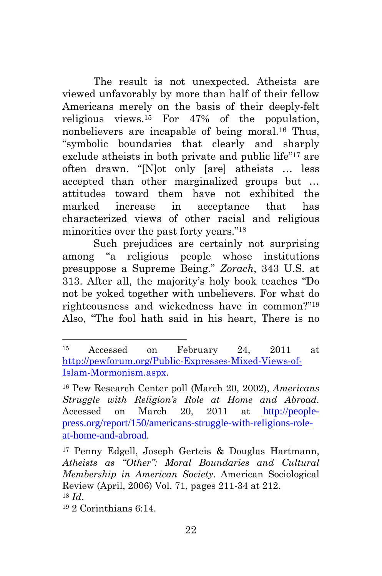The result is not unexpected. Atheists are viewed unfavorably by more than half of their fellow Americans merely on the basis of their deeply-felt religious views.15 For 47% of the population, nonbelievers are incapable of being moral.16 Thus, "symbolic boundaries that clearly and sharply exclude atheists in both private and public life"17 are often drawn. "[N]ot only [are] atheists … less accepted than other marginalized groups but … attitudes toward them have not exhibited the marked increase in acceptance that has characterized views of other racial and religious minorities over the past forty years."18

Such prejudices are certainly not surprising among "a religious people whose institutions presuppose a Supreme Being." *Zorach*, 343 U.S. at 313. After all, the majority's holy book teaches "Do not be yoked together with unbelievers. For what do righteousness and wickedness have in common?"19 Also, "The fool hath said in his heart, There is no

<sup>15</sup> Accessed on February 24, 2011 at http://pewforum.org/Public-Expresses-Mixed-Views-of-Islam-Mormonism.aspx.

<sup>16</sup> Pew Research Center poll (March 20, 2002), *Americans Struggle with Religion's Role at Home and Abroad.* Accessed on March 20, 2011 at http://peoplepress.org/report/150/americans-struggle-with-religions-roleat-home-and-abroad.

<sup>17</sup> Penny Edgell, Joseph Gerteis & Douglas Hartmann, *Atheists as "Other": Moral Boundaries and Cultural Membership in American Society*. American Sociological Review (April, 2006) Vol. 71, pages 211-34 at 212. <sup>18</sup> *Id*. 19 2 Corinthians 6:14.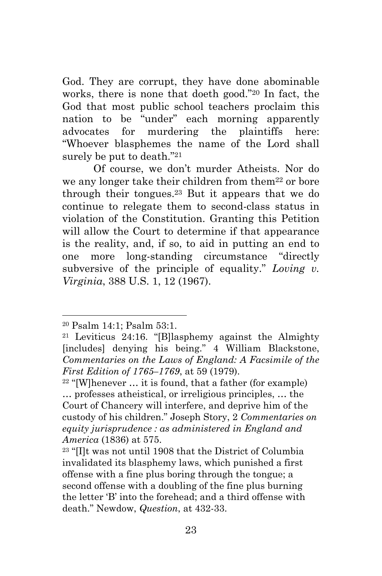God. They are corrupt, they have done abominable works, there is none that doeth good."20 In fact, the God that most public school teachers proclaim this nation to be "under" each morning apparently advocates for murdering the plaintiffs here: "Whoever blasphemes the name of the Lord shall surely be put to death."21

Of course, we don't murder Atheists. Nor do we any longer take their children from them<sup>22</sup> or bore through their tongues.23 But it appears that we do continue to relegate them to second-class status in violation of the Constitution. Granting this Petition will allow the Court to determine if that appearance is the reality, and, if so, to aid in putting an end to one more long-standing circumstance "directly subversive of the principle of equality." *Loving v. Virginia*, 388 U.S. 1, 12 (1967).

<sup>20</sup> Psalm 14:1; Psalm 53:1.

<sup>21</sup> Leviticus 24:16. "[B]lasphemy against the Almighty [includes] denying his being." 4 William Blackstone, *Commentaries on the Laws of England: A Facsimile of the First Edition of 1765–1769*, at 59 (1979).

 $22$  "[W]henever  $\dots$  it is found, that a father (for example) … professes atheistical, or irreligious principles, … the Court of Chancery will interfere, and deprive him of the custody of his children." Joseph Story, 2 *Commentaries on equity jurisprudence : as administered in England and America* (1836) at 575.

<sup>23 &</sup>quot;[I]t was not until 1908 that the District of Columbia invalidated its blasphemy laws, which punished a first offense with a fine plus boring through the tongue; a second offense with a doubling of the fine plus burning the letter 'B' into the forehead; and a third offense with death." Newdow, *Question*, at 432-33.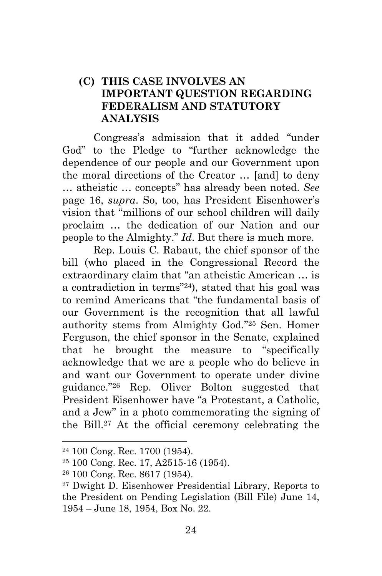### **(C) THIS CASE INVOLVES AN IMPORTANT QUESTION REGARDING FEDERALISM AND STATUTORY ANALYSIS**

Congress's admission that it added "under God" to the Pledge to "further acknowledge the dependence of our people and our Government upon the moral directions of the Creator … [and] to deny … atheistic … concepts" has already been noted. *See*  page 16, *supra*. So, too, has President Eisenhower's vision that "millions of our school children will daily proclaim … the dedication of our Nation and our people to the Almighty." *Id*. But there is much more.

Rep. Louis C. Rabaut, the chief sponsor of the bill (who placed in the Congressional Record the extraordinary claim that "an atheistic American … is a contradiction in terms"24), stated that his goal was to remind Americans that "the fundamental basis of our Government is the recognition that all lawful authority stems from Almighty God."25 Sen. Homer Ferguson, the chief sponsor in the Senate, explained that he brought the measure to "specifically acknowledge that we are a people who do believe in and want our Government to operate under divine guidance."26 Rep. Oliver Bolton suggested that President Eisenhower have "a Protestant, a Catholic, and a Jew" in a photo commemorating the signing of the Bill.27 At the official ceremony celebrating the

<sup>24 100</sup> Cong. Rec. 1700 (1954).

<sup>25 100</sup> Cong. Rec. 17, A2515-16 (1954).

<sup>26 100</sup> Cong. Rec. 8617 (1954).

<sup>27</sup> Dwight D. Eisenhower Presidential Library, Reports to the President on Pending Legislation (Bill File) June 14, 1954 – June 18, 1954, Box No. 22.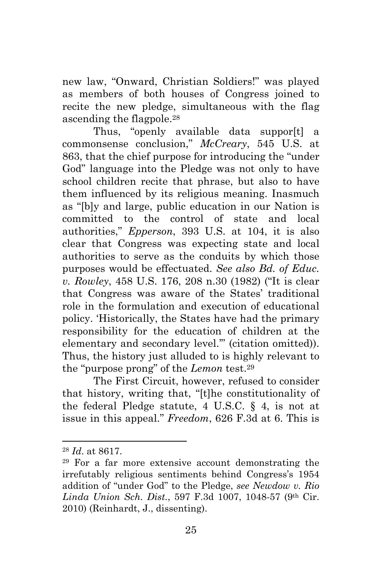new law, "Onward, Christian Soldiers!" was played as members of both houses of Congress joined to recite the new pledge, simultaneous with the flag ascending the flagpole.28

Thus, "openly available data suppor[t] a commonsense conclusion," *McCreary*, 545 U.S. at 863, that the chief purpose for introducing the "under God" language into the Pledge was not only to have school children recite that phrase, but also to have them influenced by its religious meaning. Inasmuch as "[b]y and large, public education in our Nation is committed to the control of state and local authorities," *Epperson*, 393 U.S. at 104, it is also clear that Congress was expecting state and local authorities to serve as the conduits by which those purposes would be effectuated. *See also Bd. of Educ. v. Rowley*, 458 U.S. 176, 208 n.30 (1982) ("It is clear that Congress was aware of the States' traditional role in the formulation and execution of educational policy. 'Historically, the States have had the primary responsibility for the education of children at the elementary and secondary level.'" (citation omitted)). Thus, the history just alluded to is highly relevant to the "purpose prong" of the *Lemon* test.29

The First Circuit, however, refused to consider that history, writing that, "[t]he constitutionality of the federal Pledge statute,  $4 \text{ U.S.C. }$  § 4, is not at issue in this appeal." *Freedom*, 626 F.3d at 6. This is

<sup>28</sup> *Id*. at 8617.

<sup>29</sup> For a far more extensive account demonstrating the irrefutably religious sentiments behind Congress's 1954 addition of "under God" to the Pledge, *see Newdow v. Rio Linda Union Sch. Dist.*, 597 F.3d 1007, 1048-57 (9th Cir. 2010) (Reinhardt, J., dissenting).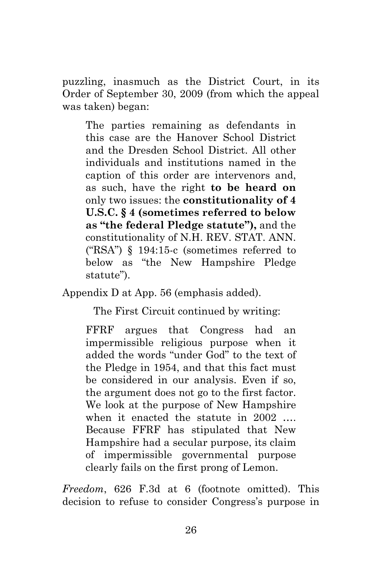puzzling, inasmuch as the District Court, in its Order of September 30, 2009 (from which the appeal was taken) began:

The parties remaining as defendants in this case are the Hanover School District and the Dresden School District. All other individuals and institutions named in the caption of this order are intervenors and, as such, have the right **to be heard on** only two issues: the **constitutionality of 4 U.S.C. § 4 (sometimes referred to below as "the federal Pledge statute"),** and the constitutionality of N.H. REV. STAT. ANN. ("RSA") § 194:15-c (sometimes referred to below as "the New Hampshire Pledge statute").

Appendix D at App. 56 (emphasis added).

The First Circuit continued by writing:

FFRF argues that Congress had an impermissible religious purpose when it added the words "under God" to the text of the Pledge in 1954, and that this fact must be considered in our analysis. Even if so, the argument does not go to the first factor. We look at the purpose of New Hampshire when it enacted the statute in 2002 ... Because FFRF has stipulated that New Hampshire had a secular purpose, its claim of impermissible governmental purpose clearly fails on the first prong of Lemon.

*Freedom*, 626 F.3d at 6 (footnote omitted). This decision to refuse to consider Congress's purpose in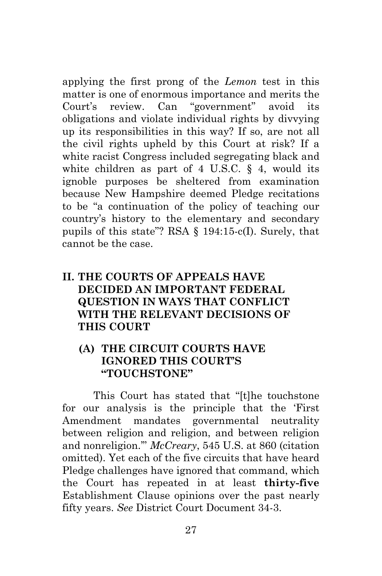applying the first prong of the *Lemon* test in this matter is one of enormous importance and merits the Court's review. Can "government" avoid its obligations and violate individual rights by divvying up its responsibilities in this way? If so, are not all the civil rights upheld by this Court at risk? If a white racist Congress included segregating black and white children as part of  $4 \text{ U.S.C. }$  §  $4$ , would its ignoble purposes be sheltered from examination because New Hampshire deemed Pledge recitations to be "a continuation of the policy of teaching our country's history to the elementary and secondary pupils of this state"? RSA § 194:15-c(I). Surely, that cannot be the case.

### **II. THE COURTS OF APPEALS HAVE DECIDED AN IMPORTANT FEDERAL QUESTION IN WAYS THAT CONFLICT WITH THE RELEVANT DECISIONS OF THIS COURT**

### **(A) THE CIRCUIT COURTS HAVE IGNORED THIS COURT'S "TOUCHSTONE"**

This Court has stated that "[t]he touchstone for our analysis is the principle that the 'First Amendment mandates governmental neutrality between religion and religion, and between religion and nonreligion.'" *McCreary*, 545 U.S. at 860 (citation omitted). Yet each of the five circuits that have heard Pledge challenges have ignored that command, which the Court has repeated in at least **thirty-five** Establishment Clause opinions over the past nearly fifty years. *See* District Court Document 34-3.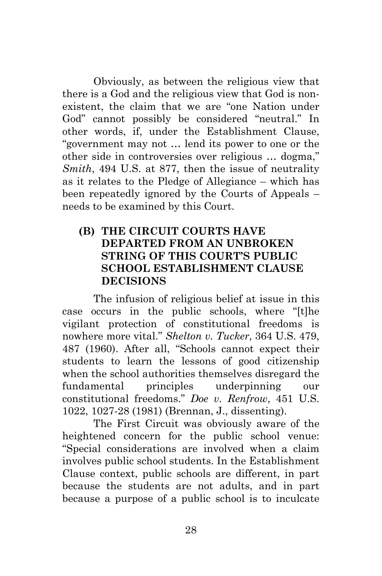Obviously, as between the religious view that there is a God and the religious view that God is nonexistent, the claim that we are "one Nation under God" cannot possibly be considered "neutral." In other words, if, under the Establishment Clause, "government may not … lend its power to one or the other side in controversies over religious … dogma," *Smith*, 494 U.S. at 877, then the issue of neutrality as it relates to the Pledge of Allegiance – which has been repeatedly ignored by the Courts of Appeals – needs to be examined by this Court.

### **(B) THE CIRCUIT COURTS HAVE DEPARTED FROM AN UNBROKEN STRING OF THIS COURT'S PUBLIC SCHOOL ESTABLISHMENT CLAUSE DECISIONS**

The infusion of religious belief at issue in this case occurs in the public schools, where "[t]he vigilant protection of constitutional freedoms is nowhere more vital." *Shelton v. Tucker*, 364 U.S. 479, 487 (1960). After all, "Schools cannot expect their students to learn the lessons of good citizenship when the school authorities themselves disregard the fundamental principles underpinning our constitutional freedoms." *Doe v. Renfrow*, 451 U.S. 1022, 1027-28 (1981) (Brennan, J., dissenting).

The First Circuit was obviously aware of the heightened concern for the public school venue: "Special considerations are involved when a claim involves public school students. In the Establishment Clause context, public schools are different, in part because the students are not adults, and in part because a purpose of a public school is to inculcate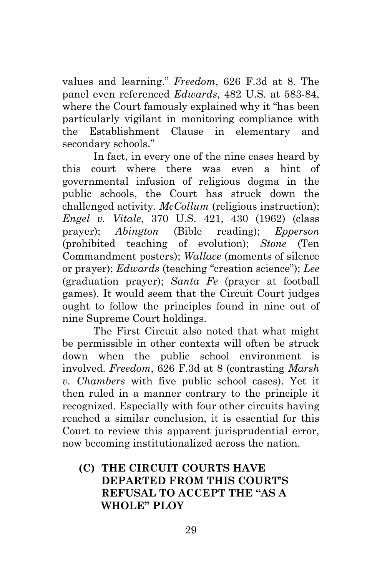values and learning." *Freedom*, 626 F.3d at 8. The panel even referenced *Edwards*, 482 U.S. at 583-84, where the Court famously explained why it "has been particularly vigilant in monitoring compliance with the Establishment Clause in elementary and secondary schools."

In fact, in every one of the nine cases heard by this court where there was even a hint of governmental infusion of religious dogma in the public schools, the Court has struck down the challenged activity. *McCollum* (religious instruction); *Engel v. Vitale*, 370 U.S. 421, 430 (1962) (class prayer); *Abington* (Bible reading); *Epperson* (prohibited teaching of evolution); *Stone* (Ten Commandment posters); *Wallace* (moments of silence or prayer); *Edwards* (teaching "creation science"); *Lee* (graduation prayer); *Santa Fe* (prayer at football games). It would seem that the Circuit Court judges ought to follow the principles found in nine out of nine Supreme Court holdings.

The First Circuit also noted that what might be permissible in other contexts will often be struck down when the public school environment is involved. *Freedom*, 626 F.3d at 8 (contrasting *Marsh v. Chambers* with five public school cases). Yet it then ruled in a manner contrary to the principle it recognized. Especially with four other circuits having reached a similar conclusion, it is essential for this Court to review this apparent jurisprudential error, now becoming institutionalized across the nation.

### **(C) THE CIRCUIT COURTS HAVE DEPARTED FROM THIS COURT'S REFUSAL TO ACCEPT THE "AS A WHOLE" PLOY**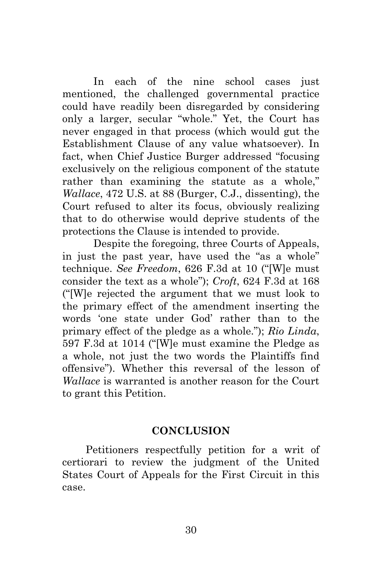In each of the nine school cases just mentioned, the challenged governmental practice could have readily been disregarded by considering only a larger, secular "whole." Yet, the Court has never engaged in that process (which would gut the Establishment Clause of any value whatsoever). In fact, when Chief Justice Burger addressed "focusing exclusively on the religious component of the statute rather than examining the statute as a whole," *Wallace*, 472 U.S. at 88 (Burger, C.J., dissenting), the Court refused to alter its focus, obviously realizing that to do otherwise would deprive students of the protections the Clause is intended to provide.

Despite the foregoing, three Courts of Appeals, in just the past year, have used the "as a whole" technique. *See Freedom*, 626 F.3d at 10 ("[W]e must consider the text as a whole"); *Croft*, 624 F.3d at 168 ("[W]e rejected the argument that we must look to the primary effect of the amendment inserting the words 'one state under God' rather than to the primary effect of the pledge as a whole."); *Rio Linda*, 597 F.3d at 1014 ("[W]e must examine the Pledge as a whole, not just the two words the Plaintiffs find offensive"). Whether this reversal of the lesson of *Wallace* is warranted is another reason for the Court to grant this Petition.

#### **CONCLUSION**

Petitioners respectfully petition for a writ of certiorari to review the judgment of the United States Court of Appeals for the First Circuit in this case.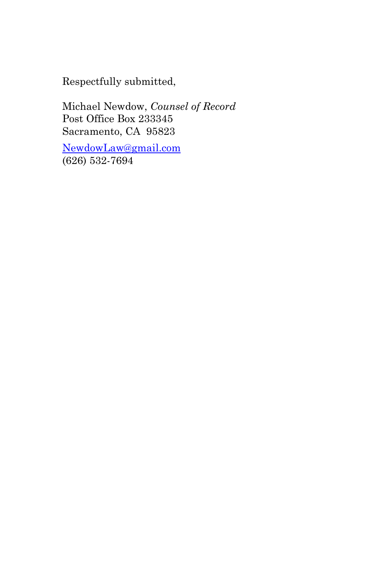Respectfully submitted,

Michael Newdow, *Counsel of Record*  Post Office Box 233345 Sacramento, CA 95823

NewdowLaw@gmail.com (626) 532-7694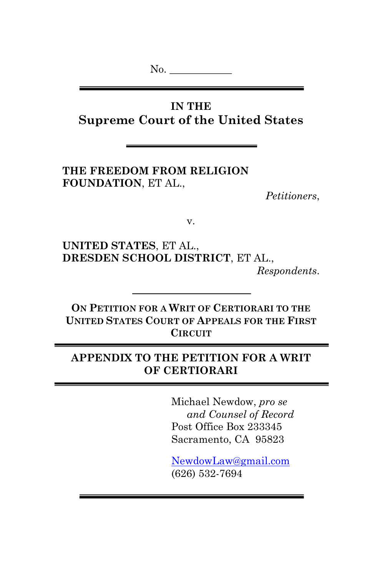No.  $\qquad$ 

# **IN THE Supreme Court of the United States**

**THE FREEDOM FROM RELIGION FOUNDATION**, ET AL.,

*Petitioners*,

v.

**UNITED STATES**, ET AL., **DRESDEN SCHOOL DISTRICT**, ET AL., *Respondents*.

**ON PETITION FOR A WRIT OF CERTIORARI TO THE UNITED STATES COURT OF APPEALS FOR THE FIRST CIRCUIT**

### **APPENDIX TO THE PETITION FOR A WRIT OF CERTIORARI**

Michael Newdow, *pro se and Counsel of Record* Post Office Box 233345 Sacramento, CA 95823

NewdowLaw@gmail.com (626) 532-7694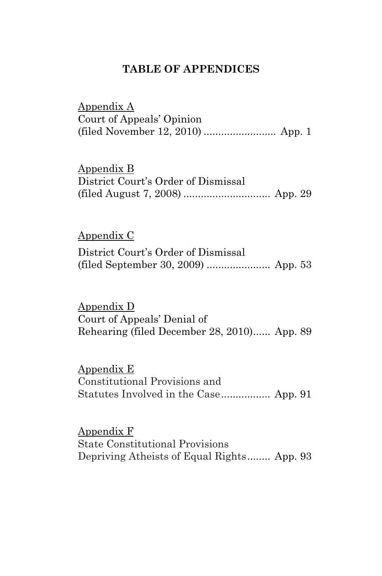### **TABLE OF APPENDICES**

Appendix A Court of Appeals' Opinion (filed November 12, 2010) ......................... App. 1

Appendix B

| District Court's Order of Dismissal |  |
|-------------------------------------|--|
|                                     |  |

### Appendix C

| District Court's Order of Dismissal |  |
|-------------------------------------|--|
|                                     |  |

Appendix D Court of Appeals' Denial of Rehearing (filed December 28, 2010)...... App. 89

Appendix E Constitutional Provisions and Statutes Involved in the Case................. App. 91

Appendix F State Constitutional Provisions Depriving Atheists of Equal Rights........ App. 93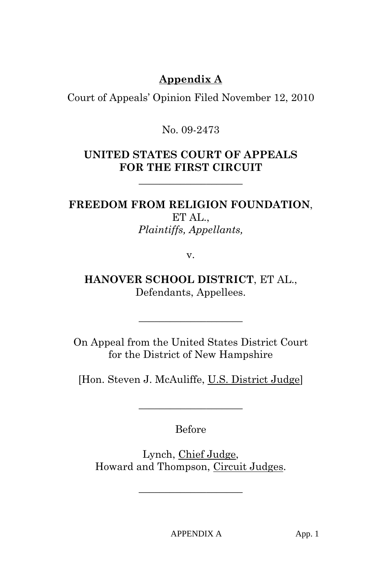# **Appendix A**

Court of Appeals' Opinion Filed November 12, 2010

### No. 09-2473

## **UNITED STATES COURT OF APPEALS FOR THE FIRST CIRCUIT**

**\_\_\_\_\_\_\_\_\_\_\_\_\_\_\_\_\_\_\_\_** 

# **FREEDOM FROM RELIGION FOUNDATION**,

ET AL., *Plaintiffs, Appellants,* 

v.

**HANOVER SCHOOL DISTRICT**, ET AL., Defendants, Appellees.

On Appeal from the United States District Court for the District of New Hampshire

**\_\_\_\_\_\_\_\_\_\_\_\_\_\_\_\_\_\_\_\_** 

[Hon. Steven J. McAuliffe, U.S. District Judge]

Before

**\_\_\_\_\_\_\_\_\_\_\_\_\_\_\_\_\_\_\_\_** 

Lynch, Chief Judge, Howard and Thompson, Circuit Judges.

**\_\_\_\_\_\_\_\_\_\_\_\_\_\_\_\_\_\_\_\_**

APPENDIX A App. 1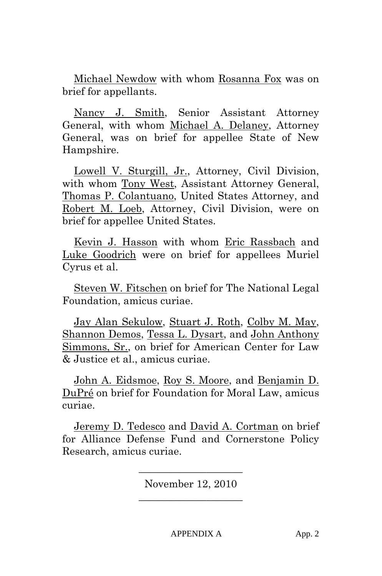Michael Newdow with whom Rosanna Fox was on brief for appellants.

 Nancy J. Smith, Senior Assistant Attorney General, with whom Michael A. Delaney, Attorney General, was on brief for appellee State of New Hampshire.

 Lowell V. Sturgill, Jr., Attorney, Civil Division, with whom Tony West, Assistant Attorney General, Thomas P. Colantuano, United States Attorney, and Robert M. Loeb, Attorney, Civil Division, were on brief for appellee United States.

 Kevin J. Hasson with whom Eric Rassbach and Luke Goodrich were on brief for appellees Muriel Cyrus et al.

 Steven W. Fitschen on brief for The National Legal Foundation, amicus curiae.

 Jay Alan Sekulow, Stuart J. Roth, Colby M. May, Shannon Demos, Tessa L. Dysart, and John Anthony Simmons, Sr., on brief for American Center for Law & Justice et al., amicus curiae.

 John A. Eidsmoe, Roy S. Moore, and Benjamin D. DuPré on brief for Foundation for Moral Law, amicus curiae.

 Jeremy D. Tedesco and David A. Cortman on brief for Alliance Defense Fund and Cornerstone Policy Research, amicus curiae.

> **\_\_\_\_\_\_\_\_\_\_\_\_\_\_\_\_\_\_\_\_**  November 12, 2010 **\_\_\_\_\_\_\_\_\_\_\_\_\_\_\_\_\_\_\_\_**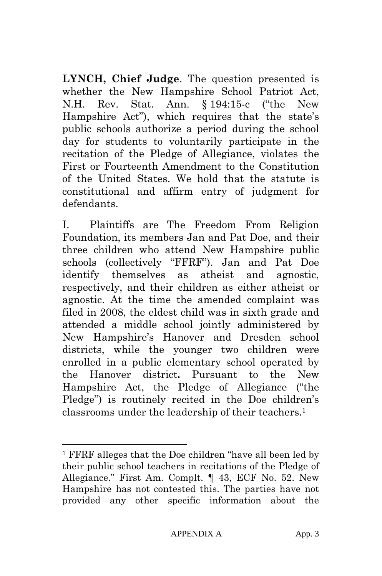**LYNCH, Chief Judge**. The question presented is whether the New Hampshire School Patriot Act, N.H. Rev. Stat. Ann. § 194:15-c ("the New Hampshire Act"), which requires that the state's public schools authorize a period during the school day for students to voluntarily participate in the recitation of the Pledge of Allegiance, violates the First or Fourteenth Amendment to the Constitution of the United States. We hold that the statute is constitutional and affirm entry of judgment for defendants.

I. Plaintiffs are The Freedom From Religion Foundation, its members Jan and Pat Doe, and their three children who attend New Hampshire public schools (collectively "FFRF"). Jan and Pat Doe identify themselves as atheist and agnostic, respectively, and their children as either atheist or agnostic. At the time the amended complaint was filed in 2008, the eldest child was in sixth grade and attended a middle school jointly administered by New Hampshire's Hanover and Dresden school districts, while the younger two children were enrolled in a public elementary school operated by the Hanover district**.** Pursuant to the New Hampshire Act, the Pledge of Allegiance ("the Pledge") is routinely recited in the Doe children's classrooms under the leadership of their teachers.1

<sup>1</sup> FFRF alleges that the Doe children "have all been led by their public school teachers in recitations of the Pledge of Allegiance." First Am. Complt. ¶ 43, ECF No. 52. New Hampshire has not contested this. The parties have not provided any other specific information about the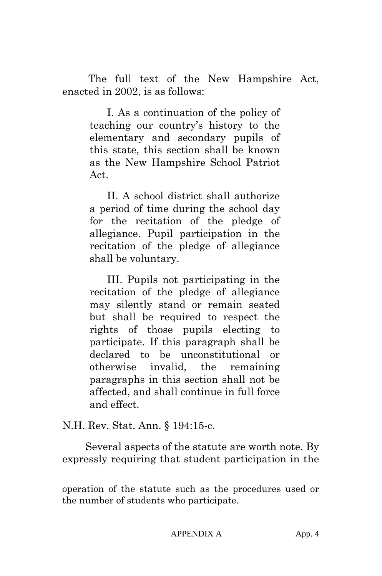The full text of the New Hampshire Act, enacted in 2002, is as follows:

> I. As a continuation of the policy of teaching our country's history to the elementary and secondary pupils of this state, this section shall be known as the New Hampshire School Patriot Act.

> II. A school district shall authorize a period of time during the school day for the recitation of the pledge of allegiance. Pupil participation in the recitation of the pledge of allegiance shall be voluntary.

> III. Pupils not participating in the recitation of the pledge of allegiance may silently stand or remain seated but shall be required to respect the rights of those pupils electing to participate. If this paragraph shall be declared to be unconstitutional or otherwise invalid, the remaining paragraphs in this section shall not be affected, and shall continue in full force and effect.

N.H. Rev. Stat. Ann. § 194:15-c.

l

 Several aspects of the statute are worth note. By expressly requiring that student participation in the

operation of the statute such as the procedures used or the number of students who participate.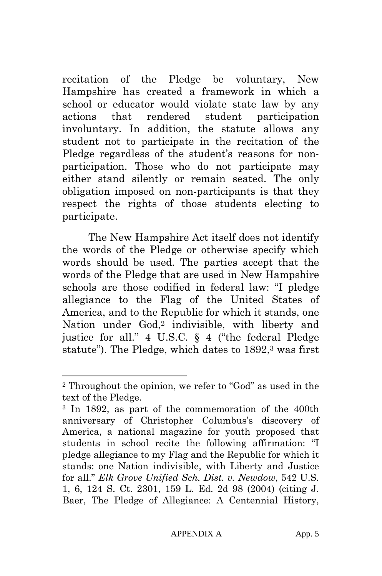recitation of the Pledge be voluntary, New Hampshire has created a framework in which a school or educator would violate state law by any actions that rendered student participation involuntary. In addition, the statute allows any student not to participate in the recitation of the Pledge regardless of the student's reasons for nonparticipation. Those who do not participate may either stand silently or remain seated. The only obligation imposed on non-participants is that they respect the rights of those students electing to participate.

 The New Hampshire Act itself does not identify the words of the Pledge or otherwise specify which words should be used. The parties accept that the words of the Pledge that are used in New Hampshire schools are those codified in federal law: "I pledge allegiance to the Flag of the United States of America, and to the Republic for which it stands, one Nation under God,<sup>2</sup> indivisible, with liberty and justice for all." 4 U.S.C. § 4 ("the federal Pledge statute"). The Pledge, which dates to 1892,<sup>3</sup> was first

<sup>2</sup> Throughout the opinion, we refer to "God" as used in the text of the Pledge.

<sup>3</sup> In 1892, as part of the commemoration of the 400th anniversary of Christopher Columbus's discovery of America, a national magazine for youth proposed that students in school recite the following affirmation: "I pledge allegiance to my Flag and the Republic for which it stands: one Nation indivisible, with Liberty and Justice for all." *Elk Grove Unified Sch. Dist. v. Newdow*, 542 U.S. 1, 6, 124 S. Ct. 2301, 159 L. Ed. 2d 98 (2004) (citing J. Baer, The Pledge of Allegiance: A Centennial History,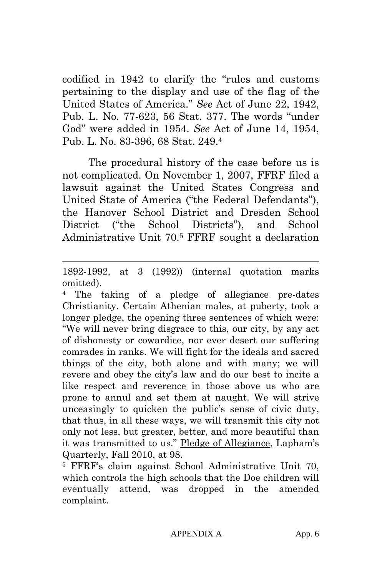codified in 1942 to clarify the "rules and customs pertaining to the display and use of the flag of the United States of America." *See* Act of June 22, 1942, Pub. L. No. 77-623, 56 Stat. 377. The words "under God" were added in 1954. *See* Act of June 14, 1954, Pub. L. No. 83-396, 68 Stat. 249.4

 The procedural history of the case before us is not complicated. On November 1, 2007, FFRF filed a lawsuit against the United States Congress and United State of America ("the Federal Defendants"), the Hanover School District and Dresden School District ("the School Districts"), and School Administrative Unit 70.5 FFRF sought a declaration

 $\overline{a}$ 

The taking of a pledge of allegiance pre-dates Christianity. Certain Athenian males, at puberty, took a longer pledge, the opening three sentences of which were: "We will never bring disgrace to this, our city, by any act of dishonesty or cowardice, nor ever desert our suffering comrades in ranks. We will fight for the ideals and sacred things of the city, both alone and with many; we will revere and obey the city's law and do our best to incite a like respect and reverence in those above us who are prone to annul and set them at naught. We will strive unceasingly to quicken the public's sense of civic duty, that thus, in all these ways, we will transmit this city not only not less, but greater, better, and more beautiful than it was transmitted to us." Pledge of Allegiance, Lapham's Quarterly, Fall 2010, at 98.

5 FFRF's claim against School Administrative Unit 70, which controls the high schools that the Doe children will eventually attend, was dropped in the amended complaint.

<sup>1892-1992,</sup> at 3 (1992)) (internal quotation marks omitted).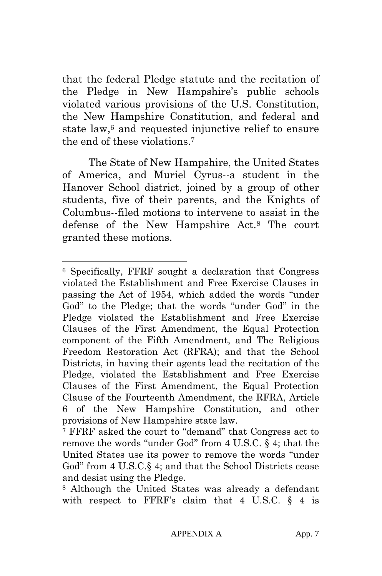that the federal Pledge statute and the recitation of the Pledge in New Hampshire's public schools violated various provisions of the U.S. Constitution, the New Hampshire Constitution, and federal and state law,6 and requested injunctive relief to ensure the end of these violations<sup>7</sup>

 The State of New Hampshire, the United States of America, and Muriel Cyrus--a student in the Hanover School district, joined by a group of other students, five of their parents, and the Knights of Columbus--filed motions to intervene to assist in the defense of the New Hampshire Act.8 The court granted these motions.

<sup>6</sup> Specifically, FFRF sought a declaration that Congress violated the Establishment and Free Exercise Clauses in passing the Act of 1954, which added the words "under God" to the Pledge; that the words "under God" in the Pledge violated the Establishment and Free Exercise Clauses of the First Amendment, the Equal Protection component of the Fifth Amendment, and The Religious Freedom Restoration Act (RFRA); and that the School Districts, in having their agents lead the recitation of the Pledge, violated the Establishment and Free Exercise Clauses of the First Amendment, the Equal Protection Clause of the Fourteenth Amendment, the RFRA, Article 6 of the New Hampshire Constitution, and other provisions of New Hampshire state law.

<sup>7</sup> FFRF asked the court to "demand" that Congress act to remove the words "under God" from 4 U.S.C. § 4; that the United States use its power to remove the words "under God" from 4 U.S.C.§ 4; and that the School Districts cease and desist using the Pledge.

<sup>8</sup> Although the United States was already a defendant with respect to FFRF's claim that 4 U.S.C.  $\S$  4 is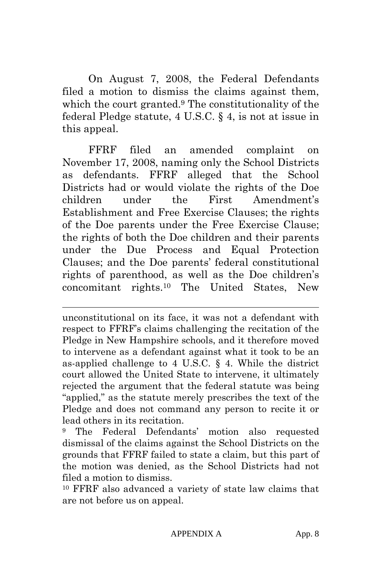On August 7, 2008, the Federal Defendants filed a motion to dismiss the claims against them, which the court granted.9 The constitutionality of the federal Pledge statute, 4 U.S.C. § 4, is not at issue in this appeal.

 FFRF filed an amended complaint on November 17, 2008, naming only the School Districts as defendants. FFRF alleged that the School Districts had or would violate the rights of the Doe children under the First Amendment's Establishment and Free Exercise Clauses; the rights of the Doe parents under the Free Exercise Clause; the rights of both the Doe children and their parents under the Due Process and Equal Protection Clauses; and the Doe parents' federal constitutional rights of parenthood, as well as the Doe children's concomitant rights.10 The United States, New

unconstitutional on its face, it was not a defendant with respect to FFRF's claims challenging the recitation of the Pledge in New Hampshire schools, and it therefore moved to intervene as a defendant against what it took to be an as-applied challenge to 4 U.S.C. § 4. While the district court allowed the United State to intervene, it ultimately rejected the argument that the federal statute was being "applied," as the statute merely prescribes the text of the Pledge and does not command any person to recite it or lead others in its recitation.

 $\overline{a}$ 

9 The Federal Defendants' motion also requested dismissal of the claims against the School Districts on the grounds that FFRF failed to state a claim, but this part of the motion was denied, as the School Districts had not filed a motion to dismiss.

10 FFRF also advanced a variety of state law claims that are not before us on appeal.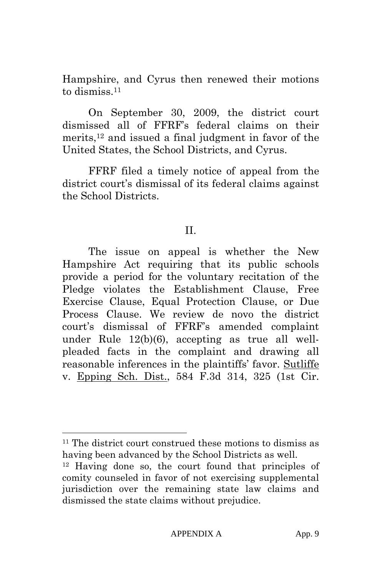Hampshire, and Cyrus then renewed their motions to dismiss.11

 On September 30, 2009, the district court dismissed all of FFRF's federal claims on their merits,12 and issued a final judgment in favor of the United States, the School Districts, and Cyrus.

 FFRF filed a timely notice of appeal from the district court's dismissal of its federal claims against the School Districts.

#### II.

 The issue on appeal is whether the New Hampshire Act requiring that its public schools provide a period for the voluntary recitation of the Pledge violates the Establishment Clause, Free Exercise Clause, Equal Protection Clause, or Due Process Clause. We review de novo the district court's dismissal of FFRF's amended complaint under Rule 12(b)(6), accepting as true all wellpleaded facts in the complaint and drawing all reasonable inferences in the plaintiffs' favor. Sutliffe v. Epping Sch. Dist., 584 F.3d 314, 325 (1st Cir.

 $11$  The district court construed these motions to dismiss as having been advanced by the School Districts as well.

<sup>12</sup> Having done so, the court found that principles of comity counseled in favor of not exercising supplemental jurisdiction over the remaining state law claims and dismissed the state claims without prejudice.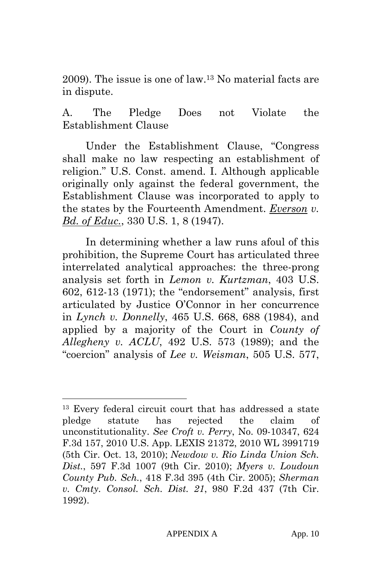2009). The issue is one of law.13 No material facts are in dispute.

A. The Pledge Does not Violate the Establishment Clause

Under the Establishment Clause, "Congress shall make no law respecting an establishment of religion." U.S. Const. amend. I. Although applicable originally only against the federal government, the Establishment Clause was incorporated to apply to the states by the Fourteenth Amendment. *Everson v. Bd. of Educ.*, 330 U.S. 1, 8 (1947).

In determining whether a law runs afoul of this prohibition, the Supreme Court has articulated three interrelated analytical approaches: the three-prong analysis set forth in *Lemon v. Kurtzman*, 403 U.S. 602, 612-13 (1971); the "endorsement" analysis, first articulated by Justice O'Connor in her concurrence in *Lynch v. Donnelly*, 465 U.S. 668, 688 (1984), and applied by a majority of the Court in *County of Allegheny v. ACLU*, 492 U.S. 573 (1989); and the "coercion" analysis of *Lee v. Weisman*, 505 U.S. 577,

<sup>13</sup> Every federal circuit court that has addressed a state pledge statute has rejected the claim of unconstitutionality. *See Croft v. Perry*, No. 09-10347, 624 F.3d 157, 2010 U.S. App. LEXIS 21372, 2010 WL 3991719 (5th Cir. Oct. 13, 2010); *Newdow v. Rio Linda Union Sch. Dist.*, 597 F.3d 1007 (9th Cir. 2010); *Myers v. Loudoun County Pub. Sch.*, 418 F.3d 395 (4th Cir. 2005); *Sherman v. Cmty. Consol. Sch. Dist. 21*, 980 F.2d 437 (7th Cir. 1992).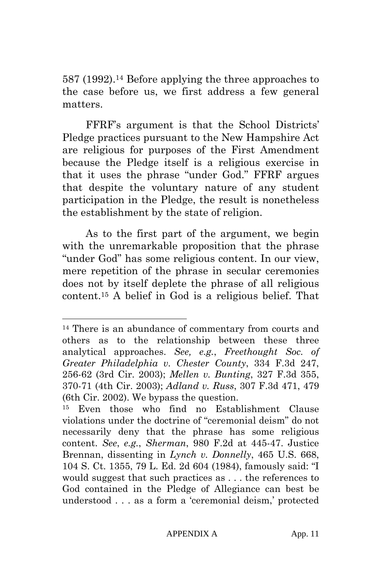587 (1992).14 Before applying the three approaches to the case before us, we first address a few general matters.

FFRF's argument is that the School Districts' Pledge practices pursuant to the New Hampshire Act are religious for purposes of the First Amendment because the Pledge itself is a religious exercise in that it uses the phrase "under God." FFRF argues that despite the voluntary nature of any student participation in the Pledge, the result is nonetheless the establishment by the state of religion.

As to the first part of the argument, we begin with the unremarkable proposition that the phrase "under God" has some religious content. In our view, mere repetition of the phrase in secular ceremonies does not by itself deplete the phrase of all religious content.15 A belief in God is a religious belief. That

<sup>14</sup> There is an abundance of commentary from courts and others as to the relationship between these three analytical approaches. *See, e.g.*, *Freethought Soc. of Greater Philadelphia v. Chester County*, 334 F.3d 247, 256-62 (3rd Cir. 2003); *Mellen v. Bunting*, 327 F.3d 355, 370-71 (4th Cir. 2003); *Adland v. Russ*, 307 F.3d 471, 479 (6th Cir. 2002). We bypass the question.

Even those who find no Establishment Clause violations under the doctrine of "ceremonial deism" do not necessarily deny that the phrase has some religious content. *See*, *e.g.*, *Sherman*, 980 F.2d at 445-47. Justice Brennan, dissenting in *Lynch v. Donnelly*, 465 U.S. 668, 104 S. Ct. 1355, 79 L. Ed. 2d 604 (1984), famously said: "I would suggest that such practices as . . . the references to God contained in the Pledge of Allegiance can best be understood . . . as a form a 'ceremonial deism,' protected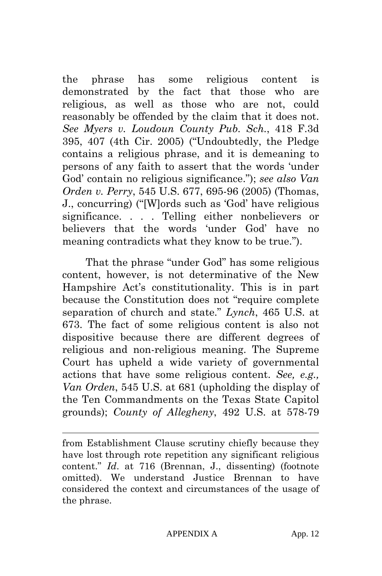the phrase has some religious content is demonstrated by the fact that those who are religious, as well as those who are not, could reasonably be offended by the claim that it does not. *See Myers v. Loudoun County Pub. Sch.*, 418 F.3d 395, 407 (4th Cir. 2005) ("Undoubtedly, the Pledge contains a religious phrase, and it is demeaning to persons of any faith to assert that the words 'under God' contain no religious significance."); *see also Van Orden v. Perry*, 545 U.S. 677, 695-96 (2005) (Thomas, J., concurring) ("[W]ords such as 'God' have religious significance. . . . Telling either nonbelievers or believers that the words 'under God' have no meaning contradicts what they know to be true.").

That the phrase "under God" has some religious content, however, is not determinative of the New Hampshire Act's constitutionality. This is in part because the Constitution does not "require complete separation of church and state." *Lynch*, 465 U.S. at 673. The fact of some religious content is also not dispositive because there are different degrees of religious and non-religious meaning. The Supreme Court has upheld a wide variety of governmental actions that have some religious content. *See, e.g., Van Orden*, 545 U.S. at 681 (upholding the display of the Ten Commandments on the Texas State Capitol grounds); *County of Allegheny*, 492 U.S. at 578-79

from Establishment Clause scrutiny chiefly because they have lost through rote repetition any significant religious content." *Id*. at 716 (Brennan, J., dissenting) (footnote omitted). We understand Justice Brennan to have considered the context and circumstances of the usage of the phrase.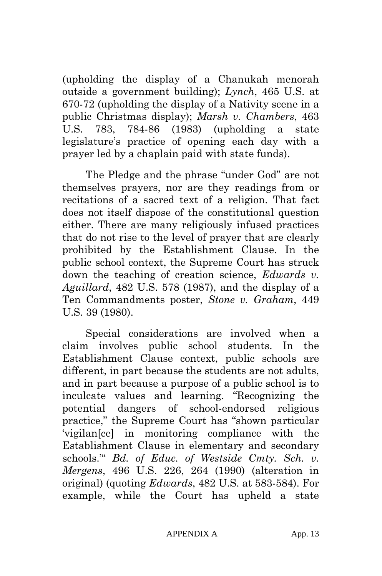(upholding the display of a Chanukah menorah outside a government building); *Lynch*, 465 U.S. at 670-72 (upholding the display of a Nativity scene in a public Christmas display); *Marsh v. Chambers*, 463 U.S. 783, 784-86 (1983) (upholding a state legislature's practice of opening each day with a prayer led by a chaplain paid with state funds).

The Pledge and the phrase "under God" are not themselves prayers, nor are they readings from or recitations of a sacred text of a religion. That fact does not itself dispose of the constitutional question either. There are many religiously infused practices that do not rise to the level of prayer that are clearly prohibited by the Establishment Clause. In the public school context, the Supreme Court has struck down the teaching of creation science, *Edwards v. Aguillard*, 482 U.S. 578 (1987), and the display of a Ten Commandments poster, *Stone v. Graham*, 449 U.S. 39 (1980).

Special considerations are involved when a claim involves public school students. In the Establishment Clause context, public schools are different, in part because the students are not adults, and in part because a purpose of a public school is to inculcate values and learning. "Recognizing the potential dangers of school-endorsed religious practice," the Supreme Court has "shown particular 'vigilan[ce] in monitoring compliance with the Establishment Clause in elementary and secondary schools.'" *Bd. of Educ. of Westside Cmty. Sch. v. Mergens*, 496 U.S. 226, 264 (1990) (alteration in original) (quoting *Edwards*, 482 U.S. at 583-584). For example, while the Court has upheld a state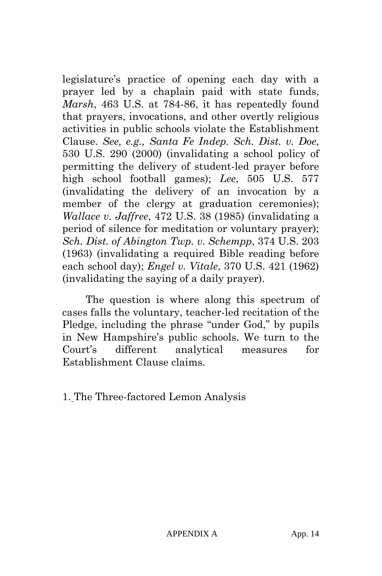legislature's practice of opening each day with a prayer led by a chaplain paid with state funds, *Marsh*, 463 U.S. at 784-86, it has repeatedly found that prayers, invocations, and other overtly religious activities in public schools violate the Establishment Clause. *See, e.g., Santa Fe Indep. Sch. Dist. v. Doe*, 530 U.S. 290 (2000) (invalidating a school policy of permitting the delivery of student-led prayer before high school football games); *Lee*, 505 U.S. 577 (invalidating the delivery of an invocation by a member of the clergy at graduation ceremonies); *Wallace v. Jaffree*, 472 U.S. 38 (1985) (invalidating a period of silence for meditation or voluntary prayer); *Sch. Dist. of Abington Twp. v. Schempp*, 374 U.S. 203 (1963) (invalidating a required Bible reading before each school day); *Engel v. Vitale*, 370 U.S. 421 (1962) (invalidating the saying of a daily prayer).

The question is where along this spectrum of cases falls the voluntary, teacher-led recitation of the Pledge, including the phrase "under God," by pupils in New Hampshire's public schools. We turn to the Court's different analytical measures for Establishment Clause claims.

1. The Three-factored Lemon Analysis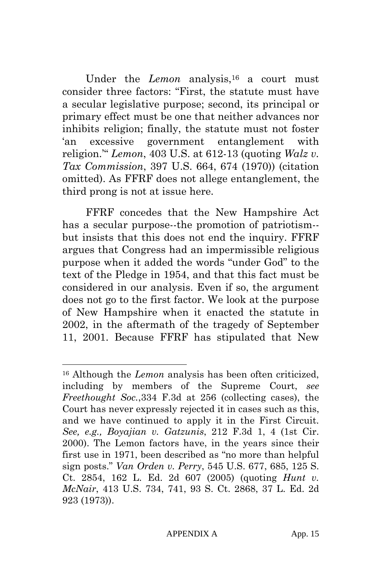Under the *Lemon* analysis,<sup>16</sup> a court must consider three factors: "First, the statute must have a secular legislative purpose; second, its principal or primary effect must be one that neither advances nor inhibits religion; finally, the statute must not foster 'an excessive government entanglement with religion.'" *Lemon*, 403 U.S. at 612-13 (quoting *Walz v. Tax Commission*, 397 U.S. 664, 674 (1970)) (citation omitted). As FFRF does not allege entanglement, the third prong is not at issue here.

FFRF concedes that the New Hampshire Act has a secular purpose--the promotion of patriotism- but insists that this does not end the inquiry. FFRF argues that Congress had an impermissible religious purpose when it added the words "under God" to the text of the Pledge in 1954, and that this fact must be considered in our analysis. Even if so, the argument does not go to the first factor. We look at the purpose of New Hampshire when it enacted the statute in 2002, in the aftermath of the tragedy of September 11, 2001. Because FFRF has stipulated that New

<sup>16</sup> Although the *Lemon* analysis has been often criticized, including by members of the Supreme Court, *see Freethought Soc.*,334 F.3d at 256 (collecting cases), the Court has never expressly rejected it in cases such as this, and we have continued to apply it in the First Circuit. *See, e.g., Boyajian v. Gatzunis*, 212 F.3d 1, 4 (1st Cir. 2000). The Lemon factors have, in the years since their first use in 1971, been described as "no more than helpful sign posts." *Van Orden v. Perry*, 545 U.S. 677, 685, 125 S. Ct. 2854, 162 L. Ed. 2d 607 (2005) (quoting *Hunt v. McNair*, 413 U.S. 734, 741, 93 S. Ct. 2868, 37 L. Ed. 2d 923 (1973)).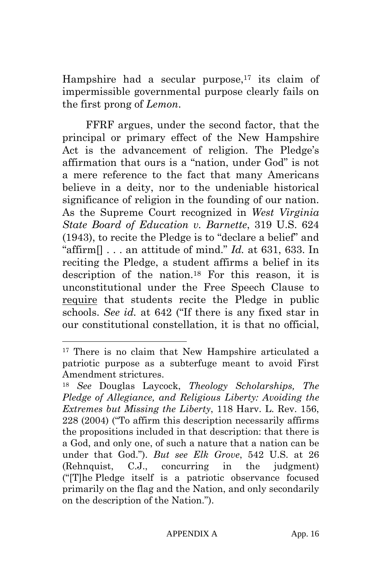Hampshire had a secular purpose,<sup>17</sup> its claim of impermissible governmental purpose clearly fails on the first prong of *Lemon*.

FFRF argues, under the second factor, that the principal or primary effect of the New Hampshire Act is the advancement of religion. The Pledge's affirmation that ours is a "nation, under God" is not a mere reference to the fact that many Americans believe in a deity, nor to the undeniable historical significance of religion in the founding of our nation. As the Supreme Court recognized in *West Virginia State Board of Education v. Barnette*, 319 U.S. 624 (1943), to recite the Pledge is to "declare a belief" and "affirm $[] \ldots$  an attitude of mind." *Id.* at 631, 633. In reciting the Pledge, a student affirms a belief in its description of the nation.18 For this reason, it is unconstitutional under the Free Speech Clause to require that students recite the Pledge in public schools. *See id.* at 642 ("If there is any fixed star in our constitutional constellation, it is that no official,

<sup>&</sup>lt;sup>17</sup> There is no claim that New Hampshire articulated a patriotic purpose as a subterfuge meant to avoid First Amendment strictures.

<sup>18</sup> *See* Douglas Laycock, *Theology Scholarships, The Pledge of Allegiance, and Religious Liberty: Avoiding the Extremes but Missing the Liberty*, 118 Harv. L. Rev. 156, 228 (2004) ("To affirm this description necessarily affirms the propositions included in that description: that there is a God, and only one, of such a nature that a nation can be under that God."). *But see Elk Grove*, 542 U.S. at 26 (Rehnquist, C.J., concurring in the judgment) ("[T]he Pledge itself is a patriotic observance focused primarily on the flag and the Nation, and only secondarily on the description of the Nation.").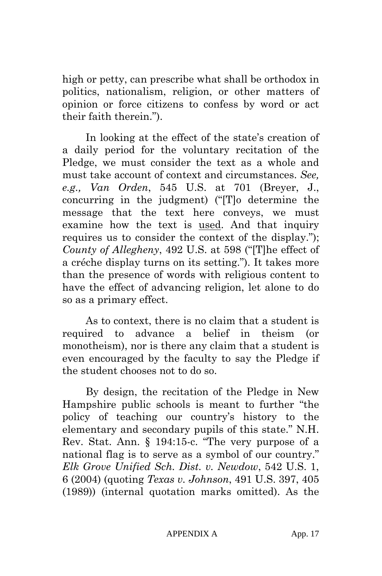high or petty, can prescribe what shall be orthodox in politics, nationalism, religion, or other matters of opinion or force citizens to confess by word or act their faith therein.").

In looking at the effect of the state's creation of a daily period for the voluntary recitation of the Pledge, we must consider the text as a whole and must take account of context and circumstances. *See, e.g., Van Orden*, 545 U.S. at 701 (Breyer, J., concurring in the judgment) ("[T]o determine the message that the text here conveys, we must examine how the text is used. And that inquiry requires us to consider the context of the display."); *County of Allegheny*, 492 U.S. at 598 ("[T]he effect of a créche display turns on its setting."). It takes more than the presence of words with religious content to have the effect of advancing religion, let alone to do so as a primary effect.

As to context, there is no claim that a student is required to advance a belief in theism (or monotheism), nor is there any claim that a student is even encouraged by the faculty to say the Pledge if the student chooses not to do so.

By design, the recitation of the Pledge in New Hampshire public schools is meant to further "the policy of teaching our country's history to the elementary and secondary pupils of this state." N.H. Rev. Stat. Ann. § 194:15-c. "The very purpose of a national flag is to serve as a symbol of our country." *Elk Grove Unified Sch. Dist. v. Newdow*, 542 U.S. 1, 6 (2004) (quoting *Texas v. Johnson*, 491 U.S. 397, 405 (1989)) (internal quotation marks omitted). As the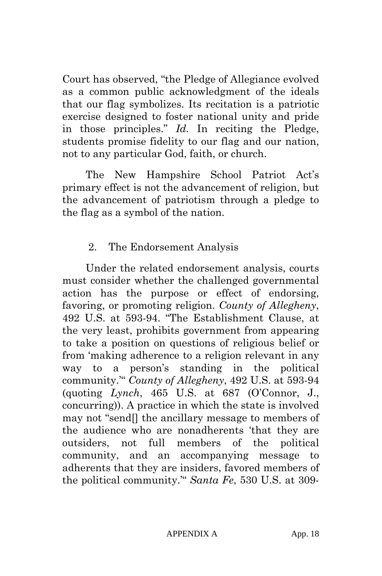Court has observed, "the Pledge of Allegiance evolved as a common public acknowledgment of the ideals that our flag symbolizes. Its recitation is a patriotic exercise designed to foster national unity and pride in those principles." *Id.* In reciting the Pledge, students promise fidelity to our flag and our nation, not to any particular God, faith, or church.

The New Hampshire School Patriot Act's primary effect is not the advancement of religion, but the advancement of patriotism through a pledge to the flag as a symbol of the nation.

### 2. The Endorsement Analysis

Under the related endorsement analysis, courts must consider whether the challenged governmental action has the purpose or effect of endorsing, favoring, or promoting religion. *County of Allegheny*, 492 U.S. at 593-94. "The Establishment Clause, at the very least, prohibits government from appearing to take a position on questions of religious belief or from 'making adherence to a religion relevant in any way to a person's standing in the political community.'" *County of Allegheny*, 492 U.S. at 593-94 (quoting *Lynch*, 465 U.S. at 687 (O'Connor, J., concurring)). A practice in which the state is involved may not "send[] the ancillary message to members of the audience who are nonadherents 'that they are outsiders, not full members of the political community, and an accompanying message to adherents that they are insiders, favored members of the political community.'" *Santa Fe*, 530 U.S. at 309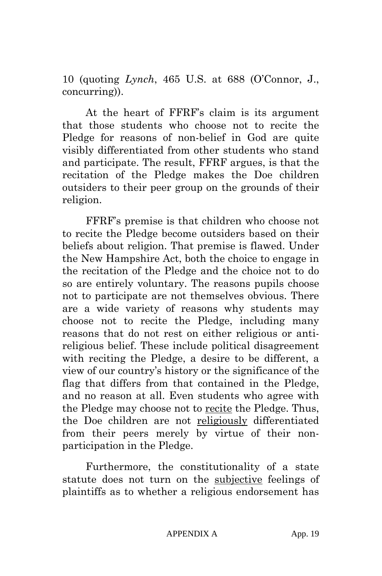10 (quoting *Lynch*, 465 U.S. at 688 (O'Connor, J., concurring)).

At the heart of FFRF's claim is its argument that those students who choose not to recite the Pledge for reasons of non-belief in God are quite visibly differentiated from other students who stand and participate. The result, FFRF argues, is that the recitation of the Pledge makes the Doe children outsiders to their peer group on the grounds of their religion.

FFRF's premise is that children who choose not to recite the Pledge become outsiders based on their beliefs about religion. That premise is flawed. Under the New Hampshire Act, both the choice to engage in the recitation of the Pledge and the choice not to do so are entirely voluntary. The reasons pupils choose not to participate are not themselves obvious. There are a wide variety of reasons why students may choose not to recite the Pledge, including many reasons that do not rest on either religious or antireligious belief. These include political disagreement with reciting the Pledge, a desire to be different, a view of our country's history or the significance of the flag that differs from that contained in the Pledge, and no reason at all. Even students who agree with the Pledge may choose not to recite the Pledge. Thus, the Doe children are not religiously differentiated from their peers merely by virtue of their nonparticipation in the Pledge.

Furthermore, the constitutionality of a state statute does not turn on the subjective feelings of plaintiffs as to whether a religious endorsement has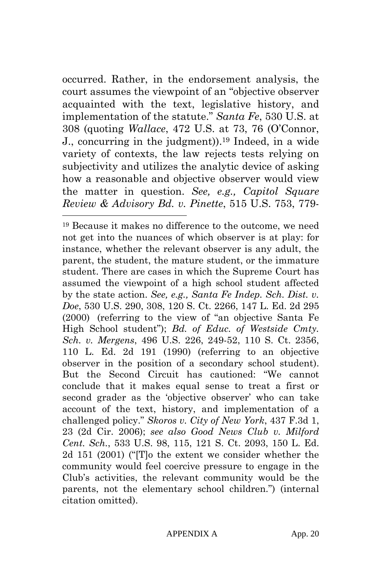occurred. Rather, in the endorsement analysis, the court assumes the viewpoint of an "objective observer acquainted with the text, legislative history, and implementation of the statute." *Santa Fe*, 530 U.S. at 308 (quoting *Wallace*, 472 U.S. at 73, 76 (O'Connor, J., concurring in the judgment)).19 Indeed, in a wide variety of contexts, the law rejects tests relying on subjectivity and utilizes the analytic device of asking how a reasonable and objective observer would view the matter in question. *See, e.g., Capitol Square Review & Advisory Bd. v. Pinette*, 515 U.S. 753, 779-

 $\overline{a}$ 

19 Because it makes no difference to the outcome, we need not get into the nuances of which observer is at play: for instance, whether the relevant observer is any adult, the parent, the student, the mature student, or the immature student. There are cases in which the Supreme Court has assumed the viewpoint of a high school student affected by the state action. *See, e.g., Santa Fe Indep. Sch. Dist. v. Doe*, 530 U.S. 290, 308, 120 S. Ct. 2266, 147 L. Ed. 2d 295 (2000) (referring to the view of "an objective Santa Fe High School student"); *Bd. of Educ. of Westside Cmty. Sch. v. Mergens*, 496 U.S. 226, 249-52, 110 S. Ct. 2356, 110 L. Ed. 2d 191 (1990) (referring to an objective observer in the position of a secondary school student). But the Second Circuit has cautioned: "We cannot conclude that it makes equal sense to treat a first or second grader as the 'objective observer' who can take account of the text, history, and implementation of a challenged policy." *Skoros v. City of New York*, 437 F.3d 1, 23 (2d Cir. 2006); *see also Good News Club v. Milford Cent. Sch.*, 533 U.S. 98, 115, 121 S. Ct. 2093, 150 L. Ed. 2d 151 (2001) ("[T]o the extent we consider whether the community would feel coercive pressure to engage in the Club's activities, the relevant community would be the parents, not the elementary school children.") (internal citation omitted).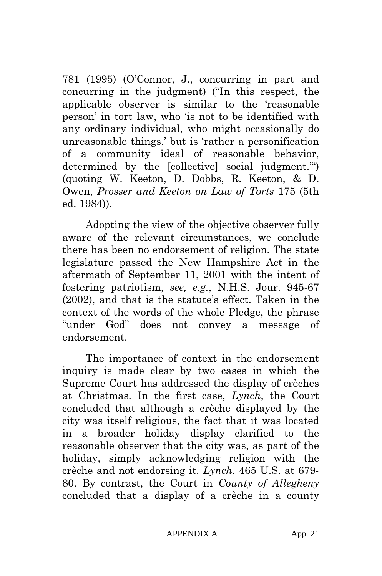781 (1995) (O'Connor, J., concurring in part and concurring in the judgment) ("In this respect, the applicable observer is similar to the 'reasonable person' in tort law, who 'is not to be identified with any ordinary individual, who might occasionally do unreasonable things,' but is 'rather a personification of a community ideal of reasonable behavior, determined by the [collective] social judgment.'") (quoting W. Keeton, D. Dobbs, R. Keeton, & D. Owen, *Prosser and Keeton on Law of Torts* 175 (5th ed. 1984)).

Adopting the view of the objective observer fully aware of the relevant circumstances, we conclude there has been no endorsement of religion. The state legislature passed the New Hampshire Act in the aftermath of September 11, 2001 with the intent of fostering patriotism, *see, e.g.*, N.H.S. Jour. 945-67 (2002), and that is the statute's effect. Taken in the context of the words of the whole Pledge, the phrase "under God" does not convey a message of endorsement.

The importance of context in the endorsement inquiry is made clear by two cases in which the Supreme Court has addressed the display of crèches at Christmas. In the first case, *Lynch*, the Court concluded that although a crèche displayed by the city was itself religious, the fact that it was located in a broader holiday display clarified to the reasonable observer that the city was, as part of the holiday, simply acknowledging religion with the crèche and not endorsing it. *Lynch*, 465 U.S. at 679- 80. By contrast, the Court in *County of Allegheny* concluded that a display of a crèche in a county

APPENDIX A App. 21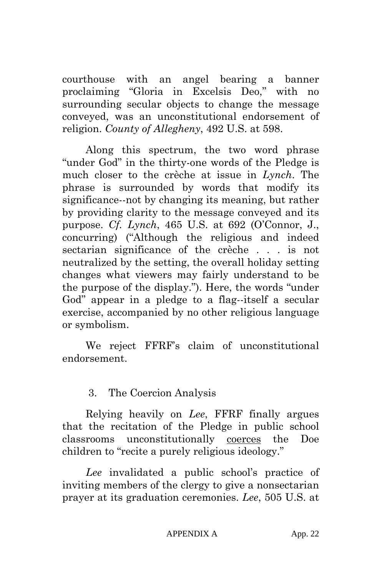courthouse with an angel bearing a banner proclaiming "Gloria in Excelsis Deo," with no surrounding secular objects to change the message conveyed, was an unconstitutional endorsement of religion. *County of Allegheny*, 492 U.S. at 598.

Along this spectrum, the two word phrase "under God" in the thirty-one words of the Pledge is much closer to the crèche at issue in *Lynch*. The phrase is surrounded by words that modify its significance--not by changing its meaning, but rather by providing clarity to the message conveyed and its purpose. *Cf. Lynch*, 465 U.S. at 692 (O'Connor, J., concurring) ("Although the religious and indeed sectarian significance of the crèche . . . is not neutralized by the setting, the overall holiday setting changes what viewers may fairly understand to be the purpose of the display."). Here, the words "under God" appear in a pledge to a flag--itself a secular exercise, accompanied by no other religious language or symbolism.

We reject FFRF's claim of unconstitutional endorsement.

### 3. The Coercion Analysis

Relying heavily on *Lee*, FFRF finally argues that the recitation of the Pledge in public school classrooms unconstitutionally coerces the Doe children to "recite a purely religious ideology."

*Lee* invalidated a public school's practice of inviting members of the clergy to give a nonsectarian prayer at its graduation ceremonies. *Lee*, 505 U.S. at

#### APPENDIX A App. 22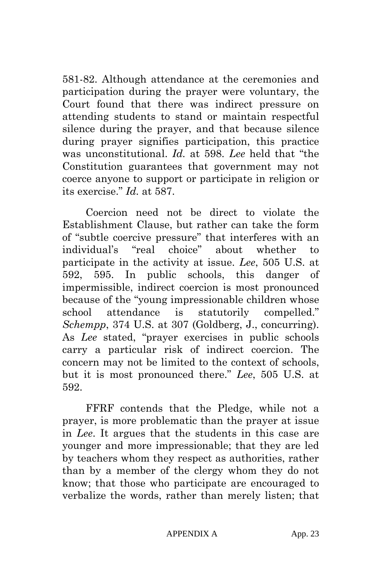581-82. Although attendance at the ceremonies and participation during the prayer were voluntary, the Court found that there was indirect pressure on attending students to stand or maintain respectful silence during the prayer, and that because silence during prayer signifies participation, this practice was unconstitutional. *Id.* at 598. *Lee* held that "the Constitution guarantees that government may not coerce anyone to support or participate in religion or its exercise." *Id.* at 587.

Coercion need not be direct to violate the Establishment Clause, but rather can take the form of "subtle coercive pressure" that interferes with an individual's "real choice" about whether to participate in the activity at issue. *Lee*, 505 U.S. at 592, 595. In public schools, this danger of impermissible, indirect coercion is most pronounced because of the "young impressionable children whose school attendance is statutorily compelled." *Schempp*, 374 U.S. at 307 (Goldberg, J., concurring). As *Lee* stated, "prayer exercises in public schools carry a particular risk of indirect coercion. The concern may not be limited to the context of schools, but it is most pronounced there." *Lee*, 505 U.S. at 592.

FFRF contends that the Pledge, while not a prayer, is more problematic than the prayer at issue in *Lee*. It argues that the students in this case are younger and more impressionable; that they are led by teachers whom they respect as authorities, rather than by a member of the clergy whom they do not know; that those who participate are encouraged to verbalize the words, rather than merely listen; that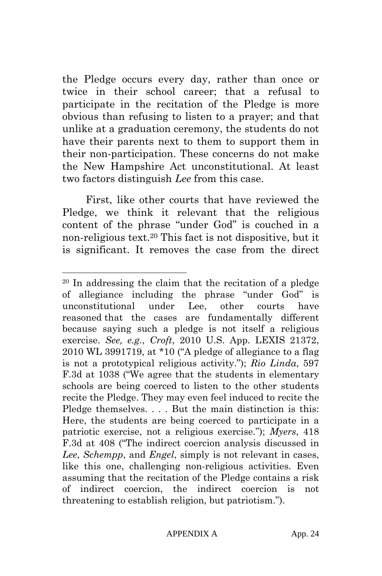the Pledge occurs every day, rather than once or twice in their school career; that a refusal to participate in the recitation of the Pledge is more obvious than refusing to listen to a prayer; and that unlike at a graduation ceremony, the students do not have their parents next to them to support them in their non-participation. These concerns do not make the New Hampshire Act unconstitutional. At least two factors distinguish *Lee* from this case.

First, like other courts that have reviewed the Pledge, we think it relevant that the religious content of the phrase "under God" is couched in a non-religious text.20 This fact is not dispositive, but it is significant. It removes the case from the direct

<sup>20</sup> In addressing the claim that the recitation of a pledge of allegiance including the phrase "under God" is unconstitutional under Lee, other courts have reasoned that the cases are fundamentally different because saying such a pledge is not itself a religious exercise. *See, e.g.*, *Croft*, 2010 U.S. App. LEXIS 21372, 2010 WL 3991719, at \*10 ("A pledge of allegiance to a flag is not a prototypical religious activity."); *Rio Linda*, 597 F.3d at 1038 ("We agree that the students in elementary schools are being coerced to listen to the other students recite the Pledge. They may even feel induced to recite the Pledge themselves. . . . But the main distinction is this: Here, the students are being coerced to participate in a patriotic exercise, not a religious exercise."); *Myers*, 418 F.3d at 408 ("The indirect coercion analysis discussed in *Lee*, *Schempp*, and *Engel*, simply is not relevant in cases, like this one, challenging non-religious activities. Even assuming that the recitation of the Pledge contains a risk of indirect coercion, the indirect coercion is not threatening to establish religion, but patriotism.").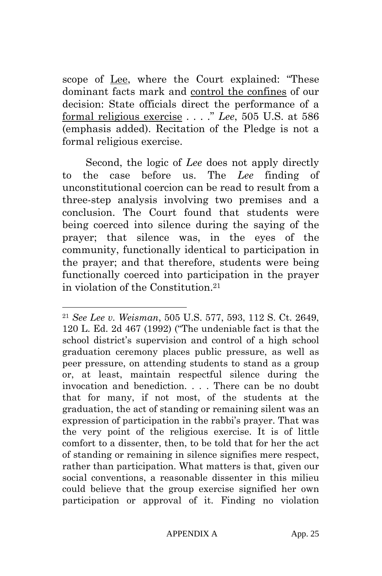scope of Lee, where the Court explained: "These dominant facts mark and control the confines of our decision: State officials direct the performance of a formal religious exercise . . . ." *Lee*, 505 U.S. at 586 (emphasis added). Recitation of the Pledge is not a formal religious exercise.

Second, the logic of *Lee* does not apply directly to the case before us. The *Lee* finding of unconstitutional coercion can be read to result from a three-step analysis involving two premises and a conclusion. The Court found that students were being coerced into silence during the saying of the prayer; that silence was, in the eyes of the community, functionally identical to participation in the prayer; and that therefore, students were being functionally coerced into participation in the prayer in violation of the Constitution<sup>21</sup>

<sup>21</sup> *See Lee v. Weisman*, 505 U.S. 577, 593, 112 S. Ct. 2649, 120 L. Ed. 2d 467 (1992) ("The undeniable fact is that the school district's supervision and control of a high school graduation ceremony places public pressure, as well as peer pressure, on attending students to stand as a group or, at least, maintain respectful silence during the invocation and benediction. . . . There can be no doubt that for many, if not most, of the students at the graduation, the act of standing or remaining silent was an expression of participation in the rabbi's prayer. That was the very point of the religious exercise. It is of little comfort to a dissenter, then, to be told that for her the act of standing or remaining in silence signifies mere respect, rather than participation. What matters is that, given our social conventions, a reasonable dissenter in this milieu could believe that the group exercise signified her own participation or approval of it. Finding no violation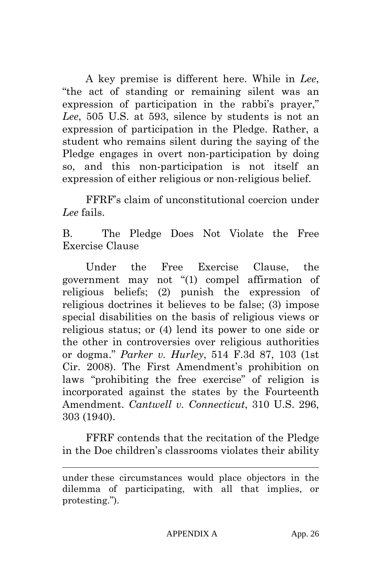A key premise is different here. While in *Lee*, "the act of standing or remaining silent was an expression of participation in the rabbi's prayer," *Lee*, 505 U.S. at 593, silence by students is not an expression of participation in the Pledge. Rather, a student who remains silent during the saying of the Pledge engages in overt non-participation by doing so, and this non-participation is not itself an expression of either religious or non-religious belief.

FFRF's claim of unconstitutional coercion under *Lee* fails.

B. The Pledge Does Not Violate the Free Exercise Clause

Under the Free Exercise Clause, the government may not "(1) compel affirmation of religious beliefs; (2) punish the expression of religious doctrines it believes to be false; (3) impose special disabilities on the basis of religious views or religious status; or (4) lend its power to one side or the other in controversies over religious authorities or dogma." *Parker v. Hurley*, 514 F.3d 87, 103 (1st Cir. 2008). The First Amendment's prohibition on laws "prohibiting the free exercise" of religion is incorporated against the states by the Fourteenth Amendment. *Cantwell v. Connecticut*, 310 U.S. 296, 303 (1940).

FFRF contends that the recitation of the Pledge in the Doe children's classrooms violates their ability

under these circumstances would place objectors in the dilemma of participating, with all that implies, or protesting.").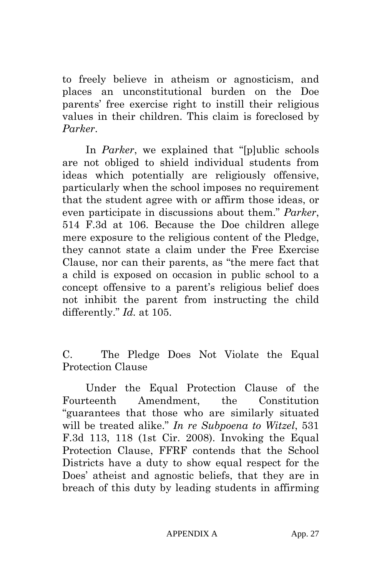to freely believe in atheism or agnosticism, and places an unconstitutional burden on the Doe parents' free exercise right to instill their religious values in their children. This claim is foreclosed by *Parker*.

In *Parker*, we explained that "[p]ublic schools are not obliged to shield individual students from ideas which potentially are religiously offensive, particularly when the school imposes no requirement that the student agree with or affirm those ideas, or even participate in discussions about them." *Parker*, 514 F.3d at 106. Because the Doe children allege mere exposure to the religious content of the Pledge, they cannot state a claim under the Free Exercise Clause, nor can their parents, as "the mere fact that a child is exposed on occasion in public school to a concept offensive to a parent's religious belief does not inhibit the parent from instructing the child differently." *Id.* at 105.

C. The Pledge Does Not Violate the Equal Protection Clause

Under the Equal Protection Clause of the Fourteenth Amendment, the Constitution "guarantees that those who are similarly situated will be treated alike." *In re Subpoena to Witzel*, 531 F.3d 113, 118 (1st Cir. 2008). Invoking the Equal Protection Clause, FFRF contends that the School Districts have a duty to show equal respect for the Does' atheist and agnostic beliefs, that they are in breach of this duty by leading students in affirming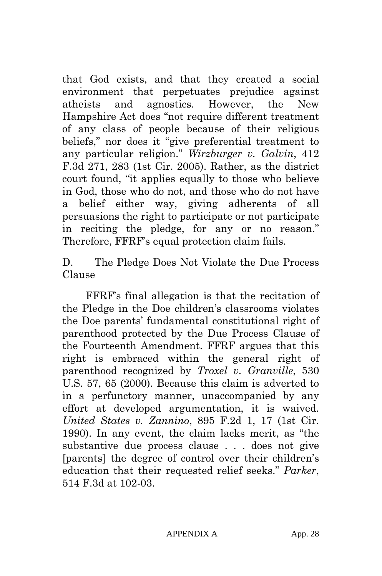that God exists, and that they created a social environment that perpetuates prejudice against atheists and agnostics. However, the New Hampshire Act does "not require different treatment of any class of people because of their religious beliefs," nor does it "give preferential treatment to any particular religion." *Wirzburger v. Galvin*, 412 F.3d 271, 283 (1st Cir. 2005). Rather, as the district court found, "it applies equally to those who believe in God, those who do not, and those who do not have a belief either way, giving adherents of all persuasions the right to participate or not participate in reciting the pledge, for any or no reason." Therefore, FFRF's equal protection claim fails.

D. The Pledge Does Not Violate the Due Process Clause

FFRF's final allegation is that the recitation of the Pledge in the Doe children's classrooms violates the Doe parents' fundamental constitutional right of parenthood protected by the Due Process Clause of the Fourteenth Amendment. FFRF argues that this right is embraced within the general right of parenthood recognized by *Troxel v. Granville*, 530 U.S. 57, 65 (2000). Because this claim is adverted to in a perfunctory manner, unaccompanied by any effort at developed argumentation, it is waived. *United States v. Zannino*, 895 F.2d 1, 17 (1st Cir. 1990). In any event, the claim lacks merit, as "the substantive due process clause . . . does not give [parents] the degree of control over their children's education that their requested relief seeks." *Parker*, 514 F.3d at 102-03.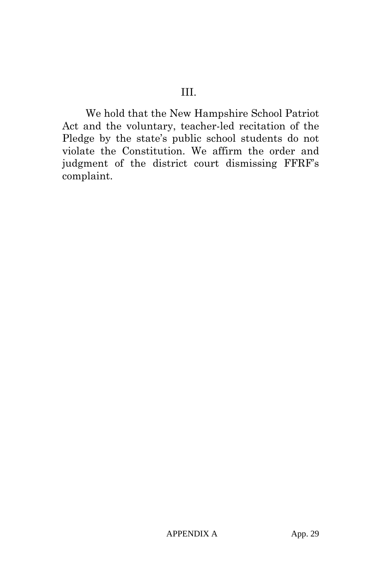We hold that the New Hampshire School Patriot Act and the voluntary, teacher-led recitation of the Pledge by the state's public school students do not violate the Constitution. We affirm the order and judgment of the district court dismissing FFRF's complaint.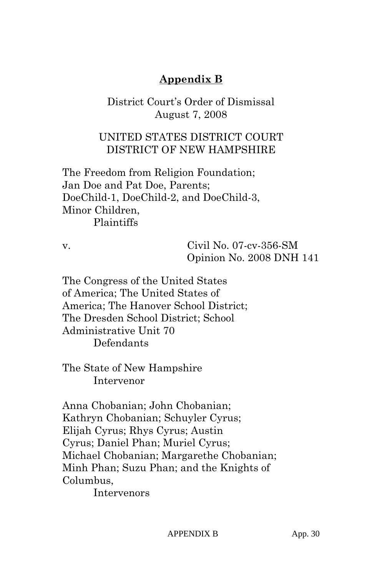# **Appendix B**

## District Court's Order of Dismissal August 7, 2008

## UNITED STATES DISTRICT COURT DISTRICT OF NEW HAMPSHIRE

The Freedom from Religion Foundation; Jan Doe and Pat Doe, Parents; DoeChild-1, DoeChild-2, and DoeChild-3, Minor Children, Plaintiffs

v. Civil No. 07-cv-356-SM Opinion No. 2008 DNH 141

The Congress of the United States of America; The United States of America; The Hanover School District; The Dresden School District; School Administrative Unit 70 Defendants

The State of New Hampshire Intervenor

Anna Chobanian; John Chobanian; Kathryn Chobanian; Schuyler Cyrus; Elijah Cyrus; Rhys Cyrus; Austin Cyrus; Daniel Phan; Muriel Cyrus; Michael Chobanian; Margarethe Chobanian; Minh Phan; Suzu Phan; and the Knights of Columbus,

Intervenors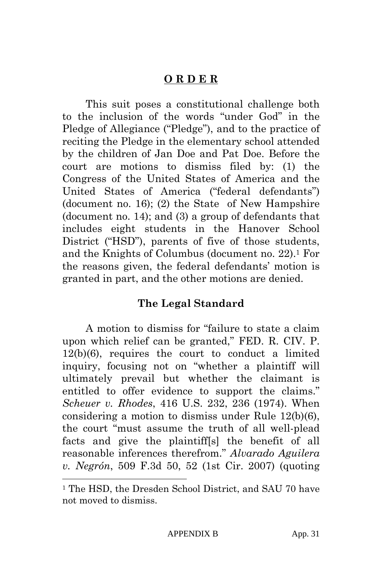## **O R D E R**

This suit poses a constitutional challenge both to the inclusion of the words "under God" in the Pledge of Allegiance ("Pledge"), and to the practice of reciting the Pledge in the elementary school attended by the children of Jan Doe and Pat Doe. Before the court are motions to dismiss filed by: (1) the Congress of the United States of America and the United States of America ("federal defendants") (document no. 16); (2) the State of New Hampshire (document no. 14); and (3) a group of defendants that includes eight students in the Hanover School District ("HSD"), parents of five of those students, and the Knights of Columbus (document no. 22).1 For the reasons given, the federal defendants' motion is granted in part, and the other motions are denied.

## **The Legal Standard**

A motion to dismiss for "failure to state a claim upon which relief can be granted," FED. R. CIV. P. 12(b)(6), requires the court to conduct a limited inquiry, focusing not on "whether a plaintiff will ultimately prevail but whether the claimant is entitled to offer evidence to support the claims." *Scheuer v. Rhodes*, 416 U.S. 232, 236 (1974). When considering a motion to dismiss under Rule 12(b)(6), the court "must assume the truth of all well-plead facts and give the plaintiff[s] the benefit of all reasonable inferences therefrom." *Alvarado Aguilera v. Negrón*, 509 F.3d 50, 52 (1st Cir. 2007) (quoting

l

<sup>&</sup>lt;sup>1</sup> The HSD, the Dresden School District, and SAU 70 have not moved to dismiss.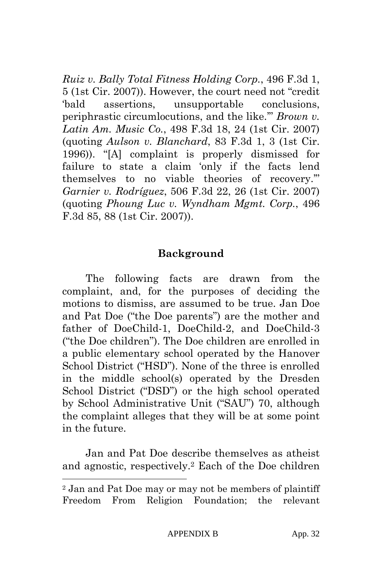*Ruiz v. Bally Total Fitness Holding Corp.*, 496 F.3d 1, 5 (1st Cir. 2007)). However, the court need not "credit 'bald assertions, unsupportable conclusions, periphrastic circumlocutions, and the like.'" *Brown v. Latin Am. Music Co.*, 498 F.3d 18, 24 (1st Cir. 2007) (quoting *Aulson v. Blanchard*, 83 F.3d 1, 3 (1st Cir. 1996)). "[A] complaint is properly dismissed for failure to state a claim 'only if the facts lend themselves to no viable theories of recovery.'" *Garnier v. Rodríguez*, 506 F.3d 22, 26 (1st Cir. 2007) (quoting *Phoung Luc v. Wyndham Mgmt. Corp.*, 496 F.3d 85, 88 (1st Cir. 2007)).

## **Background**

The following facts are drawn from the complaint, and, for the purposes of deciding the motions to dismiss, are assumed to be true. Jan Doe and Pat Doe ("the Doe parents") are the mother and father of DoeChild-1, DoeChild-2, and DoeChild-3 ("the Doe children"). The Doe children are enrolled in a public elementary school operated by the Hanover School District ("HSD"). None of the three is enrolled in the middle school(s) operated by the Dresden School District ("DSD") or the high school operated by School Administrative Unit ("SAU") 70, although the complaint alleges that they will be at some point in the future.

Jan and Pat Doe describe themselves as atheist and agnostic, respectively.2 Each of the Doe children

l

<sup>2</sup> Jan and Pat Doe may or may not be members of plaintiff Freedom From Religion Foundation; the relevant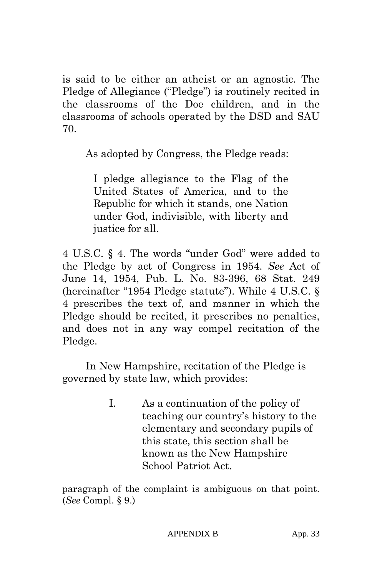is said to be either an atheist or an agnostic. The Pledge of Allegiance ("Pledge") is routinely recited in the classrooms of the Doe children, and in the classrooms of schools operated by the DSD and SAU 70.

As adopted by Congress, the Pledge reads:

I pledge allegiance to the Flag of the United States of America, and to the Republic for which it stands, one Nation under God, indivisible, with liberty and justice for all.

4 U.S.C. § 4. The words "under God" were added to the Pledge by act of Congress in 1954. *See* Act of June 14, 1954, Pub. L. No. 83-396, 68 Stat. 249 (hereinafter "1954 Pledge statute"). While 4 U.S.C. § 4 prescribes the text of, and manner in which the Pledge should be recited, it prescribes no penalties, and does not in any way compel recitation of the Pledge.

In New Hampshire, recitation of the Pledge is governed by state law, which provides:

> I. As a continuation of the policy of teaching our country's history to the elementary and secondary pupils of this state, this section shall be known as the New Hampshire School Patriot Act.

l

paragraph of the complaint is ambiguous on that point. (*See* Compl. § 9.)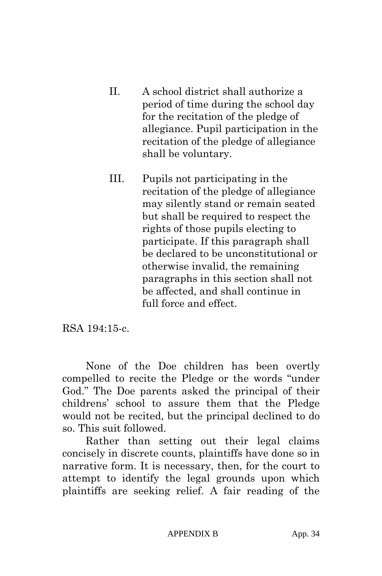- II. A school district shall authorize a period of time during the school day for the recitation of the pledge of allegiance. Pupil participation in the recitation of the pledge of allegiance shall be voluntary.
- III. Pupils not participating in the recitation of the pledge of allegiance may silently stand or remain seated but shall be required to respect the rights of those pupils electing to participate. If this paragraph shall be declared to be unconstitutional or otherwise invalid, the remaining paragraphs in this section shall not be affected, and shall continue in full force and effect.

RSA 194:15-c.

None of the Doe children has been overtly compelled to recite the Pledge or the words "under God." The Doe parents asked the principal of their childrens' school to assure them that the Pledge would not be recited, but the principal declined to do so. This suit followed.

Rather than setting out their legal claims concisely in discrete counts, plaintiffs have done so in narrative form. It is necessary, then, for the court to attempt to identify the legal grounds upon which plaintiffs are seeking relief. A fair reading of the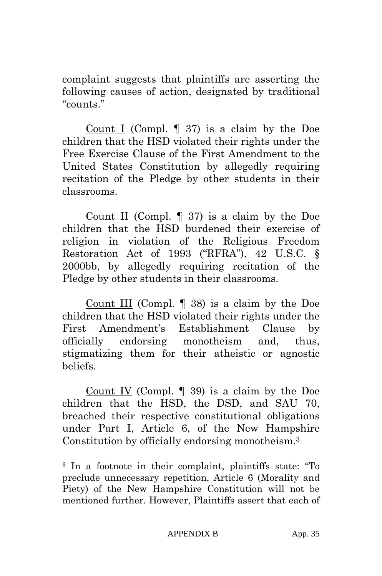complaint suggests that plaintiffs are asserting the following causes of action, designated by traditional "counts."

Count I (Compl. ¶ 37) is a claim by the Doe children that the HSD violated their rights under the Free Exercise Clause of the First Amendment to the United States Constitution by allegedly requiring recitation of the Pledge by other students in their classrooms.

Count II (Compl.  $\parallel$  37) is a claim by the Doe children that the HSD burdened their exercise of religion in violation of the Religious Freedom Restoration Act of 1993 ("RFRA"), 42 U.S.C. § 2000bb, by allegedly requiring recitation of the Pledge by other students in their classrooms.

Count III (Compl. ¶ 38) is a claim by the Doe children that the HSD violated their rights under the First Amendment's Establishment Clause by officially endorsing monotheism and, thus, stigmatizing them for their atheistic or agnostic beliefs.

Count IV (Compl.  $\parallel$  39) is a claim by the Doe children that the HSD, the DSD, and SAU 70, breached their respective constitutional obligations under Part I, Article 6, of the New Hampshire Constitution by officially endorsing monotheism.3

 $\overline{a}$ 

<sup>3</sup> In a footnote in their complaint, plaintiffs state: "To preclude unnecessary repetition, Article 6 (Morality and Piety) of the New Hampshire Constitution will not be mentioned further. However, Plaintiffs assert that each of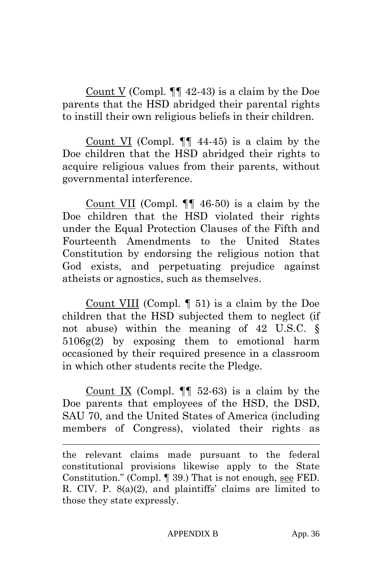Count V (Compl. ¶¶ 42-43) is a claim by the Doe parents that the HSD abridged their parental rights to instill their own religious beliefs in their children.

Count VI (Compl. ¶¶ 44-45) is a claim by the Doe children that the HSD abridged their rights to acquire religious values from their parents, without governmental interference.

Count VII (Compl. ¶¶ 46-50) is a claim by the Doe children that the HSD violated their rights under the Equal Protection Clauses of the Fifth and Fourteenth Amendments to the United States Constitution by endorsing the religious notion that God exists, and perpetuating prejudice against atheists or agnostics, such as themselves.

Count VIII (Compl. ¶ 51) is a claim by the Doe children that the HSD subjected them to neglect (if not abuse) within the meaning of 42 U.S.C. § 5106g(2) by exposing them to emotional harm occasioned by their required presence in a classroom in which other students recite the Pledge.

Count IX (Compl.  $\P$  52-63) is a claim by the Doe parents that employees of the HSD, the DSD, SAU 70, and the United States of America (including members of Congress), violated their rights as

 $\overline{a}$ 

the relevant claims made pursuant to the federal constitutional provisions likewise apply to the State Constitution." (Compl. ¶ 39.) That is not enough, see FED. R. CIV. P. 8(a)(2), and plaintiffs' claims are limited to those they state expressly.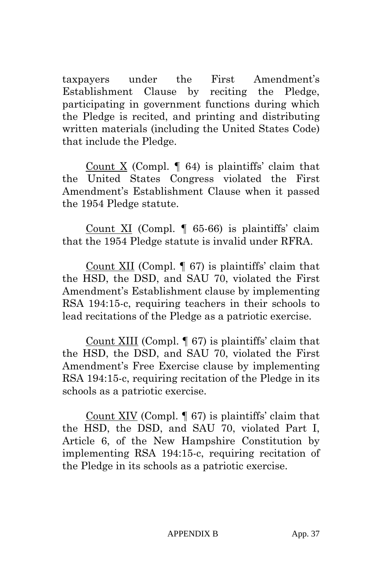taxpayers under the First Amendment's Establishment Clause by reciting the Pledge, participating in government functions during which the Pledge is recited, and printing and distributing written materials (including the United States Code) that include the Pledge.

Count X (Compl.  $\llbracket 64 \rrbracket$  is plaintiffs' claim that the United States Congress violated the First Amendment's Establishment Clause when it passed the 1954 Pledge statute.

Count XI (Compl. ¶ 65-66) is plaintiffs' claim that the 1954 Pledge statute is invalid under RFRA.

Count XII (Compl. ¶ 67) is plaintiffs' claim that the HSD, the DSD, and SAU 70, violated the First Amendment's Establishment clause by implementing RSA 194:15-c, requiring teachers in their schools to lead recitations of the Pledge as a patriotic exercise.

Count XIII (Compl. ¶ 67) is plaintiffs' claim that the HSD, the DSD, and SAU 70, violated the First Amendment's Free Exercise clause by implementing RSA 194:15-c, requiring recitation of the Pledge in its schools as a patriotic exercise.

Count XIV (Compl. ¶ 67) is plaintiffs' claim that the HSD, the DSD, and SAU 70, violated Part I, Article 6, of the New Hampshire Constitution by implementing RSA 194:15-c, requiring recitation of the Pledge in its schools as a patriotic exercise.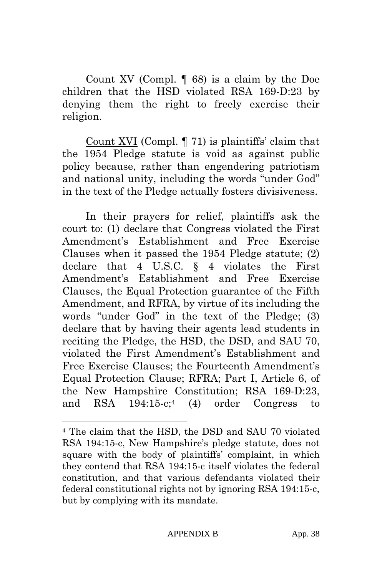Count XV (Compl. ¶ 68) is a claim by the Doe children that the HSD violated RSA 169-D:23 by denying them the right to freely exercise their religion.

Count XVI (Compl. ¶ 71) is plaintiffs' claim that the 1954 Pledge statute is void as against public policy because, rather than engendering patriotism and national unity, including the words "under God" in the text of the Pledge actually fosters divisiveness.

In their prayers for relief, plaintiffs ask the court to: (1) declare that Congress violated the First Amendment's Establishment and Free Exercise Clauses when it passed the 1954 Pledge statute; (2) declare that 4 U.S.C. § 4 violates the First Amendment's Establishment and Free Exercise Clauses, the Equal Protection guarantee of the Fifth Amendment, and RFRA, by virtue of its including the words "under God" in the text of the Pledge; (3) declare that by having their agents lead students in reciting the Pledge, the HSD, the DSD, and SAU 70, violated the First Amendment's Establishment and Free Exercise Clauses; the Fourteenth Amendment's Equal Protection Clause; RFRA; Part I, Article 6, of the New Hampshire Constitution; RSA 169-D:23, and RSA 194:15-c;4 (4) order Congress to

 $\overline{a}$ 

<sup>4</sup> The claim that the HSD, the DSD and SAU 70 violated RSA 194:15-c, New Hampshire's pledge statute, does not square with the body of plaintiffs' complaint, in which they contend that RSA 194:15-c itself violates the federal constitution, and that various defendants violated their federal constitutional rights not by ignoring RSA 194:15-c, but by complying with its mandate.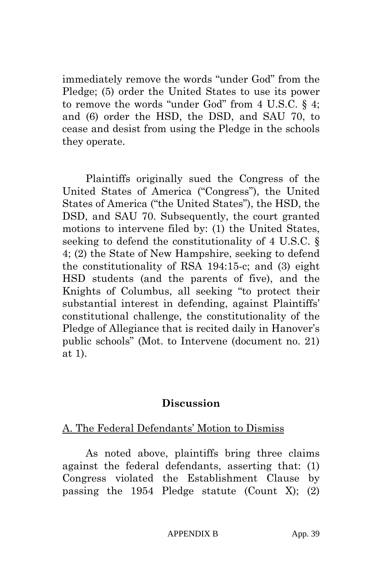immediately remove the words "under God" from the Pledge; (5) order the United States to use its power to remove the words "under God" from 4 U.S.C. § 4; and (6) order the HSD, the DSD, and SAU 70, to cease and desist from using the Pledge in the schools they operate.

Plaintiffs originally sued the Congress of the United States of America ("Congress"), the United States of America ("the United States"), the HSD, the DSD, and SAU 70. Subsequently, the court granted motions to intervene filed by: (1) the United States, seeking to defend the constitutionality of 4 U.S.C. § 4; (2) the State of New Hampshire, seeking to defend the constitutionality of RSA 194:15-c; and (3) eight HSD students (and the parents of five), and the Knights of Columbus, all seeking "to protect their substantial interest in defending, against Plaintiffs' constitutional challenge, the constitutionality of the Pledge of Allegiance that is recited daily in Hanover's public schools" (Mot. to Intervene (document no. 21) at 1).

## **Discussion**

## A. The Federal Defendants' Motion to Dismiss

As noted above, plaintiffs bring three claims against the federal defendants, asserting that: (1) Congress violated the Establishment Clause by passing the 1954 Pledge statute (Count X); (2)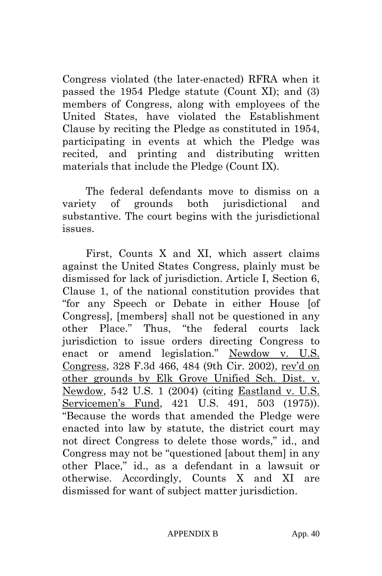Congress violated (the later-enacted) RFRA when it passed the 1954 Pledge statute (Count XI); and (3) members of Congress, along with employees of the United States, have violated the Establishment Clause by reciting the Pledge as constituted in 1954, participating in events at which the Pledge was recited, and printing and distributing written materials that include the Pledge (Count IX).

The federal defendants move to dismiss on a variety of grounds both jurisdictional and substantive. The court begins with the jurisdictional issues.

First, Counts X and XI, which assert claims against the United States Congress, plainly must be dismissed for lack of jurisdiction. Article I, Section 6, Clause 1, of the national constitution provides that "for any Speech or Debate in either House [of Congress], [members] shall not be questioned in any other Place." Thus, "the federal courts lack jurisdiction to issue orders directing Congress to enact or amend legislation." Newdow v. U.S. Congress, 328 F.3d 466, 484 (9th Cir. 2002), rev'd on other grounds by Elk Grove Unified Sch. Dist. v. Newdow, 542 U.S. 1 (2004) (citing Eastland v. U.S. Servicemen's Fund, 421 U.S. 491, 503 (1975)). "Because the words that amended the Pledge were enacted into law by statute, the district court may not direct Congress to delete those words," id., and Congress may not be "questioned [about them] in any other Place," id., as a defendant in a lawsuit or otherwise. Accordingly, Counts X and XI are dismissed for want of subject matter jurisdiction.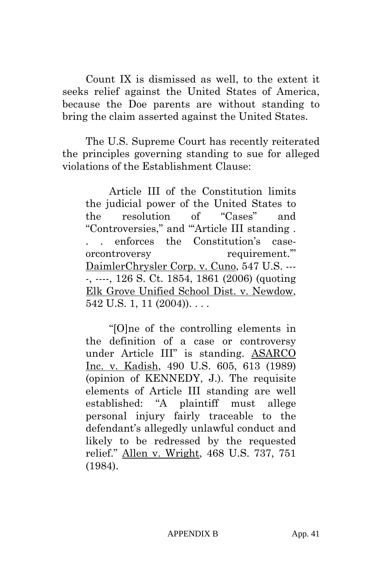Count IX is dismissed as well, to the extent it seeks relief against the United States of America, because the Doe parents are without standing to bring the claim asserted against the United States.

The U.S. Supreme Court has recently reiterated the principles governing standing to sue for alleged violations of the Establishment Clause:

Article III of the Constitution limits the judicial power of the United States to the resolution of "Cases" and "Controversies," and "'Article III standing . . . enforces the Constitution's caseorcontroversy requirement.'" DaimlerChrysler Corp. v. Cuno, 547 U.S. --- -, ----, 126 S. Ct. 1854, 1861 (2006) (quoting Elk Grove Unified School Dist. v. Newdow, 542 U.S. 1, 11  $(2004)$ ...

"[O]ne of the controlling elements in the definition of a case or controversy under Article III" is standing. ASARCO Inc. v. Kadish, 490 U.S. 605, 613 (1989) (opinion of KENNEDY, J.). The requisite elements of Article III standing are well established: "A plaintiff must allege personal injury fairly traceable to the defendant's allegedly unlawful conduct and likely to be redressed by the requested relief." Allen v. Wright, 468 U.S. 737, 751 (1984).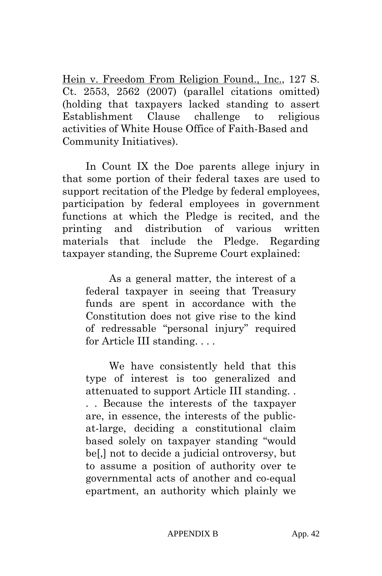Hein v. Freedom From Religion Found., Inc., 127 S. Ct. 2553, 2562 (2007) (parallel citations omitted) (holding that taxpayers lacked standing to assert Establishment Clause challenge to religious activities of White House Office of Faith-Based and Community Initiatives).

In Count IX the Doe parents allege injury in that some portion of their federal taxes are used to support recitation of the Pledge by federal employees, participation by federal employees in government functions at which the Pledge is recited, and the printing and distribution of various written materials that include the Pledge. Regarding taxpayer standing, the Supreme Court explained:

As a general matter, the interest of a federal taxpayer in seeing that Treasury funds are spent in accordance with the Constitution does not give rise to the kind of redressable "personal injury" required for Article III standing. . . .

We have consistently held that this type of interest is too generalized and attenuated to support Article III standing. . . . Because the interests of the taxpayer are, in essence, the interests of the publicat-large, deciding a constitutional claim based solely on taxpayer standing "would be[,] not to decide a judicial ontroversy, but to assume a position of authority over te governmental acts of another and co-equal epartment, an authority which plainly we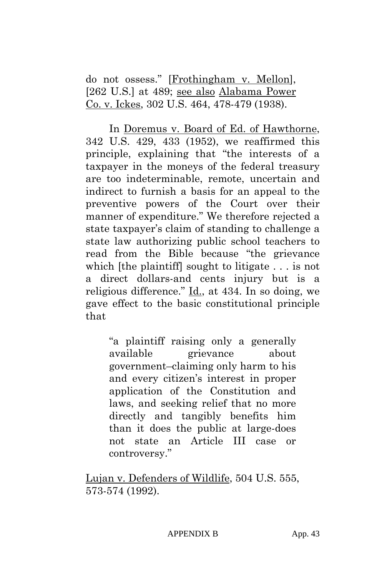do not ossess." [Frothingham v. Mellon], [262 U.S.] at 489; see also Alabama Power Co. v. Ickes, 302 U.S. 464, 478-479 (1938).

In Doremus v. Board of Ed. of Hawthorne, 342 U.S. 429, 433 (1952), we reaffirmed this principle, explaining that "the interests of a taxpayer in the moneys of the federal treasury are too indeterminable, remote, uncertain and indirect to furnish a basis for an appeal to the preventive powers of the Court over their manner of expenditure." We therefore rejected a state taxpayer's claim of standing to challenge a state law authorizing public school teachers to read from the Bible because "the grievance which [the plaintiff] sought to litigate . . . is not a direct dollars-and cents injury but is a religious difference." Id., at 434. In so doing, we gave effect to the basic constitutional principle that

"a plaintiff raising only a generally available grievance about government–claiming only harm to his and every citizen's interest in proper application of the Constitution and laws, and seeking relief that no more directly and tangibly benefits him than it does the public at large-does not state an Article III case or controversy."

Lujan v. Defenders of Wildlife, 504 U.S. 555, 573-574 (1992).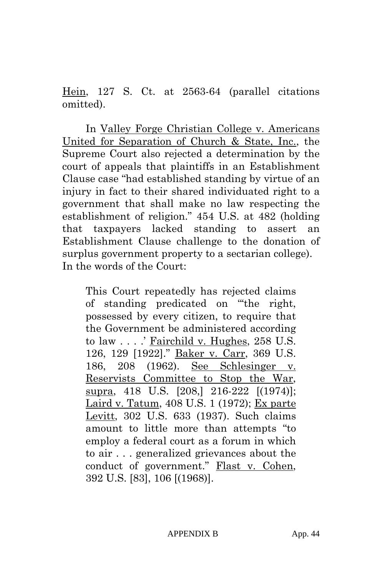Hein, 127 S. Ct. at 2563-64 (parallel citations omitted).

In Valley Forge Christian College v. Americans United for Separation of Church & State, Inc., the Supreme Court also rejected a determination by the court of appeals that plaintiffs in an Establishment Clause case "had established standing by virtue of an injury in fact to their shared individuated right to a government that shall make no law respecting the establishment of religion." 454 U.S. at 482 (holding that taxpayers lacked standing to assert an Establishment Clause challenge to the donation of surplus government property to a sectarian college). In the words of the Court:

This Court repeatedly has rejected claims of standing predicated on "'the right, possessed by every citizen, to require that the Government be administered according to law . . . .' Fairchild v. Hughes, 258 U.S. 126, 129 [1922]." Baker v. Carr, 369 U.S. 186, 208 (1962). See Schlesinger v. Reservists Committee to Stop the War, supra, 418 U.S. [208,] 216-222 [(1974)]; Laird v. Tatum, 408 U.S. 1 (1972); Ex parte Levitt, 302 U.S. 633 (1937). Such claims amount to little more than attempts "to employ a federal court as a forum in which to air . . . generalized grievances about the conduct of government." Flast v. Cohen, 392 U.S. [83], 106 [(1968)].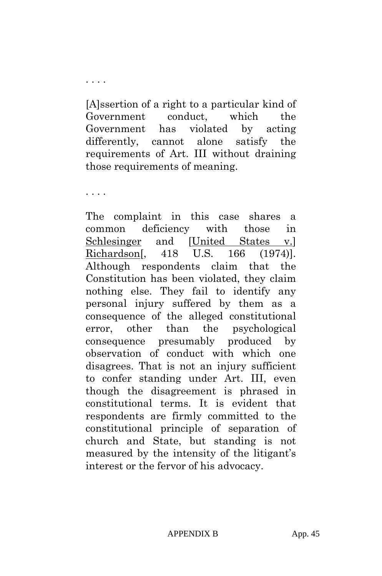[A]ssertion of a right to a particular kind of Government conduct, which the Government has violated by acting differently, cannot alone satisfy the requirements of Art. III without draining those requirements of meaning.

. . . .

. . . .

The complaint in this case shares a common deficiency with those in Schlesinger and [United States v.] Richardson[, 418 U.S. 166 (1974)]. Although respondents claim that the Constitution has been violated, they claim nothing else. They fail to identify any personal injury suffered by them as a consequence of the alleged constitutional error, other than the psychological consequence presumably produced by observation of conduct with which one disagrees. That is not an injury sufficient to confer standing under Art. III, even though the disagreement is phrased in constitutional terms. It is evident that respondents are firmly committed to the constitutional principle of separation of church and State, but standing is not measured by the intensity of the litigant's interest or the fervor of his advocacy.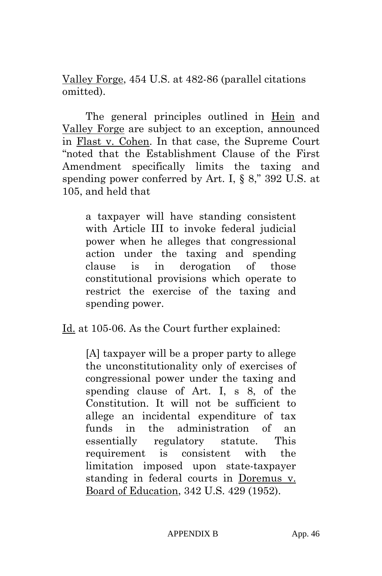Valley Forge, 454 U.S. at 482-86 (parallel citations omitted).

The general principles outlined in Hein and Valley Forge are subject to an exception, announced in Flast v. Cohen. In that case, the Supreme Court "noted that the Establishment Clause of the First Amendment specifically limits the taxing and spending power conferred by Art. I, § 8," 392 U.S. at 105, and held that

a taxpayer will have standing consistent with Article III to invoke federal judicial power when he alleges that congressional action under the taxing and spending clause is in derogation of those constitutional provisions which operate to restrict the exercise of the taxing and spending power.

Id. at 105-06. As the Court further explained:

[A] taxpayer will be a proper party to allege the unconstitutionality only of exercises of congressional power under the taxing and spending clause of Art. I, s 8, of the Constitution. It will not be sufficient to allege an incidental expenditure of tax funds in the administration of an essentially regulatory statute. This requirement is consistent with the limitation imposed upon state-taxpayer standing in federal courts in Doremus v. Board of Education, 342 U.S. 429 (1952).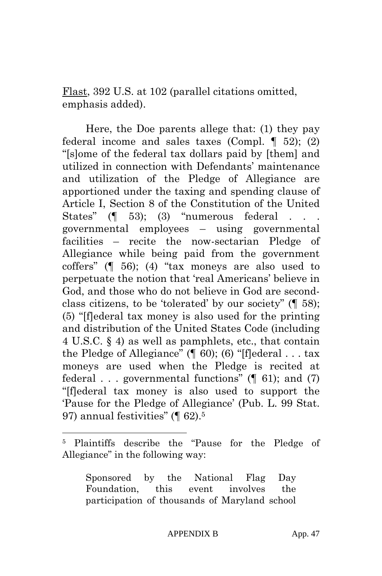Flast, 392 U.S. at 102 (parallel citations omitted, emphasis added).

Here, the Doe parents allege that: (1) they pay federal income and sales taxes (Compl.  $\P$  52); (2) "[s]ome of the federal tax dollars paid by [them] and utilized in connection with Defendants' maintenance and utilization of the Pledge of Allegiance are apportioned under the taxing and spending clause of Article I, Section 8 of the Constitution of the United States"  $($  $\parallel$  53);  $(3)$  "numerous federal governmental employees – using governmental facilities – recite the now-sectarian Pledge of Allegiance while being paid from the government coffers" (¶ 56); (4) "tax moneys are also used to perpetuate the notion that 'real Americans' believe in God, and those who do not believe in God are secondclass citizens, to be 'tolerated' by our society" (¶ 58); (5) "[f]ederal tax money is also used for the printing and distribution of the United States Code (including 4 U.S.C. § 4) as well as pamphlets, etc., that contain the Pledge of Allegiance" ( $\parallel$  60); (6) "[f]ederal . . . tax moneys are used when the Pledge is recited at federal . . . governmental functions"  $(\parallel 61)$ ; and  $(7)$ "[f]ederal tax money is also used to support the 'Pause for the Pledge of Allegiance' (Pub. L. 99 Stat. 97) annual festivities" (¶ 62).5

 $\overline{a}$ 

Sponsored by the National Flag Day Foundation, this event involves the participation of thousands of Maryland school

<sup>5</sup> Plaintiffs describe the "Pause for the Pledge of Allegiance" in the following way: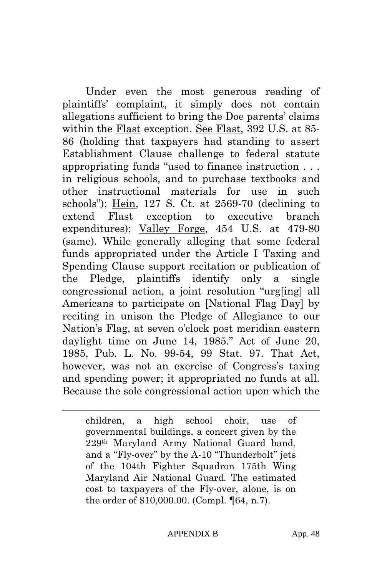Under even the most generous reading of plaintiffs' complaint, it simply does not contain allegations sufficient to bring the Doe parents' claims within the Flast exception. See Flast, 392 U.S. at 85- 86 (holding that taxpayers had standing to assert Establishment Clause challenge to federal statute appropriating funds "used to finance instruction . . . in religious schools, and to purchase textbooks and other instructional materials for use in such schools"); Hein, 127 S. Ct. at 2569-70 (declining to extend Flast exception to executive branch expenditures); Valley Forge, 454 U.S. at 479-80 (same). While generally alleging that some federal funds appropriated under the Article I Taxing and Spending Clause support recitation or publication of the Pledge, plaintiffs identify only a single congressional action, a joint resolution "urg[ing] all Americans to participate on [National Flag Day] by reciting in unison the Pledge of Allegiance to our Nation's Flag, at seven o'clock post meridian eastern daylight time on June 14, 1985." Act of June 20, 1985, Pub. L. No. 99-54, 99 Stat. 97. That Act, however, was not an exercise of Congress's taxing and spending power; it appropriated no funds at all. Because the sole congressional action upon which the

 $\overline{a}$ 

children, a high school choir, use of governmental buildings, a concert given by the 229th Maryland Army National Guard band, and a "Fly-over" by the A-10 "Thunderbolt" jets of the 104th Fighter Squadron 175th Wing Maryland Air National Guard. The estimated cost to taxpayers of the Fly-over, alone, is on the order of \$10,000.00. (Compl. ¶64, n.7).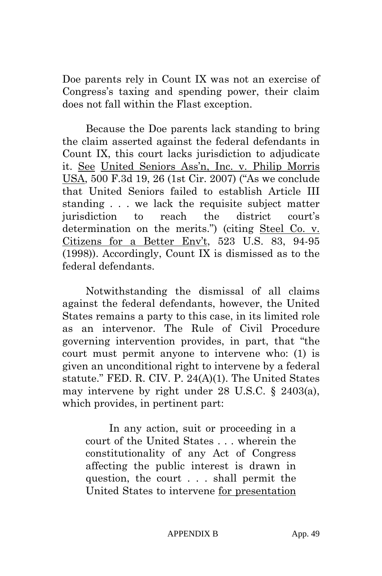Doe parents rely in Count IX was not an exercise of Congress's taxing and spending power, their claim does not fall within the Flast exception.

Because the Doe parents lack standing to bring the claim asserted against the federal defendants in Count IX, this court lacks jurisdiction to adjudicate it. See United Seniors Ass'n, Inc. v. Philip Morris USA, 500 F.3d 19, 26 (1st Cir. 2007) ("As we conclude that United Seniors failed to establish Article III standing . . . we lack the requisite subject matter jurisdiction to reach the district court's determination on the merits.") (citing Steel Co. v. Citizens for a Better Env't, 523 U.S. 83, 94-95 (1998)). Accordingly, Count IX is dismissed as to the federal defendants.

Notwithstanding the dismissal of all claims against the federal defendants, however, the United States remains a party to this case, in its limited role as an intervenor. The Rule of Civil Procedure governing intervention provides, in part, that "the court must permit anyone to intervene who: (1) is given an unconditional right to intervene by a federal statute." FED. R. CIV. P. 24(A)(1). The United States may intervene by right under 28 U.S.C. § 2403(a), which provides, in pertinent part:

In any action, suit or proceeding in a court of the United States . . . wherein the constitutionality of any Act of Congress affecting the public interest is drawn in question, the court . . . shall permit the United States to intervene for presentation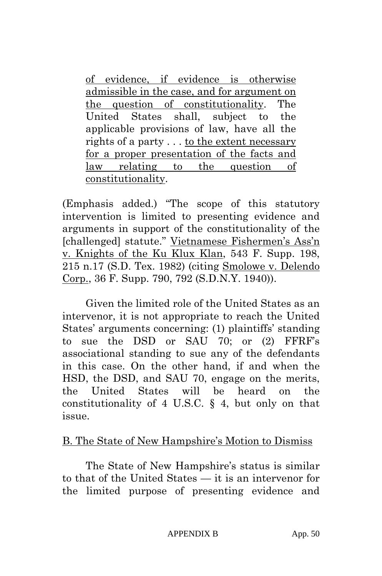of evidence, if evidence is otherwise admissible in the case, and for argument on the question of constitutionality. The United States shall, subject to the applicable provisions of law, have all the rights of a party . . . to the extent necessary for a proper presentation of the facts and law relating to the question of constitutionality.

(Emphasis added.) "The scope of this statutory intervention is limited to presenting evidence and arguments in support of the constitutionality of the [challenged] statute." Vietnamese Fishermen's Ass'n v. Knights of the Ku Klux Klan, 543 F. Supp. 198, 215 n.17 (S.D. Tex. 1982) (citing Smolowe v. Delendo Corp., 36 F. Supp. 790, 792 (S.D.N.Y. 1940)).

Given the limited role of the United States as an intervenor, it is not appropriate to reach the United States' arguments concerning: (1) plaintiffs' standing to sue the DSD or SAU 70; or (2) FFRF's associational standing to sue any of the defendants in this case. On the other hand, if and when the HSD, the DSD, and SAU 70, engage on the merits, the United States will be heard on the constitutionality of 4 U.S.C. § 4, but only on that issue.

## B. The State of New Hampshire's Motion to Dismiss

The State of New Hampshire's status is similar to that of the United States — it is an intervenor for the limited purpose of presenting evidence and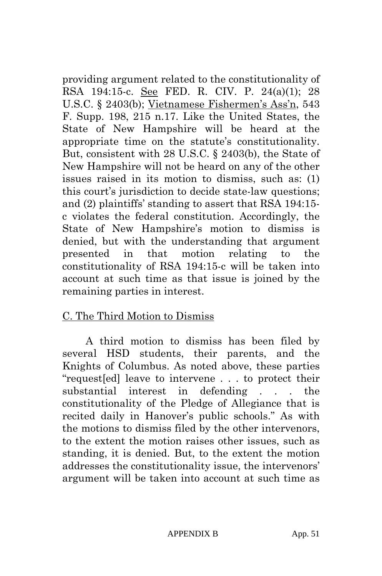providing argument related to the constitutionality of RSA 194:15-c. See FED. R. CIV. P. 24(a)(1); 28 U.S.C. § 2403(b); Vietnamese Fishermen's Ass'n, 543 F. Supp. 198, 215 n.17. Like the United States, the State of New Hampshire will be heard at the appropriate time on the statute's constitutionality. But, consistent with 28 U.S.C. § 2403(b), the State of New Hampshire will not be heard on any of the other issues raised in its motion to dismiss, such as: (1) this court's jurisdiction to decide state-law questions; and (2) plaintiffs' standing to assert that RSA 194:15 c violates the federal constitution. Accordingly, the State of New Hampshire's motion to dismiss is denied, but with the understanding that argument presented in that motion relating to the constitutionality of RSA 194:15-c will be taken into account at such time as that issue is joined by the remaining parties in interest.

## C. The Third Motion to Dismiss

A third motion to dismiss has been filed by several HSD students, their parents, and the Knights of Columbus. As noted above, these parties "request[ed] leave to intervene . . . to protect their substantial interest in defending . . . the constitutionality of the Pledge of Allegiance that is recited daily in Hanover's public schools." As with the motions to dismiss filed by the other intervenors, to the extent the motion raises other issues, such as standing, it is denied. But, to the extent the motion addresses the constitutionality issue, the intervenors' argument will be taken into account at such time as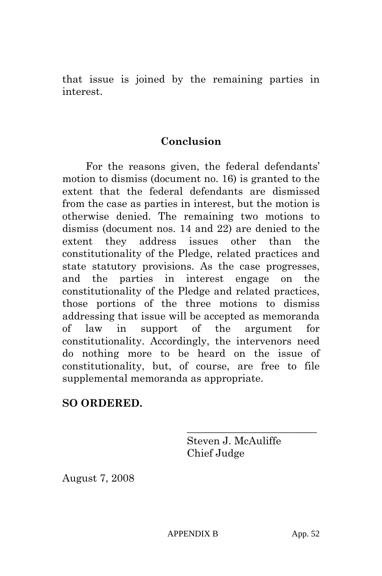that issue is joined by the remaining parties in interest.

#### **Conclusion**

For the reasons given, the federal defendants' motion to dismiss (document no. 16) is granted to the extent that the federal defendants are dismissed from the case as parties in interest, but the motion is otherwise denied. The remaining two motions to dismiss (document nos. 14 and 22) are denied to the extent they address issues other than the constitutionality of the Pledge, related practices and state statutory provisions. As the case progresses, and the parties in interest engage on the constitutionality of the Pledge and related practices, those portions of the three motions to dismiss addressing that issue will be accepted as memoranda of law in support of the argument for constitutionality. Accordingly, the intervenors need do nothing more to be heard on the issue of constitutionality, but, of course, are free to file supplemental memoranda as appropriate.

#### **SO ORDERED.**

Steven J. McAuliffe Chief Judge

\_\_\_\_\_\_\_\_\_\_\_\_\_\_\_\_\_\_\_\_\_\_\_\_\_

August 7, 2008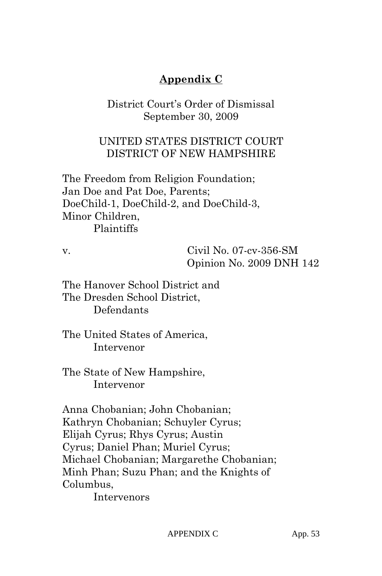# **Appendix C**

District Court's Order of Dismissal September 30, 2009

## UNITED STATES DISTRICT COURT DISTRICT OF NEW HAMPSHIRE

The Freedom from Religion Foundation; Jan Doe and Pat Doe, Parents; DoeChild-1, DoeChild-2, and DoeChild-3, Minor Children, Plaintiffs

v. Civil No. 07-cv-356-SM Opinion No. 2009 DNH 142

The Hanover School District and The Dresden School District, Defendants

The United States of America, Intervenor

The State of New Hampshire, Intervenor

Anna Chobanian; John Chobanian; Kathryn Chobanian; Schuyler Cyrus; Elijah Cyrus; Rhys Cyrus; Austin Cyrus; Daniel Phan; Muriel Cyrus; Michael Chobanian; Margarethe Chobanian; Minh Phan; Suzu Phan; and the Knights of Columbus,

Intervenors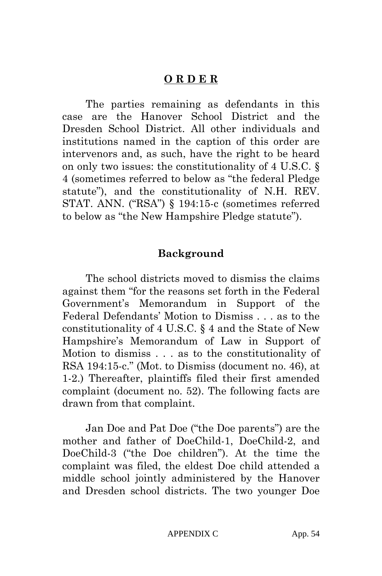#### **O R D E R**

The parties remaining as defendants in this case are the Hanover School District and the Dresden School District. All other individuals and institutions named in the caption of this order are intervenors and, as such, have the right to be heard on only two issues: the constitutionality of 4 U.S.C. § 4 (sometimes referred to below as "the federal Pledge statute"), and the constitutionality of N.H. REV. STAT. ANN. ("RSA") § 194:15-c (sometimes referred to below as "the New Hampshire Pledge statute").

#### **Background**

The school districts moved to dismiss the claims against them "for the reasons set forth in the Federal Government's Memorandum in Support of the Federal Defendants' Motion to Dismiss . . . as to the constitutionality of 4 U.S.C. § 4 and the State of New Hampshire's Memorandum of Law in Support of Motion to dismiss . . . as to the constitutionality of RSA 194:15-c." (Mot. to Dismiss (document no. 46), at 1-2.) Thereafter, plaintiffs filed their first amended complaint (document no. 52). The following facts are drawn from that complaint.

Jan Doe and Pat Doe ("the Doe parents") are the mother and father of DoeChild-1, DoeChild-2, and DoeChild-3 ("the Doe children"). At the time the complaint was filed, the eldest Doe child attended a middle school jointly administered by the Hanover and Dresden school districts. The two younger Doe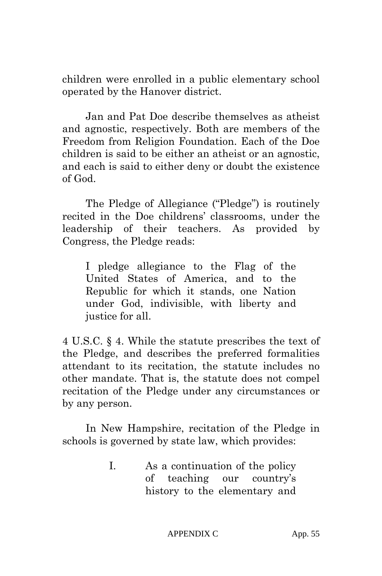children were enrolled in a public elementary school operated by the Hanover district.

Jan and Pat Doe describe themselves as atheist and agnostic, respectively. Both are members of the Freedom from Religion Foundation. Each of the Doe children is said to be either an atheist or an agnostic, and each is said to either deny or doubt the existence of God.

The Pledge of Allegiance ("Pledge") is routinely recited in the Doe childrens' classrooms, under the leadership of their teachers. As provided by Congress, the Pledge reads:

I pledge allegiance to the Flag of the United States of America, and to the Republic for which it stands, one Nation under God, indivisible, with liberty and justice for all.

4 U.S.C. § 4. While the statute prescribes the text of the Pledge, and describes the preferred formalities attendant to its recitation, the statute includes no other mandate. That is, the statute does not compel recitation of the Pledge under any circumstances or by any person.

In New Hampshire, recitation of the Pledge in schools is governed by state law, which provides:

> I. As a continuation of the policy of teaching our country's history to the elementary and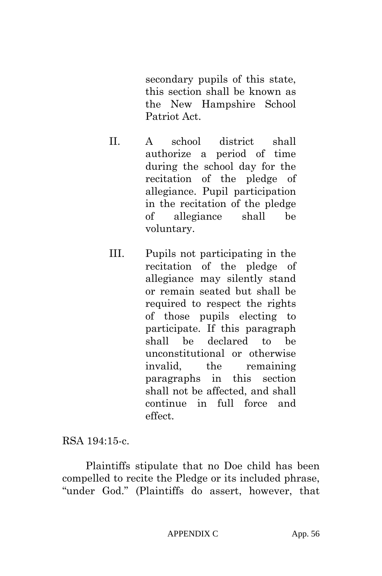secondary pupils of this state, this section shall be known as the New Hampshire School Patriot Act.

- II. A school district shall authorize a period of time during the school day for the recitation of the pledge of allegiance. Pupil participation in the recitation of the pledge of allegiance shall be voluntary.
- III. Pupils not participating in the recitation of the pledge of allegiance may silently stand or remain seated but shall be required to respect the rights of those pupils electing to participate. If this paragraph shall be declared to be unconstitutional or otherwise invalid, the remaining paragraphs in this section shall not be affected, and shall continue in full force and effect.

RSA 194:15-c.

Plaintiffs stipulate that no Doe child has been compelled to recite the Pledge or its included phrase, "under God." (Plaintiffs do assert, however, that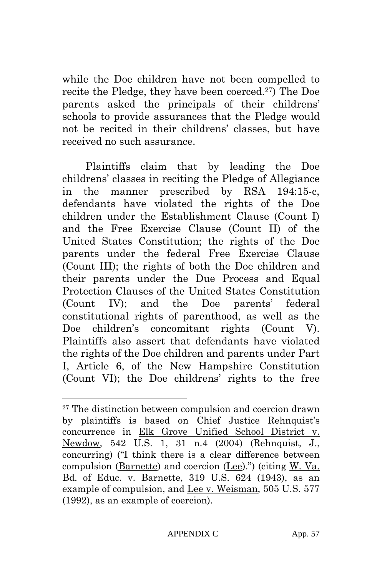while the Doe children have not been compelled to recite the Pledge, they have been coerced.27) The Doe parents asked the principals of their childrens' schools to provide assurances that the Pledge would not be recited in their childrens' classes, but have received no such assurance.

Plaintiffs claim that by leading the Doe childrens' classes in reciting the Pledge of Allegiance in the manner prescribed by RSA 194:15-c, defendants have violated the rights of the Doe children under the Establishment Clause (Count I) and the Free Exercise Clause (Count II) of the United States Constitution; the rights of the Doe parents under the federal Free Exercise Clause (Count III); the rights of both the Doe children and their parents under the Due Process and Equal Protection Clauses of the United States Constitution (Count IV); and the Doe parents' federal constitutional rights of parenthood, as well as the Doe children's concomitant rights (Count V). Plaintiffs also assert that defendants have violated the rights of the Doe children and parents under Part I, Article 6, of the New Hampshire Constitution (Count VI); the Doe childrens' rights to the free

 $\overline{a}$ 

<sup>&</sup>lt;sup>27</sup> The distinction between compulsion and coercion drawn by plaintiffs is based on Chief Justice Rehnquist's concurrence in Elk Grove Unified School District v. Newdow, 542 U.S. 1, 31 n.4 (2004) (Rehnquist, J., concurring) ("I think there is a clear difference between compulsion (Barnette) and coercion (Lee).") (citing W. Va. Bd. of Educ. v. Barnette, 319 U.S. 624 (1943), as an example of compulsion, and Lee v. Weisman, 505 U.S. 577 (1992), as an example of coercion).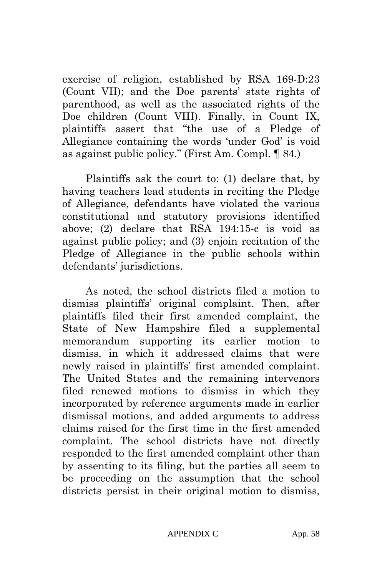exercise of religion, established by RSA 169-D:23 (Count VII); and the Doe parents' state rights of parenthood, as well as the associated rights of the Doe children (Count VIII). Finally, in Count IX, plaintiffs assert that "the use of a Pledge of Allegiance containing the words 'under God' is void as against public policy." (First Am. Compl. ¶ 84.)

Plaintiffs ask the court to: (1) declare that, by having teachers lead students in reciting the Pledge of Allegiance, defendants have violated the various constitutional and statutory provisions identified above; (2) declare that RSA 194:15-c is void as against public policy; and (3) enjoin recitation of the Pledge of Allegiance in the public schools within defendants' jurisdictions.

As noted, the school districts filed a motion to dismiss plaintiffs' original complaint. Then, after plaintiffs filed their first amended complaint, the State of New Hampshire filed a supplemental memorandum supporting its earlier motion to dismiss, in which it addressed claims that were newly raised in plaintiffs' first amended complaint. The United States and the remaining intervenors filed renewed motions to dismiss in which they incorporated by reference arguments made in earlier dismissal motions, and added arguments to address claims raised for the first time in the first amended complaint. The school districts have not directly responded to the first amended complaint other than by assenting to its filing, but the parties all seem to be proceeding on the assumption that the school districts persist in their original motion to dismiss,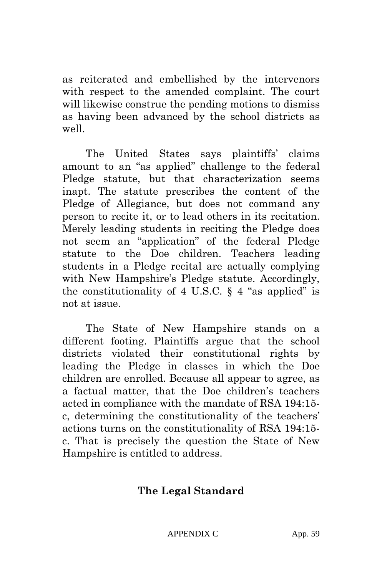as reiterated and embellished by the intervenors with respect to the amended complaint. The court will likewise construe the pending motions to dismiss as having been advanced by the school districts as well.

The United States says plaintiffs' claims amount to an "as applied" challenge to the federal Pledge statute, but that characterization seems inapt. The statute prescribes the content of the Pledge of Allegiance, but does not command any person to recite it, or to lead others in its recitation. Merely leading students in reciting the Pledge does not seem an "application" of the federal Pledge statute to the Doe children. Teachers leading students in a Pledge recital are actually complying with New Hampshire's Pledge statute. Accordingly, the constitutionality of 4 U.S.C.  $\S$  4 "as applied" is not at issue.

The State of New Hampshire stands on a different footing. Plaintiffs argue that the school districts violated their constitutional rights by leading the Pledge in classes in which the Doe children are enrolled. Because all appear to agree, as a factual matter, that the Doe children's teachers acted in compliance with the mandate of RSA 194:15 c, determining the constitutionality of the teachers' actions turns on the constitutionality of RSA 194:15 c. That is precisely the question the State of New Hampshire is entitled to address.

# **The Legal Standard**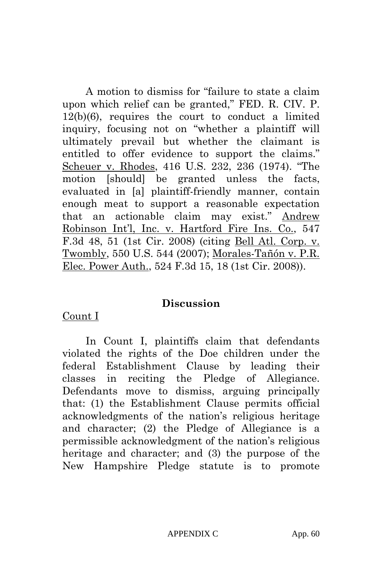A motion to dismiss for "failure to state a claim upon which relief can be granted," FED. R. CIV. P. 12(b)(6), requires the court to conduct a limited inquiry, focusing not on "whether a plaintiff will ultimately prevail but whether the claimant is entitled to offer evidence to support the claims." Scheuer v. Rhodes, 416 U.S. 232, 236 (1974). "The motion [should] be granted unless the facts, evaluated in [a] plaintiff-friendly manner, contain enough meat to support a reasonable expectation that an actionable claim may exist." Andrew Robinson Int'l, Inc. v. Hartford Fire Ins. Co., 547 F.3d 48, 51 (1st Cir. 2008) (citing Bell Atl. Corp. v. Twombly, 550 U.S. 544 (2007); Morales-Tañón v. P.R. Elec. Power Auth., 524 F.3d 15, 18 (1st Cir. 2008)).

#### **Discussion**

#### Count I

In Count I, plaintiffs claim that defendants violated the rights of the Doe children under the federal Establishment Clause by leading their classes in reciting the Pledge of Allegiance. Defendants move to dismiss, arguing principally that: (1) the Establishment Clause permits official acknowledgments of the nation's religious heritage and character; (2) the Pledge of Allegiance is a permissible acknowledgment of the nation's religious heritage and character; and (3) the purpose of the New Hampshire Pledge statute is to promote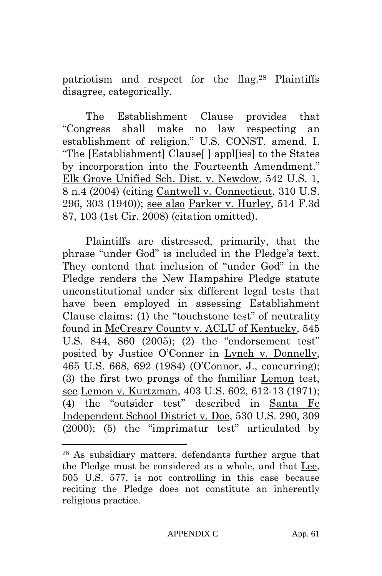patriotism and respect for the flag.28 Plaintiffs disagree, categorically.

The Establishment Clause provides that "Congress shall make no law respecting an establishment of religion." U.S. CONST. amend. I. "The [Establishment] Clause[ ] appl[ies] to the States by incorporation into the Fourteenth Amendment." Elk Grove Unified Sch. Dist. v. Newdow, 542 U.S. 1, 8 n.4 (2004) (citing Cantwell v. Connecticut, 310 U.S. 296, 303 (1940)); see also Parker v. Hurley, 514 F.3d 87, 103 (1st Cir. 2008) (citation omitted).

Plaintiffs are distressed, primarily, that the phrase "under God" is included in the Pledge's text. They contend that inclusion of "under God" in the Pledge renders the New Hampshire Pledge statute unconstitutional under six different legal tests that have been employed in assessing Establishment Clause claims: (1) the "touchstone test" of neutrality found in McCreary County v. ACLU of Kentucky, 545 U.S. 844, 860 (2005); (2) the "endorsement test" posited by Justice O'Conner in Lynch v. Donnelly, 465 U.S. 668, 692 (1984) (O'Connor, J., concurring); (3) the first two prongs of the familiar Lemon test, see Lemon v. Kurtzman, 403 U.S. 602, 612-13 (1971); (4) the "outsider test" described in Santa Fe Independent School District v. Doe, 530 U.S. 290, 309 (2000); (5) the "imprimatur test" articulated by

 $\overline{a}$ 

<sup>28</sup> As subsidiary matters, defendants further argue that the Pledge must be considered as a whole, and that Lee, 505 U.S. 577, is not controlling in this case because reciting the Pledge does not constitute an inherently religious practice.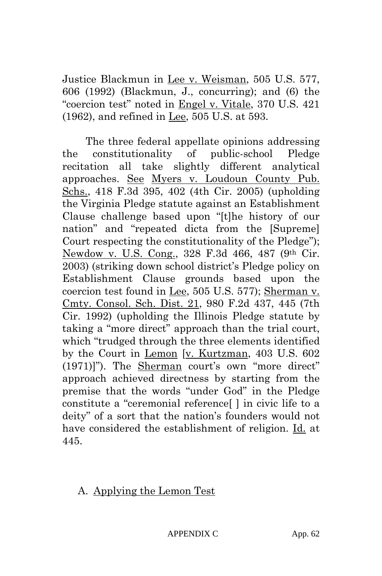Justice Blackmun in Lee v. Weisman, 505 U.S. 577, 606 (1992) (Blackmun, J., concurring); and (6) the "coercion test" noted in Engel v. Vitale, 370 U.S. 421 (1962), and refined in Lee, 505 U.S. at 593.

The three federal appellate opinions addressing the constitutionality of public-school Pledge recitation all take slightly different analytical approaches. See Myers v. Loudoun County Pub. Schs., 418 F.3d 395, 402 (4th Cir. 2005) (upholding the Virginia Pledge statute against an Establishment Clause challenge based upon "[t]he history of our nation" and "repeated dicta from the [Supreme] Court respecting the constitutionality of the Pledge"); Newdow v. U.S. Cong., 328 F.3d 466, 487 (9th Cir. 2003) (striking down school district's Pledge policy on Establishment Clause grounds based upon the coercion test found in Lee, 505 U.S. 577); Sherman v. Cmty. Consol. Sch. Dist. 21, 980 F.2d 437, 445 (7th Cir. 1992) (upholding the Illinois Pledge statute by taking a "more direct" approach than the trial court, which "trudged through the three elements identified by the Court in Lemon [v. Kurtzman, 403 U.S. 602 (1971)]"). The Sherman court's own "more direct" approach achieved directness by starting from the premise that the words "under God" in the Pledge constitute a "ceremonial reference[ ] in civic life to a deity" of a sort that the nation's founders would not have considered the establishment of religion. Id. at 445.

A. Applying the Lemon Test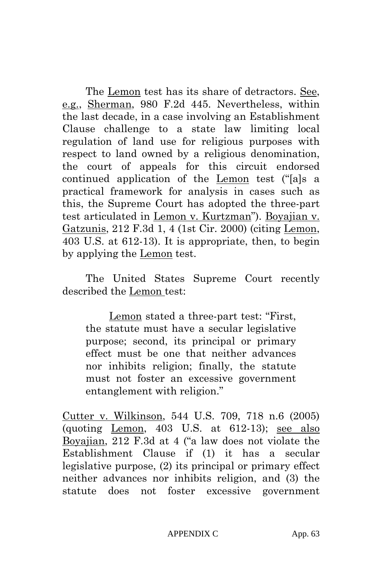The Lemon test has its share of detractors. See, e.g., Sherman, 980 F.2d 445. Nevertheless, within the last decade, in a case involving an Establishment Clause challenge to a state law limiting local regulation of land use for religious purposes with respect to land owned by a religious denomination, the court of appeals for this circuit endorsed continued application of the Lemon test ("[a]s a practical framework for analysis in cases such as this, the Supreme Court has adopted the three-part test articulated in Lemon v. Kurtzman"). Boyajian v. Gatzunis, 212 F.3d 1, 4 (1st Cir. 2000) (citing Lemon, 403 U.S. at 612-13). It is appropriate, then, to begin by applying the Lemon test.

The United States Supreme Court recently described the Lemon test:

Lemon stated a three-part test: "First, the statute must have a secular legislative purpose; second, its principal or primary effect must be one that neither advances nor inhibits religion; finally, the statute must not foster an excessive government entanglement with religion."

Cutter v. Wilkinson, 544 U.S. 709, 718 n.6 (2005) (quoting Lemon, 403 U.S. at 612-13); see also Boyajian, 212 F.3d at 4 ("a law does not violate the Establishment Clause if (1) it has a secular legislative purpose, (2) its principal or primary effect neither advances nor inhibits religion, and (3) the statute does not foster excessive government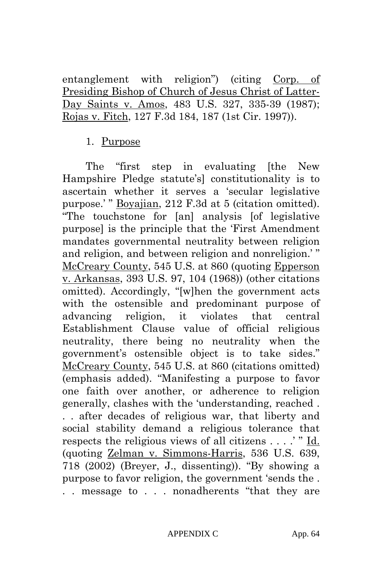entanglement with religion") (citing Corp. of Presiding Bishop of Church of Jesus Christ of Latter-Day Saints v. Amos, 483 U.S. 327, 335-39 (1987); Rojas v. Fitch, 127 F.3d 184, 187 (1st Cir. 1997)).

#### 1. Purpose

The "first step in evaluating [the New Hampshire Pledge statute's] constitutionality is to ascertain whether it serves a 'secular legislative purpose.' " Boyajian, 212 F.3d at 5 (citation omitted). "The touchstone for [an] analysis [of legislative purpose] is the principle that the 'First Amendment mandates governmental neutrality between religion and religion, and between religion and nonreligion.' " McCreary County, 545 U.S. at 860 (quoting Epperson v. Arkansas, 393 U.S. 97, 104 (1968)) (other citations omitted). Accordingly, "[w]hen the government acts with the ostensible and predominant purpose of advancing religion, it violates that central Establishment Clause value of official religious neutrality, there being no neutrality when the government's ostensible object is to take sides." McCreary County, 545 U.S. at 860 (citations omitted) (emphasis added). "Manifesting a purpose to favor one faith over another, or adherence to religion generally, clashes with the 'understanding, reached . . . after decades of religious war, that liberty and social stability demand a religious tolerance that respects the religious views of all citizens . . . .' " Id. (quoting Zelman v. Simmons-Harris, 536 U.S. 639, 718 (2002) (Breyer, J., dissenting)). "By showing a purpose to favor religion, the government 'sends the . . . message to . . . nonadherents "that they are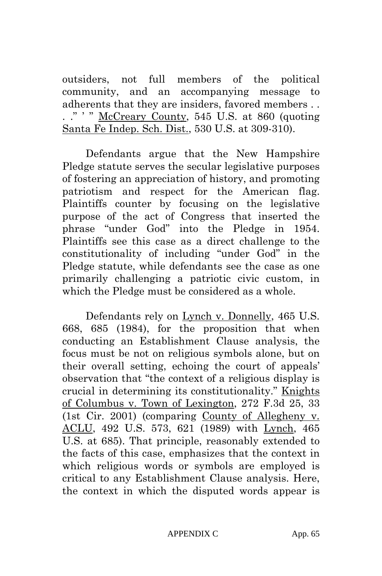outsiders, not full members of the political community, and an accompanying message to adherents that they are insiders, favored members . . . ." ' " McCreary County, 545 U.S. at 860 (quoting Santa Fe Indep. Sch. Dist., 530 U.S. at 309-310).

Defendants argue that the New Hampshire Pledge statute serves the secular legislative purposes of fostering an appreciation of history, and promoting patriotism and respect for the American flag. Plaintiffs counter by focusing on the legislative purpose of the act of Congress that inserted the phrase "under God" into the Pledge in 1954. Plaintiffs see this case as a direct challenge to the constitutionality of including "under God" in the Pledge statute, while defendants see the case as one primarily challenging a patriotic civic custom, in which the Pledge must be considered as a whole.

Defendants rely on Lynch v. Donnelly, 465 U.S. 668, 685 (1984), for the proposition that when conducting an Establishment Clause analysis, the focus must be not on religious symbols alone, but on their overall setting, echoing the court of appeals' observation that "the context of a religious display is crucial in determining its constitutionality." Knights of Columbus v. Town of Lexington, 272 F.3d 25, 33 (1st Cir. 2001) (comparing County of Allegheny v. ACLU, 492 U.S. 573, 621 (1989) with Lynch, 465 U.S. at 685). That principle, reasonably extended to the facts of this case, emphasizes that the context in which religious words or symbols are employed is critical to any Establishment Clause analysis. Here, the context in which the disputed words appear is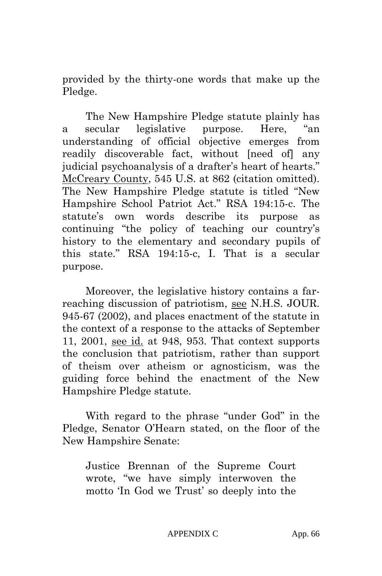provided by the thirty-one words that make up the Pledge.

The New Hampshire Pledge statute plainly has a secular legislative purpose. Here, "an understanding of official objective emerges from readily discoverable fact, without [need of] any judicial psychoanalysis of a drafter's heart of hearts." McCreary County, 545 U.S. at 862 (citation omitted). The New Hampshire Pledge statute is titled "New Hampshire School Patriot Act." RSA 194:15-c. The statute's own words describe its purpose as continuing "the policy of teaching our country's history to the elementary and secondary pupils of this state." RSA 194:15-c, I. That is a secular purpose.

Moreover, the legislative history contains a farreaching discussion of patriotism, see N.H.S. JOUR. 945-67 (2002), and places enactment of the statute in the context of a response to the attacks of September 11, 2001, see id. at 948, 953. That context supports the conclusion that patriotism, rather than support of theism over atheism or agnosticism, was the guiding force behind the enactment of the New Hampshire Pledge statute.

With regard to the phrase "under God" in the Pledge, Senator O'Hearn stated, on the floor of the New Hampshire Senate:

Justice Brennan of the Supreme Court wrote, "we have simply interwoven the motto 'In God we Trust' so deeply into the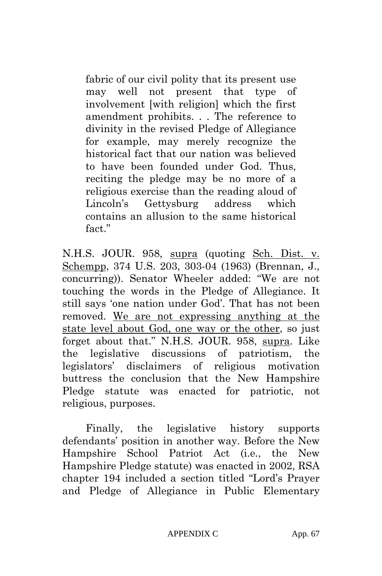fabric of our civil polity that its present use may well not present that type of involvement [with religion] which the first amendment prohibits. . . The reference to divinity in the revised Pledge of Allegiance for example, may merely recognize the historical fact that our nation was believed to have been founded under God. Thus, reciting the pledge may be no more of a religious exercise than the reading aloud of Lincoln's Gettysburg address which contains an allusion to the same historical fact."

N.H.S. JOUR. 958, supra (quoting Sch. Dist. v. Schempp, 374 U.S. 203, 303-04 (1963) (Brennan, J., concurring)). Senator Wheeler added: "We are not touching the words in the Pledge of Allegiance. It still says 'one nation under God'. That has not been removed. We are not expressing anything at the state level about God, one way or the other, so just forget about that." N.H.S. JOUR. 958, supra. Like the legislative discussions of patriotism, the legislators' disclaimers of religious motivation buttress the conclusion that the New Hampshire Pledge statute was enacted for patriotic, not religious, purposes.

Finally, the legislative history supports defendants' position in another way. Before the New Hampshire School Patriot Act (i.e., the New Hampshire Pledge statute) was enacted in 2002, RSA chapter 194 included a section titled "Lord's Prayer and Pledge of Allegiance in Public Elementary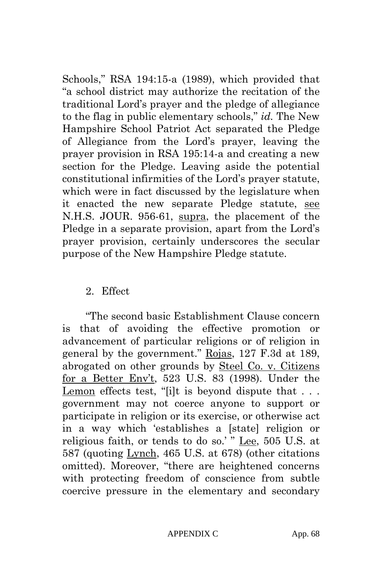Schools," RSA 194:15-a (1989), which provided that "a school district may authorize the recitation of the traditional Lord's prayer and the pledge of allegiance to the flag in public elementary schools," *id.* The New Hampshire School Patriot Act separated the Pledge of Allegiance from the Lord's prayer, leaving the prayer provision in RSA 195:14-a and creating a new section for the Pledge. Leaving aside the potential constitutional infirmities of the Lord's prayer statute, which were in fact discussed by the legislature when it enacted the new separate Pledge statute, see N.H.S. JOUR. 956-61, supra, the placement of the Pledge in a separate provision, apart from the Lord's prayer provision, certainly underscores the secular purpose of the New Hampshire Pledge statute.

#### 2. Effect

"The second basic Establishment Clause concern is that of avoiding the effective promotion or advancement of particular religions or of religion in general by the government." Rojas, 127 F.3d at 189, abrogated on other grounds by Steel Co. v. Citizens for a Better Env't, 523 U.S. 83 (1998). Under the Lemon effects test, "[i]t is beyond dispute that . . . government may not coerce anyone to support or participate in religion or its exercise, or otherwise act in a way which 'establishes a [state] religion or religious faith, or tends to do so.' " Lee, 505 U.S. at 587 (quoting Lynch, 465 U.S. at 678) (other citations omitted). Moreover, "there are heightened concerns with protecting freedom of conscience from subtle coercive pressure in the elementary and secondary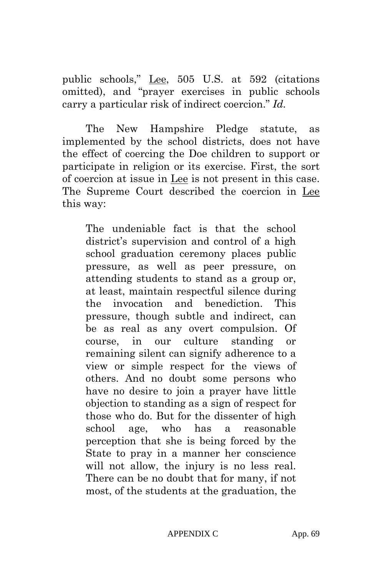public schools," Lee, 505 U.S. at 592 (citations omitted), and "prayer exercises in public schools carry a particular risk of indirect coercion." *Id.* 

The New Hampshire Pledge statute, as implemented by the school districts, does not have the effect of coercing the Doe children to support or participate in religion or its exercise. First, the sort of coercion at issue in Lee is not present in this case. The Supreme Court described the coercion in Lee this way:

The undeniable fact is that the school district's supervision and control of a high school graduation ceremony places public pressure, as well as peer pressure, on attending students to stand as a group or, at least, maintain respectful silence during the invocation and benediction. This pressure, though subtle and indirect, can be as real as any overt compulsion. Of course, in our culture standing or remaining silent can signify adherence to a view or simple respect for the views of others. And no doubt some persons who have no desire to join a prayer have little objection to standing as a sign of respect for those who do. But for the dissenter of high school age, who has a reasonable perception that she is being forced by the State to pray in a manner her conscience will not allow, the injury is no less real. There can be no doubt that for many, if not most, of the students at the graduation, the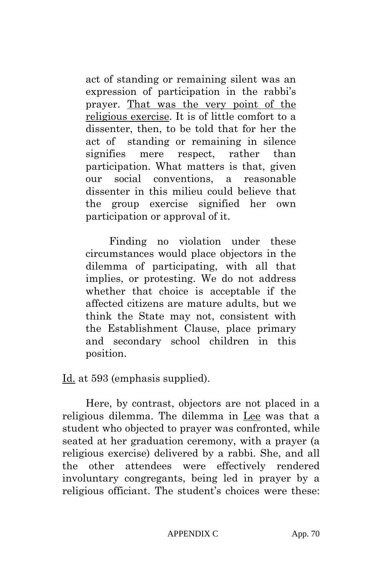act of standing or remaining silent was an expression of participation in the rabbi's prayer. That was the very point of the religious exercise. It is of little comfort to a dissenter, then, to be told that for her the act of standing or remaining in silence signifies mere respect, rather than participation. What matters is that, given our social conventions, a reasonable dissenter in this milieu could believe that the group exercise signified her own participation or approval of it.

Finding no violation under these circumstances would place objectors in the dilemma of participating, with all that implies, or protesting. We do not address whether that choice is acceptable if the affected citizens are mature adults, but we think the State may not, consistent with the Establishment Clause, place primary and secondary school children in this position.

Id. at 593 (emphasis supplied).

Here, by contrast, objectors are not placed in a religious dilemma. The dilemma in Lee was that a student who objected to prayer was confronted, while seated at her graduation ceremony, with a prayer (a religious exercise) delivered by a rabbi. She, and all the other attendees were effectively rendered involuntary congregants, being led in prayer by a religious officiant. The student's choices were these: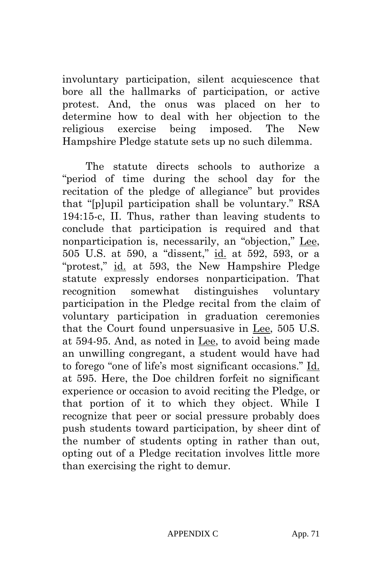involuntary participation, silent acquiescence that bore all the hallmarks of participation, or active protest. And, the onus was placed on her to determine how to deal with her objection to the religious exercise being imposed. The New Hampshire Pledge statute sets up no such dilemma.

The statute directs schools to authorize a "period of time during the school day for the recitation of the pledge of allegiance" but provides that "[p]upil participation shall be voluntary." RSA 194:15-c, II. Thus, rather than leaving students to conclude that participation is required and that nonparticipation is, necessarily, an "objection," Lee, 505 U.S. at 590, a "dissent," id. at 592, 593, or a "protest," id. at 593, the New Hampshire Pledge statute expressly endorses nonparticipation. That recognition somewhat distinguishes voluntary participation in the Pledge recital from the claim of voluntary participation in graduation ceremonies that the Court found unpersuasive in Lee, 505 U.S. at 594-95. And, as noted in Lee, to avoid being made an unwilling congregant, a student would have had to forego "one of life's most significant occasions." Id. at 595. Here, the Doe children forfeit no significant experience or occasion to avoid reciting the Pledge, or that portion of it to which they object. While I recognize that peer or social pressure probably does push students toward participation, by sheer dint of the number of students opting in rather than out, opting out of a Pledge recitation involves little more than exercising the right to demur.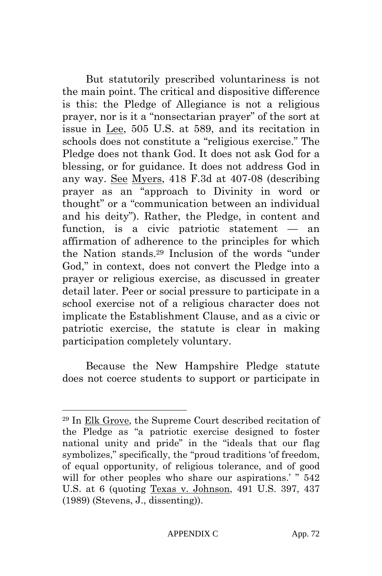But statutorily prescribed voluntariness is not the main point. The critical and dispositive difference is this: the Pledge of Allegiance is not a religious prayer, nor is it a "nonsectarian prayer" of the sort at issue in Lee, 505 U.S. at 589, and its recitation in schools does not constitute a "religious exercise." The Pledge does not thank God. It does not ask God for a blessing, or for guidance. It does not address God in any way. See Myers, 418 F.3d at 407-08 (describing prayer as an "approach to Divinity in word or thought" or a "communication between an individual and his deity"). Rather, the Pledge, in content and function, is a civic patriotic statement — an affirmation of adherence to the principles for which the Nation stands.29 Inclusion of the words "under God," in context, does not convert the Pledge into a prayer or religious exercise, as discussed in greater detail later. Peer or social pressure to participate in a school exercise not of a religious character does not implicate the Establishment Clause, and as a civic or patriotic exercise, the statute is clear in making participation completely voluntary.

Because the New Hampshire Pledge statute does not coerce students to support or participate in

 $\overline{\phantom{a}}$ 

<sup>29</sup> In Elk Grove, the Supreme Court described recitation of the Pledge as "a patriotic exercise designed to foster national unity and pride" in the "ideals that our flag symbolizes," specifically, the "proud traditions 'of freedom, of equal opportunity, of religious tolerance, and of good will for other peoples who share our aspirations.' "  $542$ U.S. at 6 (quoting Texas v. Johnson, 491 U.S. 397, 437 (1989) (Stevens, J., dissenting)).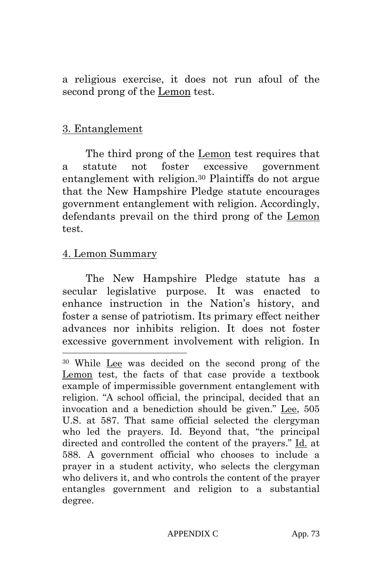a religious exercise, it does not run afoul of the second prong of the Lemon test.

#### 3. Entanglement

The third prong of the Lemon test requires that a statute not foster excessive government entanglement with religion.30 Plaintiffs do not argue that the New Hampshire Pledge statute encourages government entanglement with religion. Accordingly, defendants prevail on the third prong of the Lemon test.

#### 4. Lemon Summary

l

The New Hampshire Pledge statute has a secular legislative purpose. It was enacted to enhance instruction in the Nation's history, and foster a sense of patriotism. Its primary effect neither advances nor inhibits religion. It does not foster excessive government involvement with religion. In

<sup>30</sup> While Lee was decided on the second prong of the Lemon test, the facts of that case provide a textbook example of impermissible government entanglement with religion. "A school official, the principal, decided that an invocation and a benediction should be given." Lee, 505 U.S. at 587. That same official selected the clergyman who led the prayers. Id. Beyond that, "the principal directed and controlled the content of the prayers." Id. at 588. A government official who chooses to include a prayer in a student activity, who selects the clergyman who delivers it, and who controls the content of the prayer entangles government and religion to a substantial degree.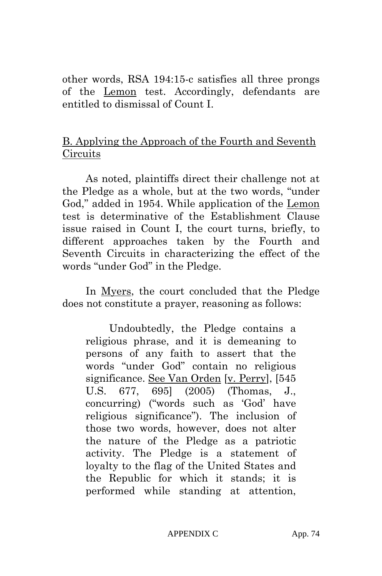other words, RSA 194:15-c satisfies all three prongs of the Lemon test. Accordingly, defendants are entitled to dismissal of Count I.

## B. Applying the Approach of the Fourth and Seventh Circuits

As noted, plaintiffs direct their challenge not at the Pledge as a whole, but at the two words, "under God," added in 1954. While application of the Lemon test is determinative of the Establishment Clause issue raised in Count I, the court turns, briefly, to different approaches taken by the Fourth and Seventh Circuits in characterizing the effect of the words "under God" in the Pledge.

In Myers, the court concluded that the Pledge does not constitute a prayer, reasoning as follows:

Undoubtedly, the Pledge contains a religious phrase, and it is demeaning to persons of any faith to assert that the words "under God" contain no religious significance. See Van Orden [v. Perry], [545 U.S. 677, 695] (2005) (Thomas, J., concurring) ("words such as 'God' have religious significance"). The inclusion of those two words, however, does not alter the nature of the Pledge as a patriotic activity. The Pledge is a statement of loyalty to the flag of the United States and the Republic for which it stands; it is performed while standing at attention,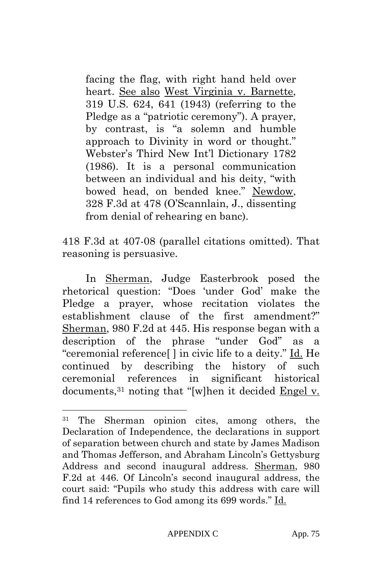facing the flag, with right hand held over heart. See also West Virginia v. Barnette, 319 U.S. 624, 641 (1943) (referring to the Pledge as a "patriotic ceremony"). A prayer, by contrast, is "a solemn and humble approach to Divinity in word or thought." Webster's Third New Int'l Dictionary 1782 (1986). It is a personal communication between an individual and his deity, "with bowed head, on bended knee." Newdow, 328 F.3d at 478 (O'Scannlain, J., dissenting from denial of rehearing en banc).

418 F.3d at 407-08 (parallel citations omitted). That reasoning is persuasive.

In Sherman, Judge Easterbrook posed the rhetorical question: "Does 'under God' make the Pledge a prayer, whose recitation violates the establishment clause of the first amendment?" Sherman, 980 F.2d at 445. His response began with a description of the phrase "under God" as a "ceremonial reference[ ] in civic life to a deity." Id. He continued by describing the history of such ceremonial references in significant historical documents,31 noting that "[w]hen it decided Engel v.

 $\overline{\phantom{a}}$ 

<sup>31</sup> The Sherman opinion cites, among others, the Declaration of Independence, the declarations in support of separation between church and state by James Madison and Thomas Jefferson, and Abraham Lincoln's Gettysburg Address and second inaugural address. Sherman, 980 F.2d at 446. Of Lincoln's second inaugural address, the court said: "Pupils who study this address with care will find 14 references to God among its 699 words." Id.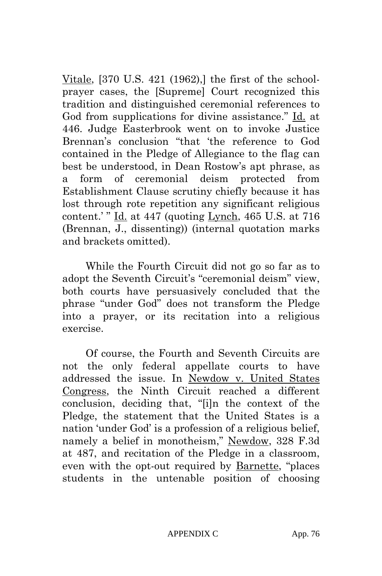Vitale, [370 U.S. 421 (1962),] the first of the schoolprayer cases, the [Supreme] Court recognized this tradition and distinguished ceremonial references to God from supplications for divine assistance." Id. at 446. Judge Easterbrook went on to invoke Justice Brennan's conclusion "that 'the reference to God contained in the Pledge of Allegiance to the flag can best be understood, in Dean Rostow's apt phrase, as a form of ceremonial deism protected from Establishment Clause scrutiny chiefly because it has lost through rote repetition any significant religious content.' "  $\underline{Id}$  at 447 (quoting Lynch, 465 U.S. at 716 (Brennan, J., dissenting)) (internal quotation marks and brackets omitted).

While the Fourth Circuit did not go so far as to adopt the Seventh Circuit's "ceremonial deism" view, both courts have persuasively concluded that the phrase "under God" does not transform the Pledge into a prayer, or its recitation into a religious exercise.

Of course, the Fourth and Seventh Circuits are not the only federal appellate courts to have addressed the issue. In Newdow v. United States Congress, the Ninth Circuit reached a different conclusion, deciding that, "[i]n the context of the Pledge, the statement that the United States is a nation 'under God' is a profession of a religious belief, namely a belief in monotheism," Newdow, 328 F.3d at 487, and recitation of the Pledge in a classroom, even with the opt-out required by Barnette, "places students in the untenable position of choosing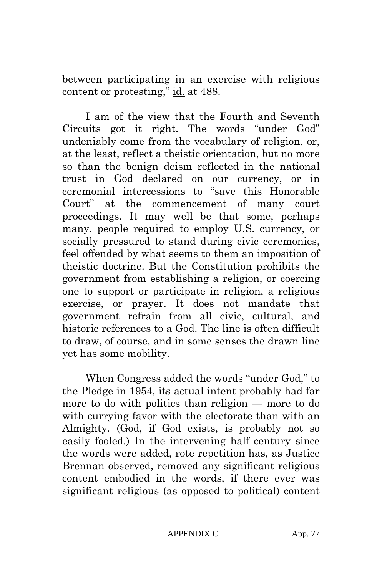between participating in an exercise with religious content or protesting," id. at 488.

I am of the view that the Fourth and Seventh Circuits got it right. The words "under God" undeniably come from the vocabulary of religion, or, at the least, reflect a theistic orientation, but no more so than the benign deism reflected in the national trust in God declared on our currency, or in ceremonial intercessions to "save this Honorable Court" at the commencement of many court proceedings. It may well be that some, perhaps many, people required to employ U.S. currency, or socially pressured to stand during civic ceremonies, feel offended by what seems to them an imposition of theistic doctrine. But the Constitution prohibits the government from establishing a religion, or coercing one to support or participate in religion, a religious exercise, or prayer. It does not mandate that government refrain from all civic, cultural, and historic references to a God. The line is often difficult to draw, of course, and in some senses the drawn line yet has some mobility.

When Congress added the words "under God," to the Pledge in 1954, its actual intent probably had far more to do with politics than religion — more to do with currying favor with the electorate than with an Almighty. (God, if God exists, is probably not so easily fooled.) In the intervening half century since the words were added, rote repetition has, as Justice Brennan observed, removed any significant religious content embodied in the words, if there ever was significant religious (as opposed to political) content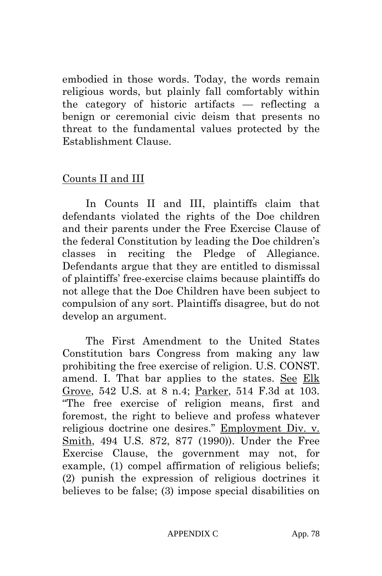embodied in those words. Today, the words remain religious words, but plainly fall comfortably within the category of historic artifacts — reflecting a benign or ceremonial civic deism that presents no threat to the fundamental values protected by the Establishment Clause.

### Counts II and III

In Counts II and III, plaintiffs claim that defendants violated the rights of the Doe children and their parents under the Free Exercise Clause of the federal Constitution by leading the Doe children's classes in reciting the Pledge of Allegiance. Defendants argue that they are entitled to dismissal of plaintiffs' free-exercise claims because plaintiffs do not allege that the Doe Children have been subject to compulsion of any sort. Plaintiffs disagree, but do not develop an argument.

The First Amendment to the United States Constitution bars Congress from making any law prohibiting the free exercise of religion. U.S. CONST. amend. I. That bar applies to the states. See Elk Grove, 542 U.S. at 8 n.4; Parker, 514 F.3d at 103. "The free exercise of religion means, first and foremost, the right to believe and profess whatever religious doctrine one desires." Employment Div. v. Smith, 494 U.S. 872, 877 (1990)). Under the Free Exercise Clause, the government may not, for example, (1) compel affirmation of religious beliefs; (2) punish the expression of religious doctrines it believes to be false; (3) impose special disabilities on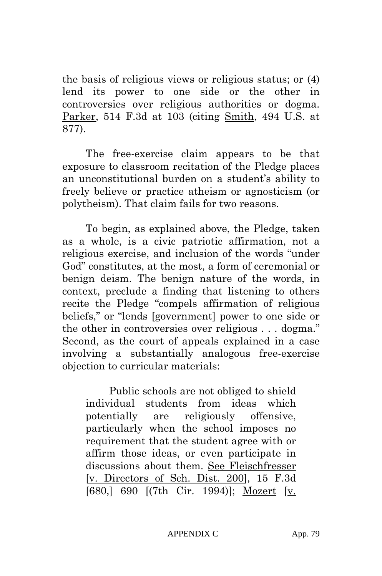the basis of religious views or religious status; or (4) lend its power to one side or the other in controversies over religious authorities or dogma. Parker, 514 F.3d at 103 (citing Smith, 494 U.S. at 877).

The free-exercise claim appears to be that exposure to classroom recitation of the Pledge places an unconstitutional burden on a student's ability to freely believe or practice atheism or agnosticism (or polytheism). That claim fails for two reasons.

To begin, as explained above, the Pledge, taken as a whole, is a civic patriotic affirmation, not a religious exercise, and inclusion of the words "under God" constitutes, at the most, a form of ceremonial or benign deism. The benign nature of the words, in context, preclude a finding that listening to others recite the Pledge "compels affirmation of religious beliefs," or "lends [government] power to one side or the other in controversies over religious . . . dogma." Second, as the court of appeals explained in a case involving a substantially analogous free-exercise objection to curricular materials:

Public schools are not obliged to shield individual students from ideas which potentially are religiously offensive, particularly when the school imposes no requirement that the student agree with or affirm those ideas, or even participate in discussions about them. See Fleischfresser [v. Directors of Sch. Dist. 200], 15 F.3d [680,] 690 [(7th Cir. 1994)]; Mozert [v.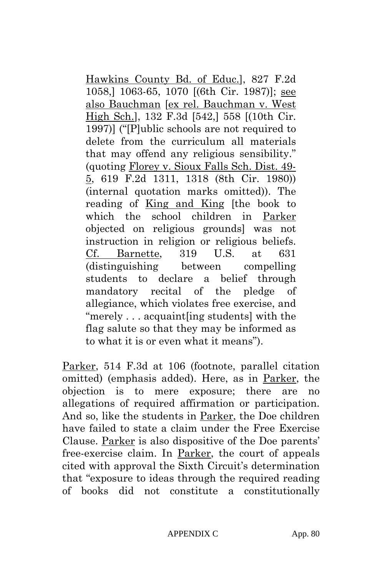Hawkins County Bd. of Educ.], 827 F.2d 1058,] 1063-65, 1070 [(6th Cir. 1987)]; see also Bauchman [ex rel. Bauchman v. West High Sch.], 132 F.3d [542,] 558 [(10th Cir. 1997)] ("[P]ublic schools are not required to delete from the curriculum all materials that may offend any religious sensibility." (quoting Florey v. Sioux Falls Sch. Dist. 49- 5, 619 F.2d 1311, 1318 (8th Cir. 1980)) (internal quotation marks omitted)). The reading of King and King [the book to which the school children in Parker objected on religious grounds] was not instruction in religion or religious beliefs. Cf. Barnette, 319 U.S. at 631 (distinguishing between compelling students to declare a belief through mandatory recital of the pledge of allegiance, which violates free exercise, and "merely . . . acquaint[ing students] with the flag salute so that they may be informed as to what it is or even what it means").

Parker, 514 F.3d at 106 (footnote, parallel citation omitted) (emphasis added). Here, as in Parker, the objection is to mere exposure; there are no allegations of required affirmation or participation. And so, like the students in Parker, the Doe children have failed to state a claim under the Free Exercise Clause. Parker is also dispositive of the Doe parents' free-exercise claim. In Parker, the court of appeals cited with approval the Sixth Circuit's determination that "exposure to ideas through the required reading of books did not constitute a constitutionally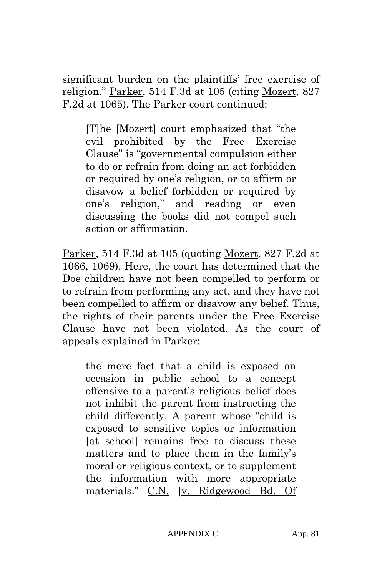significant burden on the plaintiffs' free exercise of religion." Parker, 514 F.3d at 105 (citing Mozert, 827 F.2d at 1065). The Parker court continued:

[T]he [Mozert] court emphasized that "the evil prohibited by the Free Exercise Clause" is "governmental compulsion either to do or refrain from doing an act forbidden or required by one's religion, or to affirm or disavow a belief forbidden or required by one's religion," and reading or even discussing the books did not compel such action or affirmation.

Parker, 514 F.3d at 105 (quoting Mozert, 827 F.2d at 1066, 1069). Here, the court has determined that the Doe children have not been compelled to perform or to refrain from performing any act, and they have not been compelled to affirm or disavow any belief. Thus, the rights of their parents under the Free Exercise Clause have not been violated. As the court of appeals explained in Parker:

the mere fact that a child is exposed on occasion in public school to a concept offensive to a parent's religious belief does not inhibit the parent from instructing the child differently. A parent whose "child is exposed to sensitive topics or information [at school] remains free to discuss these matters and to place them in the family's moral or religious context, or to supplement the information with more appropriate materials." C.N. [v. Ridgewood Bd. Of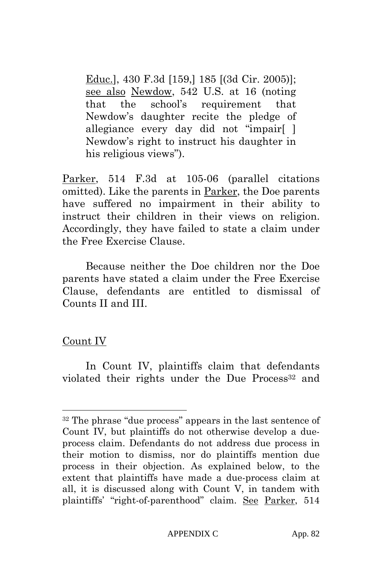Educ.], 430 F.3d [159,] 185 [(3d Cir. 2005)]; see also Newdow, 542 U.S. at 16 (noting that the school's requirement that Newdow's daughter recite the pledge of allegiance every day did not "impair[ ] Newdow's right to instruct his daughter in his religious views").

Parker, 514 F.3d at 105-06 (parallel citations omitted). Like the parents in Parker, the Doe parents have suffered no impairment in their ability to instruct their children in their views on religion. Accordingly, they have failed to state a claim under the Free Exercise Clause.

Because neither the Doe children nor the Doe parents have stated a claim under the Free Exercise Clause, defendants are entitled to dismissal of Counts II and III.

### Count IV

 $\overline{\phantom{a}}$ 

In Count IV, plaintiffs claim that defendants violated their rights under the Due Process<sup>32</sup> and

<sup>32</sup> The phrase "due process" appears in the last sentence of Count IV, but plaintiffs do not otherwise develop a dueprocess claim. Defendants do not address due process in their motion to dismiss, nor do plaintiffs mention due process in their objection. As explained below, to the extent that plaintiffs have made a due-process claim at all, it is discussed along with Count V, in tandem with plaintiffs' "right-of-parenthood" claim. See Parker, 514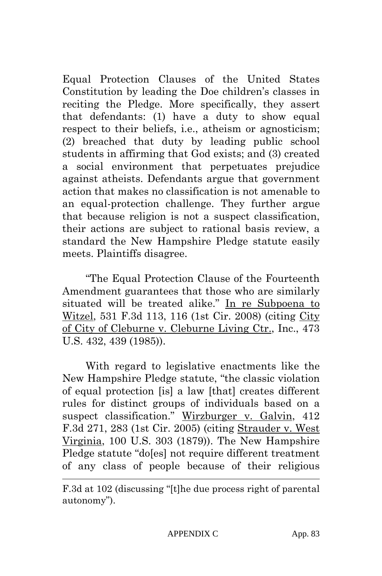Equal Protection Clauses of the United States Constitution by leading the Doe children's classes in reciting the Pledge. More specifically, they assert that defendants: (1) have a duty to show equal respect to their beliefs, i.e., atheism or agnosticism; (2) breached that duty by leading public school students in affirming that God exists; and (3) created a social environment that perpetuates prejudice against atheists. Defendants argue that government action that makes no classification is not amenable to an equal-protection challenge. They further argue that because religion is not a suspect classification, their actions are subject to rational basis review, a standard the New Hampshire Pledge statute easily meets. Plaintiffs disagree.

"The Equal Protection Clause of the Fourteenth Amendment guarantees that those who are similarly situated will be treated alike." In re Subpoena to Witzel, 531 F.3d 113, 116 (1st Cir. 2008) (citing City of City of Cleburne v. Cleburne Living Ctr., Inc., 473 U.S. 432, 439 (1985)).

With regard to legislative enactments like the New Hampshire Pledge statute, "the classic violation of equal protection [is] a law [that] creates different rules for distinct groups of individuals based on a suspect classification." Wirzburger v. Galvin, 412 F.3d 271, 283 (1st Cir. 2005) (citing Strauder v. West Virginia, 100 U.S. 303 (1879)). The New Hampshire Pledge statute "do[es] not require different treatment of any class of people because of their religious

l

F.3d at 102 (discussing "[t]he due process right of parental autonomy").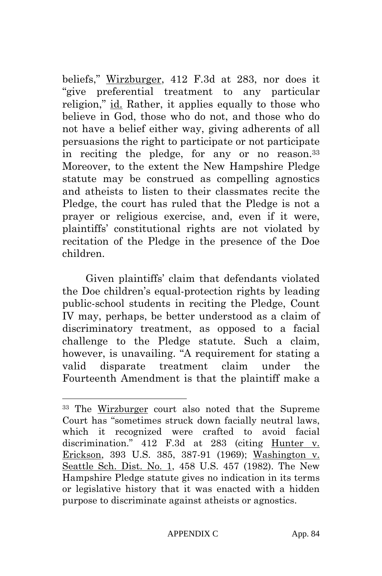beliefs," Wirzburger, 412 F.3d at 283, nor does it "give preferential treatment to any particular religion," id. Rather, it applies equally to those who believe in God, those who do not, and those who do not have a belief either way, giving adherents of all persuasions the right to participate or not participate in reciting the pledge, for any or no reason.33 Moreover, to the extent the New Hampshire Pledge statute may be construed as compelling agnostics and atheists to listen to their classmates recite the Pledge, the court has ruled that the Pledge is not a prayer or religious exercise, and, even if it were, plaintiffs' constitutional rights are not violated by recitation of the Pledge in the presence of the Doe children.

Given plaintiffs' claim that defendants violated the Doe children's equal-protection rights by leading public-school students in reciting the Pledge, Count IV may, perhaps, be better understood as a claim of discriminatory treatment, as opposed to a facial challenge to the Pledge statute. Such a claim, however, is unavailing. "A requirement for stating a valid disparate treatment claim under the Fourteenth Amendment is that the plaintiff make a

 $\overline{\phantom{a}}$ 

<sup>33</sup> The Wirzburger court also noted that the Supreme Court has "sometimes struck down facially neutral laws, which it recognized were crafted to avoid facial discrimination." 412 F.3d at 283 (citing Hunter v. Erickson, 393 U.S. 385, 387-91 (1969); Washington v. Seattle Sch. Dist. No. 1, 458 U.S. 457 (1982). The New Hampshire Pledge statute gives no indication in its terms or legislative history that it was enacted with a hidden purpose to discriminate against atheists or agnostics.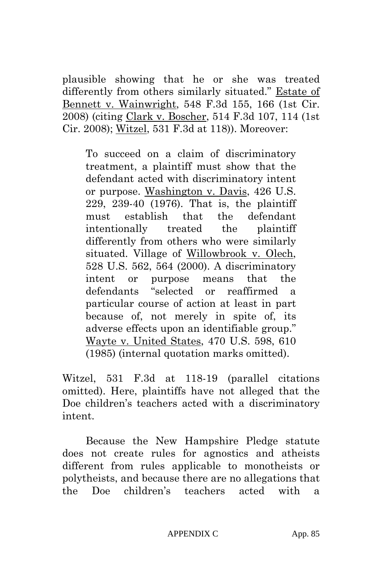plausible showing that he or she was treated differently from others similarly situated." Estate of Bennett v. Wainwright, 548 F.3d 155, 166 (1st Cir. 2008) (citing Clark v. Boscher, 514 F.3d 107, 114 (1st Cir. 2008); Witzel, 531 F.3d at 118)). Moreover:

To succeed on a claim of discriminatory treatment, a plaintiff must show that the defendant acted with discriminatory intent or purpose. Washington v. Davis, 426 U.S. 229, 239-40 (1976). That is, the plaintiff must establish that the defendant intentionally treated the plaintiff differently from others who were similarly situated. Village of Willowbrook v. Olech, 528 U.S. 562, 564 (2000). A discriminatory intent or purpose means that the defendants "selected or reaffirmed a particular course of action at least in part because of, not merely in spite of, its adverse effects upon an identifiable group." Wayte v. United States, 470 U.S. 598, 610 (1985) (internal quotation marks omitted).

Witzel, 531 F.3d at 118-19 (parallel citations omitted). Here, plaintiffs have not alleged that the Doe children's teachers acted with a discriminatory intent.

Because the New Hampshire Pledge statute does not create rules for agnostics and atheists different from rules applicable to monotheists or polytheists, and because there are no allegations that the Doe children's teachers acted with a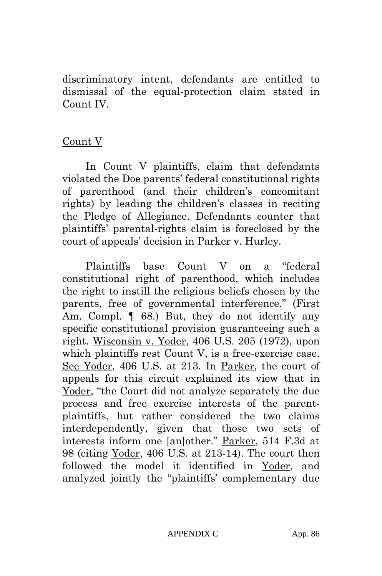discriminatory intent, defendants are entitled to dismissal of the equal-protection claim stated in Count IV.

#### Count V

In Count V plaintiffs, claim that defendants violated the Doe parents' federal constitutional rights of parenthood (and their children's concomitant rights) by leading the children's classes in reciting the Pledge of Allegiance. Defendants counter that plaintiffs' parental-rights claim is foreclosed by the court of appeals' decision in Parker v. Hurley.

Plaintiffs base Count V on a "federal constitutional right of parenthood, which includes the right to instill the religious beliefs chosen by the parents, free of governmental interference." (First Am. Compl.  $\llbracket$  68.) But, they do not identify any specific constitutional provision guaranteeing such a right. Wisconsin v. Yoder, 406 U.S. 205 (1972), upon which plaintiffs rest Count V, is a free-exercise case. See Yoder, 406 U.S. at 213. In Parker, the court of appeals for this circuit explained its view that in Yoder, "the Court did not analyze separately the due process and free exercise interests of the parentplaintiffs, but rather considered the two claims interdependently, given that those two sets of interests inform one [an]other." Parker, 514 F.3d at 98 (citing Yoder, 406 U.S. at 213-14). The court then followed the model it identified in Yoder, and analyzed jointly the "plaintiffs' complementary due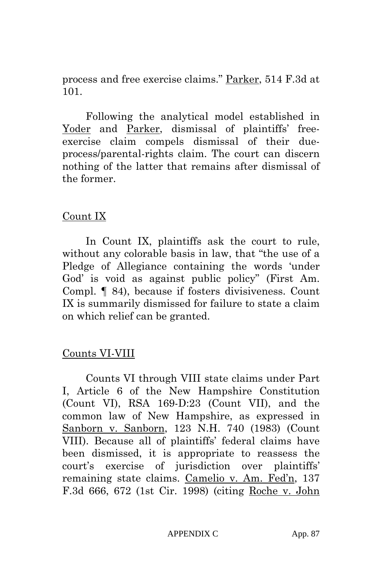process and free exercise claims." Parker, 514 F.3d at 101.

Following the analytical model established in Yoder and Parker, dismissal of plaintiffs' freeexercise claim compels dismissal of their dueprocess/parental-rights claim. The court can discern nothing of the latter that remains after dismissal of the former.

### Count IX

In Count IX, plaintiffs ask the court to rule, without any colorable basis in law, that "the use of a Pledge of Allegiance containing the words 'under God' is void as against public policy" (First Am. Compl. ¶ 84), because if fosters divisiveness. Count IX is summarily dismissed for failure to state a claim on which relief can be granted.

### Counts VI-VIII

Counts VI through VIII state claims under Part I, Article 6 of the New Hampshire Constitution (Count VI), RSA 169-D:23 (Count VII), and the common law of New Hampshire, as expressed in Sanborn v. Sanborn, 123 N.H. 740 (1983) (Count VIII). Because all of plaintiffs' federal claims have been dismissed, it is appropriate to reassess the court's exercise of jurisdiction over plaintiffs' remaining state claims. Camelio v. Am. Fed'n, 137 F.3d 666, 672 (1st Cir. 1998) (citing Roche v. John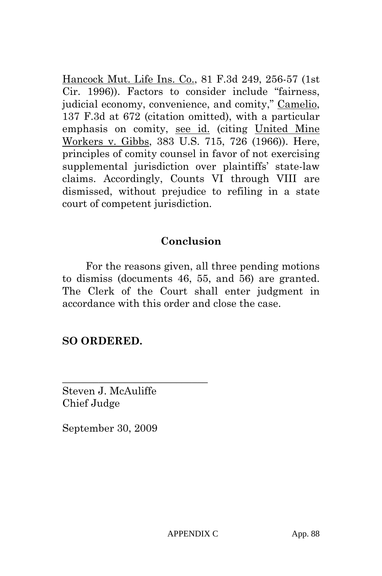Hancock Mut. Life Ins. Co., 81 F.3d 249, 256-57 (1st Cir. 1996)). Factors to consider include "fairness, judicial economy, convenience, and comity," Camelio, 137 F.3d at 672 (citation omitted), with a particular emphasis on comity, see id. (citing United Mine Workers v. Gibbs, 383 U.S. 715, 726 (1966)). Here, principles of comity counsel in favor of not exercising supplemental jurisdiction over plaintiffs' state-law claims. Accordingly, Counts VI through VIII are dismissed, without prejudice to refiling in a state court of competent jurisdiction.

## **Conclusion**

For the reasons given, all three pending motions to dismiss (documents 46, 55, and 56) are granted. The Clerk of the Court shall enter judgment in accordance with this order and close the case.

### **SO ORDERED.**

Steven J. McAuliffe Chief Judge

\_\_\_\_\_\_\_\_\_\_\_\_\_\_\_\_\_\_\_\_\_\_\_\_\_\_\_\_

September 30, 2009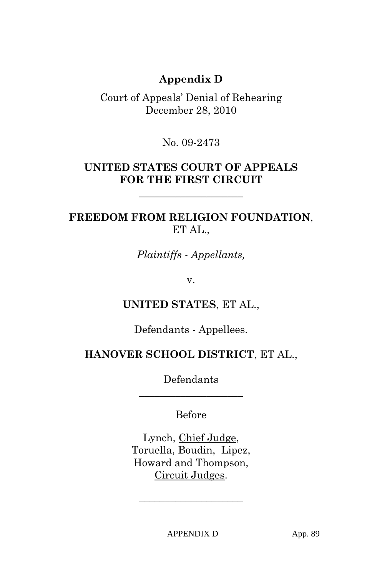## **Appendix D**

Court of Appeals' Denial of Rehearing December 28, 2010

No. 09-2473

### **UNITED STATES COURT OF APPEALS FOR THE FIRST CIRCUIT**

**\_\_\_\_\_\_\_\_\_\_\_\_\_\_\_\_\_\_\_\_** 

## **FREEDOM FROM RELIGION FOUNDATION**, ET AL.,

*Plaintiffs - Appellants,* 

v.

### **UNITED STATES**, ET AL.,

Defendants - Appellees.

### **HANOVER SCHOOL DISTRICT**, ET AL.,

Defendants **\_\_\_\_\_\_\_\_\_\_\_\_\_\_\_\_\_\_\_\_** 

### Before

Lynch, Chief Judge, Toruella, Boudin, Lipez, Howard and Thompson, Circuit Judges.

**\_\_\_\_\_\_\_\_\_\_\_\_\_\_\_\_\_\_\_\_**

APPENDIX D App. 89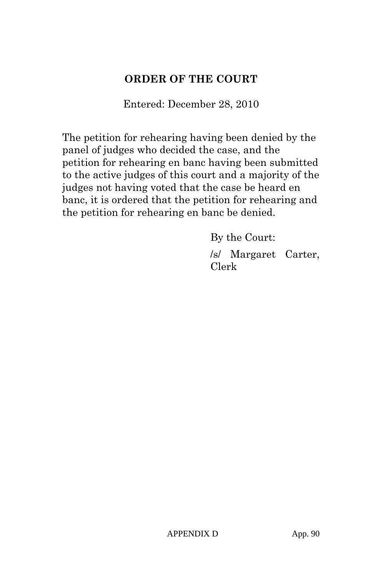## **ORDER OF THE COURT**

Entered: December 28, 2010

The petition for rehearing having been denied by the panel of judges who decided the case, and the petition for rehearing en banc having been submitted to the active judges of this court and a majority of the judges not having voted that the case be heard en banc, it is ordered that the petition for rehearing and the petition for rehearing en banc be denied.

> By the Court: /s/ Margaret Carter, Clerk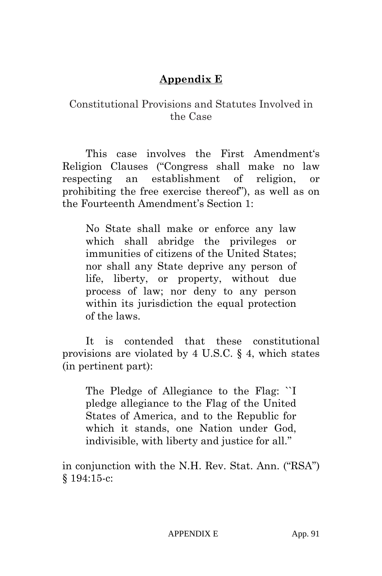# **Appendix E**

### Constitutional Provisions and Statutes Involved in the Case

This case involves the First Amendment's Religion Clauses ("Congress shall make no law respecting an establishment of religion, or prohibiting the free exercise thereof"), as well as on the Fourteenth Amendment's Section 1:

No State shall make or enforce any law which shall abridge the privileges or immunities of citizens of the United States; nor shall any State deprive any person of life, liberty, or property, without due process of law; nor deny to any person within its jurisdiction the equal protection of the laws.

It is contended that these constitutional provisions are violated by 4 U.S.C. § 4, which states (in pertinent part):

The Pledge of Allegiance to the Flag: ``I pledge allegiance to the Flag of the United States of America, and to the Republic for which it stands, one Nation under God, indivisible, with liberty and justice for all.''

in conjunction with the N.H. Rev. Stat. Ann. ("RSA") § 194:15-c: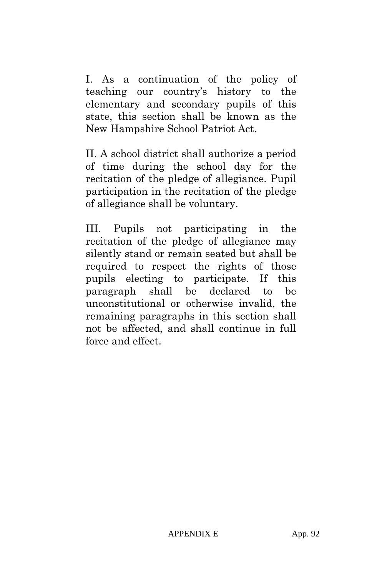I. As a continuation of the policy of teaching our country's history to the elementary and secondary pupils of this state, this section shall be known as the New Hampshire School Patriot Act.

II. A school district shall authorize a period of time during the school day for the recitation of the pledge of allegiance. Pupil participation in the recitation of the pledge of allegiance shall be voluntary.

III. Pupils not participating in the recitation of the pledge of allegiance may silently stand or remain seated but shall be required to respect the rights of those pupils electing to participate. If this paragraph shall be declared to be unconstitutional or otherwise invalid, the remaining paragraphs in this section shall not be affected, and shall continue in full force and effect.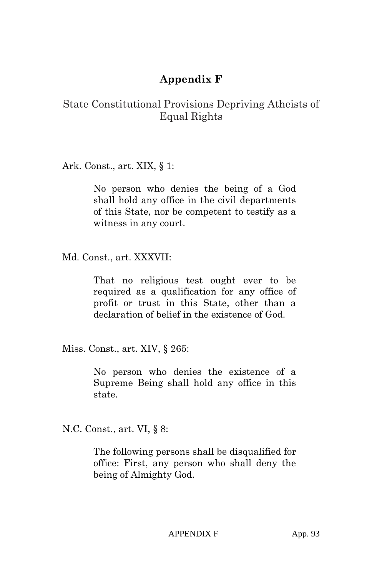# **Appendix F**

### State Constitutional Provisions Depriving Atheists of Equal Rights

Ark. Const., art. XIX, § 1:

No person who denies the being of a God shall hold any office in the civil departments of this State, nor be competent to testify as a witness in any court.

Md. Const., art. XXXVII:

That no religious test ought ever to be required as a qualification for any office of profit or trust in this State, other than a declaration of belief in the existence of God.

Miss. Const., art. XIV, § 265:

No person who denies the existence of a Supreme Being shall hold any office in this state.

N.C. Const., art. VI, § 8:

The following persons shall be disqualified for office: First, any person who shall deny the being of Almighty God.